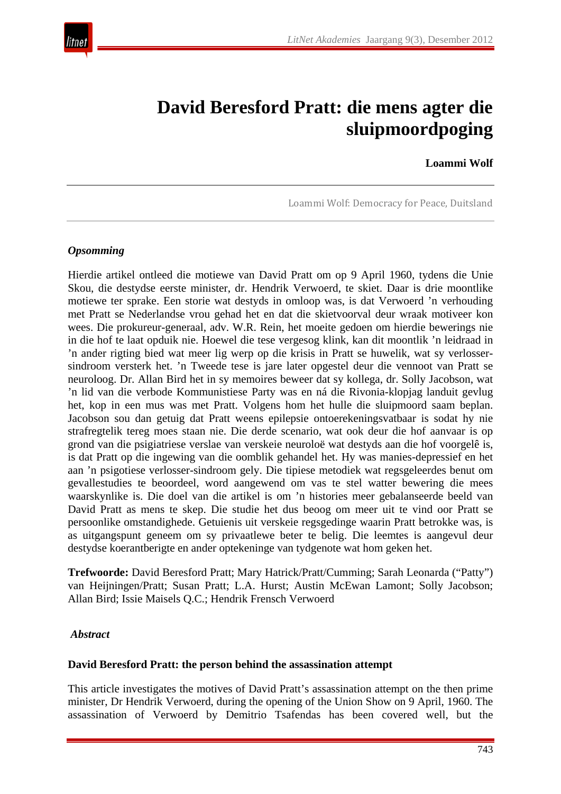

# **David Beresford Pratt: die mens agter die sluipmoordpoging**

**Loammi Wolf**

Loammi Wolf: Democracy for Peace, Duitsland

#### *Opsomming*

Hierdie artikel ontleed die motiewe van David Pratt om op 9 April 1960, tydens die Unie Skou, die destydse eerste minister, dr. Hendrik Verwoerd, te skiet. Daar is drie moontlike motiewe ter sprake. Een storie wat destyds in omloop was, is dat Verwoerd 'n verhouding met Pratt se Nederlandse vrou gehad het en dat die skietvoorval deur wraak motiveer kon wees. Die prokureur-generaal, adv. W.R. Rein, het moeite gedoen om hierdie bewerings nie in die hof te laat opduik nie. Hoewel die tese vergesog klink, kan dit moontlik 'n leidraad in 'n ander rigting bied wat meer lig werp op die krisis in Pratt se huwelik, wat sy verlossersindroom versterk het. 'n Tweede tese is jare later opgestel deur die vennoot van Pratt se neuroloog. Dr. Allan Bird het in sy memoires beweer dat sy kollega, dr. Solly Jacobson, wat 'n lid van die verbode Kommunistiese Party was en ná die Rivonia-klopjag landuit gevlug het, kop in een mus was met Pratt. Volgens hom het hulle die sluipmoord saam beplan. Jacobson sou dan getuig dat Pratt weens epilepsie ontoerekeningsvatbaar is sodat hy nie strafregtelik tereg moes staan nie. Die derde scenario, wat ook deur die hof aanvaar is op grond van die psigiatriese verslae van verskeie neuroloë wat destyds aan die hof voorgelê is, is dat Pratt op die ingewing van die oomblik gehandel het. Hy was manies-depressief en het aan 'n psigotiese verlosser-sindroom gely. Die tipiese metodiek wat regsgeleerdes benut om gevallestudies te beoordeel, word aangewend om vas te stel watter bewering die mees waarskynlike is. Die doel van die artikel is om 'n histories meer gebalanseerde beeld van David Pratt as mens te skep. Die studie het dus beoog om meer uit te vind oor Pratt se persoonlike omstandighede. Getuienis uit verskeie regsgedinge waarin Pratt betrokke was, is as uitgangspunt geneem om sy privaatlewe beter te belig. Die leemtes is aangevul deur destydse koerantberigte en ander optekeninge van tydgenote wat hom geken het.

**Trefwoorde:** David Beresford Pratt; Mary Hatrick/Pratt/Cumming; Sarah Leonarda ("Patty") van Heijningen/Pratt; Susan Pratt; L.A. Hurst; Austin McEwan Lamont; Solly Jacobson; Allan Bird; Issie Maisels Q.C.; Hendrik Frensch Verwoerd

#### *Abstract*

#### **David Beresford Pratt: the person behind the assassination attempt**

This article investigates the motives of David Pratt's assassination attempt on the then prime minister, Dr Hendrik Verwoerd, during the opening of the Union Show on 9 April, 1960. The assassination of Verwoerd by Demitrio Tsafendas has been covered well, but the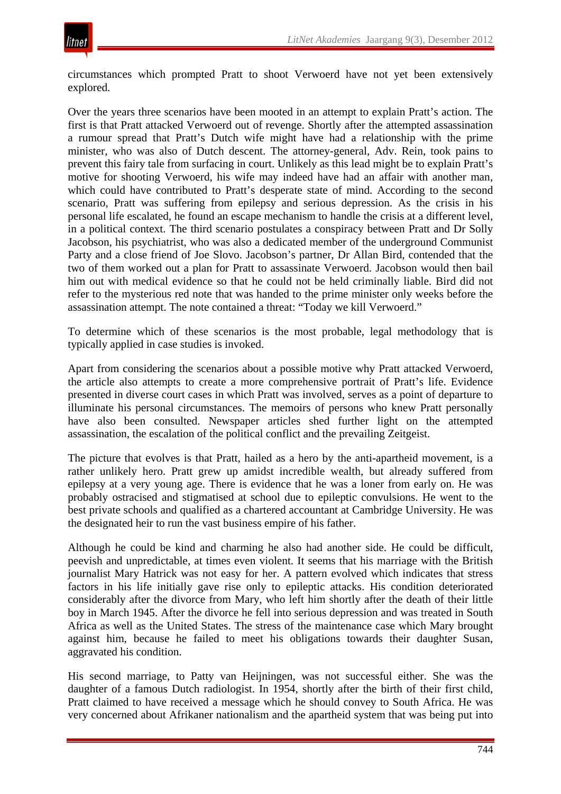

circumstances which prompted Pratt to shoot Verwoerd have not yet been extensively explored.

Over the years three scenarios have been mooted in an attempt to explain Pratt's action. The first is that Pratt attacked Verwoerd out of revenge. Shortly after the attempted assassination a rumour spread that Pratt's Dutch wife might have had a relationship with the prime minister, who was also of Dutch descent. The attorney-general, Adv. Rein, took pains to prevent this fairy tale from surfacing in court. Unlikely as this lead might be to explain Pratt's motive for shooting Verwoerd, his wife may indeed have had an affair with another man, which could have contributed to Pratt's desperate state of mind. According to the second scenario, Pratt was suffering from epilepsy and serious depression. As the crisis in his personal life escalated, he found an escape mechanism to handle the crisis at a different level, in a political context. The third scenario postulates a conspiracy between Pratt and Dr Solly Jacobson, his psychiatrist, who was also a dedicated member of the underground Communist Party and a close friend of Joe Slovo. Jacobson's partner, Dr Allan Bird, contended that the two of them worked out a plan for Pratt to assassinate Verwoerd. Jacobson would then bail him out with medical evidence so that he could not be held criminally liable. Bird did not refer to the mysterious red note that was handed to the prime minister only weeks before the assassination attempt. The note contained a threat: "Today we kill Verwoerd."

To determine which of these scenarios is the most probable, legal methodology that is typically applied in case studies is invoked.

Apart from considering the scenarios about a possible motive why Pratt attacked Verwoerd, the article also attempts to create a more comprehensive portrait of Pratt's life. Evidence presented in diverse court cases in which Pratt was involved, serves as a point of departure to illuminate his personal circumstances. The memoirs of persons who knew Pratt personally have also been consulted. Newspaper articles shed further light on the attempted assassination, the escalation of the political conflict and the prevailing Zeitgeist.

The picture that evolves is that Pratt, hailed as a hero by the anti-apartheid movement, is a rather unlikely hero. Pratt grew up amidst incredible wealth, but already suffered from epilepsy at a very young age. There is evidence that he was a loner from early on. He was probably ostracised and stigmatised at school due to epileptic convulsions. He went to the best private schools and qualified as a chartered accountant at Cambridge University. He was the designated heir to run the vast business empire of his father.

Although he could be kind and charming he also had another side. He could be difficult, peevish and unpredictable, at times even violent. It seems that his marriage with the British journalist Mary Hatrick was not easy for her. A pattern evolved which indicates that stress factors in his life initially gave rise only to epileptic attacks. His condition deteriorated considerably after the divorce from Mary, who left him shortly after the death of their little boy in March 1945. After the divorce he fell into serious depression and was treated in South Africa as well as the United States. The stress of the maintenance case which Mary brought against him, because he failed to meet his obligations towards their daughter Susan, aggravated his condition.

His second marriage, to Patty van Heijningen, was not successful either. She was the daughter of a famous Dutch radiologist. In 1954, shortly after the birth of their first child, Pratt claimed to have received a message which he should convey to South Africa. He was very concerned about Afrikaner nationalism and the apartheid system that was being put into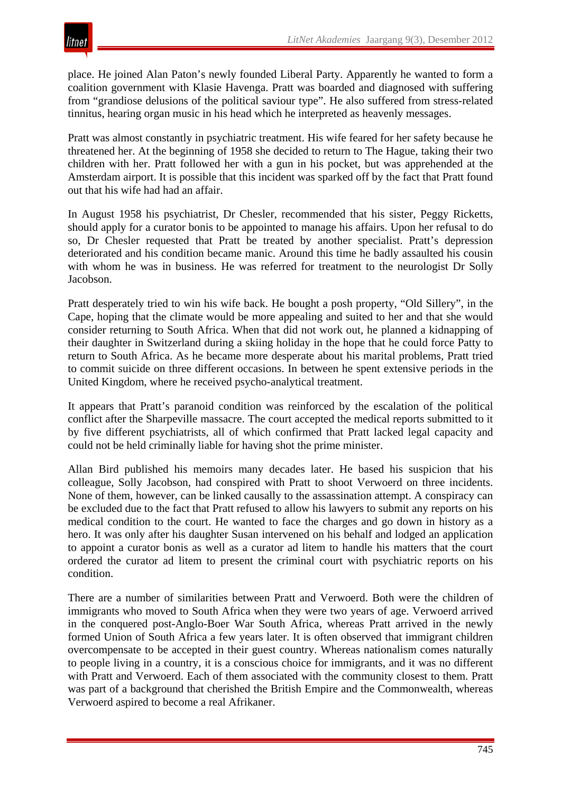

place. He joined Alan Paton's newly founded Liberal Party. Apparently he wanted to form a coalition government with Klasie Havenga. Pratt was boarded and diagnosed with suffering from "grandiose delusions of the political saviour type". He also suffered from stress-related tinnitus, hearing organ music in his head which he interpreted as heavenly messages.

Pratt was almost constantly in psychiatric treatment. His wife feared for her safety because he threatened her. At the beginning of 1958 she decided to return to The Hague, taking their two children with her. Pratt followed her with a gun in his pocket, but was apprehended at the Amsterdam airport. It is possible that this incident was sparked off by the fact that Pratt found out that his wife had had an affair.

In August 1958 his psychiatrist, Dr Chesler, recommended that his sister, Peggy Ricketts, should apply for a curator bonis to be appointed to manage his affairs. Upon her refusal to do so, Dr Chesler requested that Pratt be treated by another specialist. Pratt's depression deteriorated and his condition became manic. Around this time he badly assaulted his cousin with whom he was in business. He was referred for treatment to the neurologist Dr Solly Jacobson.

Pratt desperately tried to win his wife back. He bought a posh property, "Old Sillery", in the Cape, hoping that the climate would be more appealing and suited to her and that she would consider returning to South Africa. When that did not work out, he planned a kidnapping of their daughter in Switzerland during a skiing holiday in the hope that he could force Patty to return to South Africa. As he became more desperate about his marital problems, Pratt tried to commit suicide on three different occasions. In between he spent extensive periods in the United Kingdom, where he received psycho-analytical treatment.

It appears that Pratt's paranoid condition was reinforced by the escalation of the political conflict after the Sharpeville massacre. The court accepted the medical reports submitted to it by five different psychiatrists, all of which confirmed that Pratt lacked legal capacity and could not be held criminally liable for having shot the prime minister.

Allan Bird published his memoirs many decades later. He based his suspicion that his colleague, Solly Jacobson, had conspired with Pratt to shoot Verwoerd on three incidents. None of them, however, can be linked causally to the assassination attempt. A conspiracy can be excluded due to the fact that Pratt refused to allow his lawyers to submit any reports on his medical condition to the court. He wanted to face the charges and go down in history as a hero. It was only after his daughter Susan intervened on his behalf and lodged an application to appoint a curator bonis as well as a curator ad litem to handle his matters that the court ordered the curator ad litem to present the criminal court with psychiatric reports on his condition.

There are a number of similarities between Pratt and Verwoerd. Both were the children of immigrants who moved to South Africa when they were two years of age. Verwoerd arrived in the conquered post-Anglo-Boer War South Africa, whereas Pratt arrived in the newly formed Union of South Africa a few years later. It is often observed that immigrant children overcompensate to be accepted in their guest country. Whereas nationalism comes naturally to people living in a country, it is a conscious choice for immigrants, and it was no different with Pratt and Verwoerd. Each of them associated with the community closest to them. Pratt was part of a background that cherished the British Empire and the Commonwealth, whereas Verwoerd aspired to become a real Afrikaner.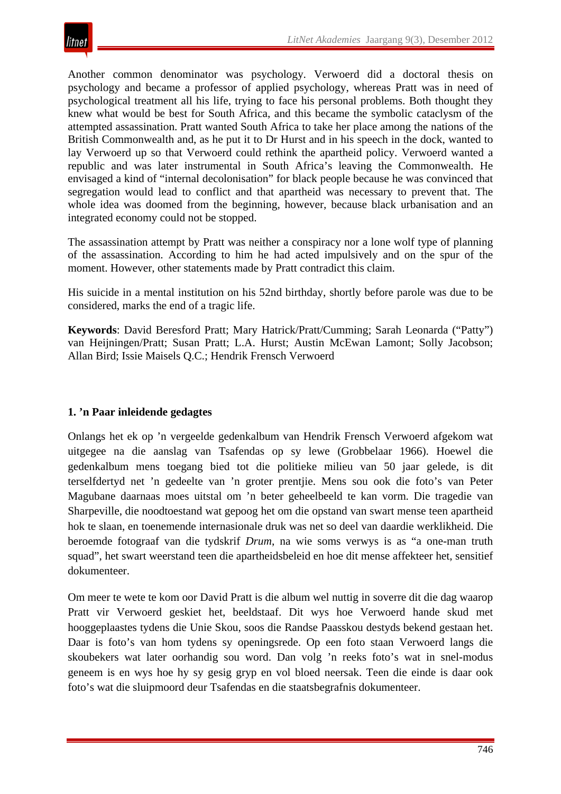

Another common denominator was psychology. Verwoerd did a doctoral thesis on psychology and became a professor of applied psychology, whereas Pratt was in need of psychological treatment all his life, trying to face his personal problems. Both thought they knew what would be best for South Africa, and this became the symbolic cataclysm of the attempted assassination. Pratt wanted South Africa to take her place among the nations of the British Commonwealth and, as he put it to Dr Hurst and in his speech in the dock, wanted to lay Verwoerd up so that Verwoerd could rethink the apartheid policy. Verwoerd wanted a republic and was later instrumental in South Africa's leaving the Commonwealth. He envisaged a kind of "internal decolonisation" for black people because he was convinced that segregation would lead to conflict and that apartheid was necessary to prevent that. The whole idea was doomed from the beginning, however, because black urbanisation and an integrated economy could not be stopped.

The assassination attempt by Pratt was neither a conspiracy nor a lone wolf type of planning of the assassination. According to him he had acted impulsively and on the spur of the moment. However, other statements made by Pratt contradict this claim.

His suicide in a mental institution on his 52nd birthday, shortly before parole was due to be considered, marks the end of a tragic life.

**Keywords**: David Beresford Pratt; Mary Hatrick/Pratt/Cumming; Sarah Leonarda ("Patty") van Heijningen/Pratt; Susan Pratt; L.A. Hurst; Austin McEwan Lamont; Solly Jacobson; Allan Bird; Issie Maisels Q.C.; Hendrik Frensch Verwoerd

## **1. 'n Paar inleidende gedagtes**

Onlangs het ek op 'n vergeelde gedenkalbum van Hendrik Frensch Verwoerd afgekom wat uitgegee na die aanslag van Tsafendas op sy lewe (Grobbelaar 1966). Hoewel die gedenkalbum mens toegang bied tot die politieke milieu van 50 jaar gelede, is dit terselfdertyd net 'n gedeelte van 'n groter prentjie. Mens sou ook die foto's van Peter Magubane daarnaas moes uitstal om 'n beter geheelbeeld te kan vorm. Die tragedie van Sharpeville, die noodtoestand wat gepoog het om die opstand van swart mense teen apartheid hok te slaan, en toenemende internasionale druk was net so deel van daardie werklikheid. Die beroemde fotograaf van die tydskrif *Drum*, na wie soms verwys is as "a one-man truth squad", het swart weerstand teen die apartheidsbeleid en hoe dit mense affekteer het, sensitief dokumenteer.

Om meer te wete te kom oor David Pratt is die album wel nuttig in soverre dit die dag waarop Pratt vir Verwoerd geskiet het, beeldstaaf. Dit wys hoe Verwoerd hande skud met hooggeplaastes tydens die Unie Skou, soos die Randse Paasskou destyds bekend gestaan het. Daar is foto's van hom tydens sy openingsrede. Op een foto staan Verwoerd langs die skoubekers wat later oorhandig sou word. Dan volg 'n reeks foto's wat in snel-modus geneem is en wys hoe hy sy gesig gryp en vol bloed neersak. Teen die einde is daar ook foto's wat die sluipmoord deur Tsafendas en die staatsbegrafnis dokumenteer.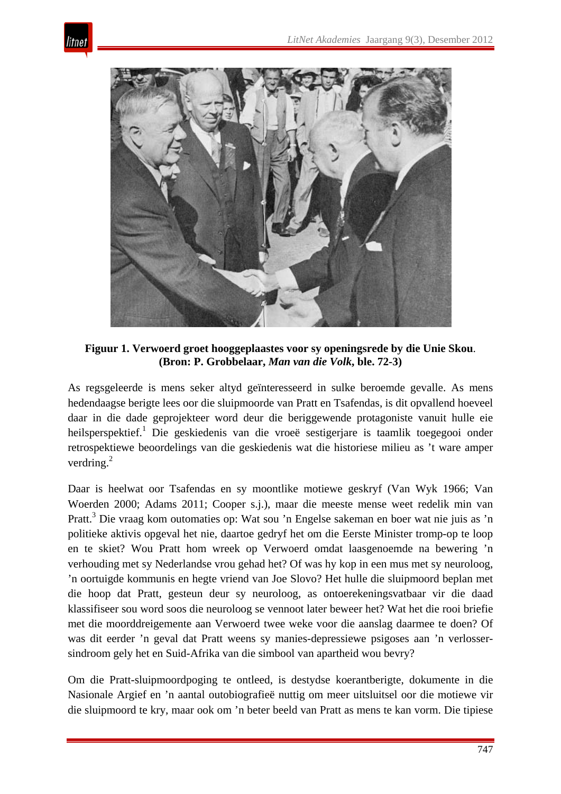



**Figuur 1. Verwoerd groet hooggeplaastes voor sy openingsrede by die Unie Skou**. **(Bron: P. Grobbelaar,** *Man van die Volk***, ble. 72-3)**

As regsgeleerde is mens seker altyd geïnteresseerd in sulke beroemde gevalle. As mens hedendaagse berigte lees oor die sluipmoorde van Pratt en Tsafendas, is dit opvallend hoeveel daar in die dade geprojekteer word deur die beriggewende protagoniste vanuit hulle eie heilsperspektief.<sup>1</sup> Die geskiedenis van die vroeë sestigerjare is taamlik toegegooi onder retrospektiewe beoordelings van die geskiedenis wat die historiese milieu as 't ware amper verdring.<sup>2</sup>

Daar is heelwat oor Tsafendas en sy moontlike motiewe geskryf (Van Wyk 1966; Van Woerden 2000; Adams 2011; Cooper s.j.), maar die meeste mense weet redelik min van Pratt.3 Die vraag kom outomaties op: Wat sou 'n Engelse sakeman en boer wat nie juis as 'n politieke aktivis opgeval het nie, daartoe gedryf het om die Eerste Minister tromp-op te loop en te skiet? Wou Pratt hom wreek op Verwoerd omdat laasgenoemde na bewering 'n verhouding met sy Nederlandse vrou gehad het? Of was hy kop in een mus met sy neuroloog, 'n oortuigde kommunis en hegte vriend van Joe Slovo? Het hulle die sluipmoord beplan met die hoop dat Pratt, gesteun deur sy neuroloog, as ontoerekeningsvatbaar vir die daad klassifiseer sou word soos die neuroloog se vennoot later beweer het? Wat het die rooi briefie met die moorddreigemente aan Verwoerd twee weke voor die aanslag daarmee te doen? Of was dit eerder 'n geval dat Pratt weens sy manies-depressiewe psigoses aan 'n verlossersindroom gely het en Suid-Afrika van die simbool van apartheid wou bevry?

Om die Pratt-sluipmoordpoging te ontleed, is destydse koerantberigte, dokumente in die Nasionale Argief en 'n aantal outobiografieë nuttig om meer uitsluitsel oor die motiewe vir die sluipmoord te kry, maar ook om 'n beter beeld van Pratt as mens te kan vorm. Die tipiese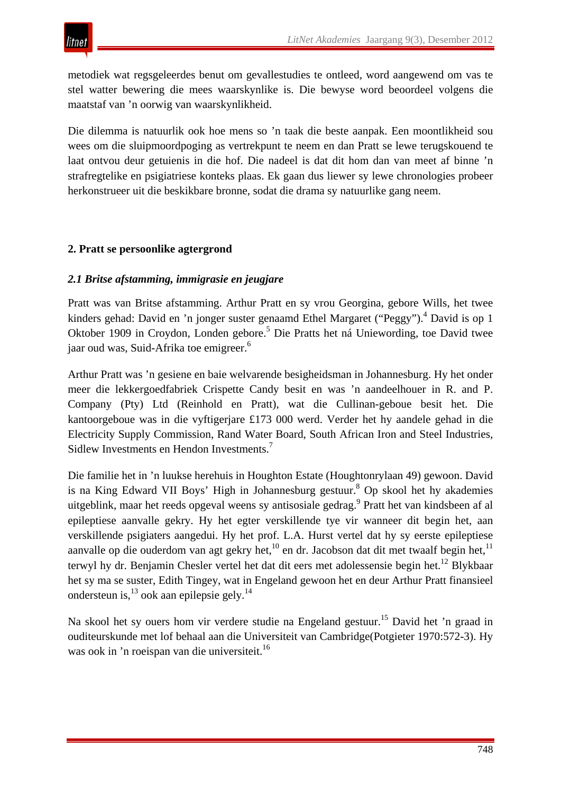metodiek wat regsgeleerdes benut om gevallestudies te ontleed, word aangewend om vas te stel watter bewering die mees waarskynlike is. Die bewyse word beoordeel volgens die maatstaf van 'n oorwig van waarskynlikheid.

Die dilemma is natuurlik ook hoe mens so 'n taak die beste aanpak. Een moontlikheid sou wees om die sluipmoordpoging as vertrekpunt te neem en dan Pratt se lewe terugskouend te laat ontvou deur getuienis in die hof. Die nadeel is dat dit hom dan van meet af binne 'n strafregtelike en psigiatriese konteks plaas. Ek gaan dus liewer sy lewe chronologies probeer herkonstrueer uit die beskikbare bronne, sodat die drama sy natuurlike gang neem.

## **2. Pratt se persoonlike agtergrond**

## *2.1 Britse afstamming, immigrasie en jeugjare*

Pratt was van Britse afstamming. Arthur Pratt en sy vrou Georgina, gebore Wills, het twee kinders gehad: David en 'n jonger suster genaamd Ethel Margaret ("Peggy").<sup>4</sup> David is op 1 Oktober 1909 in Croydon, Londen gebore.<sup>5</sup> Die Pratts het ná Uniewording, toe David twee jaar oud was, Suid-Afrika toe emigreer.<sup>6</sup>

Arthur Pratt was 'n gesiene en baie welvarende besigheidsman in Johannesburg. Hy het onder meer die lekkergoedfabriek Crispette Candy besit en was 'n aandeelhouer in R. and P. Company (Pty) Ltd (Reinhold en Pratt), wat die Cullinan-geboue besit het. Die kantoorgeboue was in die vyftigerjare £173 000 werd. Verder het hy aandele gehad in die Electricity Supply Commission, Rand Water Board, South African Iron and Steel Industries, Sidlew Investments en Hendon Investments.<sup>7</sup>

Die familie het in 'n luukse herehuis in Houghton Estate (Houghtonrylaan 49) gewoon. David is na King Edward VII Boys' High in Johannesburg gestuur.8 Op skool het hy akademies uitgeblink, maar het reeds opgeval weens sy antisosiale gedrag.<sup>9</sup> Pratt het van kindsbeen af al epileptiese aanvalle gekry. Hy het egter verskillende tye vir wanneer dit begin het, aan verskillende psigiaters aangedui. Hy het prof. L.A. Hurst vertel dat hy sy eerste epileptiese aanvalle op die ouderdom van agt gekry het,<sup>10</sup> en dr. Jacobson dat dit met twaalf begin het,<sup>11</sup> terwyl hy dr. Benjamin Chesler vertel het dat dit eers met adolessensie begin het.<sup>12</sup> Blykbaar het sy ma se suster, Edith Tingey, wat in Engeland gewoon het en deur Arthur Pratt finansieel ondersteun is,  $^{13}$  ook aan epilepsie gely.<sup>14</sup>

Na skool het sy ouers hom vir verdere studie na Engeland gestuur.<sup>15</sup> David het 'n graad in ouditeurskunde met lof behaal aan die Universiteit van Cambridge(Potgieter 1970:572-3). Hy was ook in 'n roeispan van die universiteit.<sup>16</sup>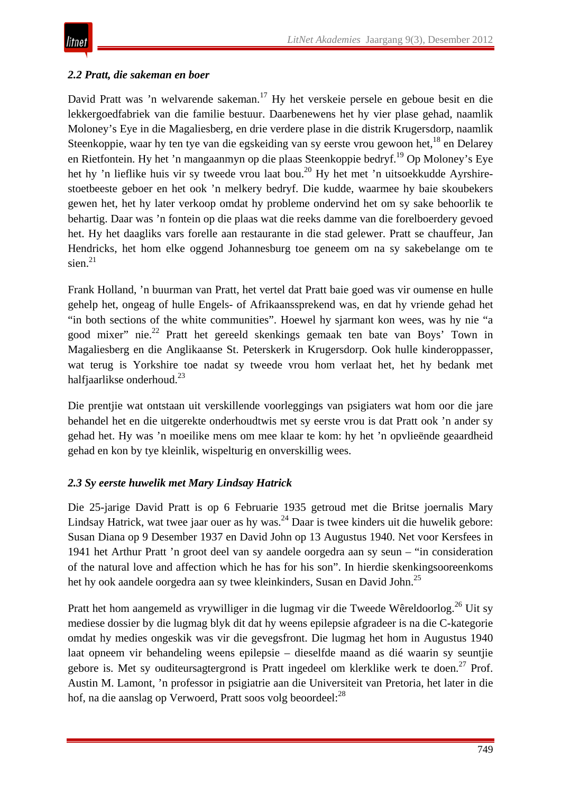# *2.2 Pratt, die sakeman en boer*

David Pratt was 'n welvarende sakeman.<sup>17</sup> Hy het verskeie persele en geboue besit en die lekkergoedfabriek van die familie bestuur. Daarbenewens het hy vier plase gehad, naamlik Moloney's Eye in die Magaliesberg, en drie verdere plase in die distrik Krugersdorp, naamlik Steenkoppie, waar hy ten tye van die egskeiding van sy eerste vrou gewoon het,<sup>18</sup> en Delarey en Rietfontein. Hy het 'n mangaanmyn op die plaas Steenkoppie bedryf.19 Op Moloney's Eye het hy 'n lieflike huis vir sy tweede vrou laat bou.<sup>20</sup> Hy het met 'n uitsoekkudde Ayrshirestoetbeeste geboer en het ook 'n melkery bedryf. Die kudde, waarmee hy baie skoubekers gewen het, het hy later verkoop omdat hy probleme ondervind het om sy sake behoorlik te behartig. Daar was 'n fontein op die plaas wat die reeks damme van die forelboerdery gevoed het. Hy het daagliks vars forelle aan restaurante in die stad gelewer. Pratt se chauffeur, Jan Hendricks, het hom elke oggend Johannesburg toe geneem om na sy sakebelange om te sien. $^{21}$ 

Frank Holland, 'n buurman van Pratt, het vertel dat Pratt baie goed was vir oumense en hulle gehelp het, ongeag of hulle Engels- of Afrikaanssprekend was, en dat hy vriende gehad het "in both sections of the white communities". Hoewel hy sjarmant kon wees, was hy nie "a good mixer" nie.22 Pratt het gereeld skenkings gemaak ten bate van Boys' Town in Magaliesberg en die Anglikaanse St. Peterskerk in Krugersdorp. Ook hulle kinderoppasser, wat terug is Yorkshire toe nadat sy tweede vrou hom verlaat het, het hy bedank met halfjaarlikse onderhoud.<sup>23</sup>

Die prentjie wat ontstaan uit verskillende voorleggings van psigiaters wat hom oor die jare behandel het en die uitgerekte onderhoudtwis met sy eerste vrou is dat Pratt ook 'n ander sy gehad het. Hy was 'n moeilike mens om mee klaar te kom: hy het 'n opvlieënde geaardheid gehad en kon by tye kleinlik, wispelturig en onverskillig wees.

# *2.3 Sy eerste huwelik met Mary Lindsay Hatrick*

Die 25-jarige David Pratt is op 6 Februarie 1935 getroud met die Britse joernalis Mary Lindsay Hatrick, wat twee jaar ouer as hy was.<sup>24</sup> Daar is twee kinders uit die huwelik gebore: Susan Diana op 9 Desember 1937 en David John op 13 Augustus 1940. Net voor Kersfees in 1941 het Arthur Pratt 'n groot deel van sy aandele oorgedra aan sy seun – "in consideration of the natural love and affection which he has for his son". In hierdie skenkingsooreenkoms het hy ook aandele oorgedra aan sy twee kleinkinders, Susan en David John.<sup>25</sup>

Pratt het hom aangemeld as vrywilliger in die lugmag vir die Tweede Wêreldoorlog.<sup>26</sup> Uit sy mediese dossier by die lugmag blyk dit dat hy weens epilepsie afgradeer is na die C-kategorie omdat hy medies ongeskik was vir die gevegsfront. Die lugmag het hom in Augustus 1940 laat opneem vir behandeling weens epilepsie – dieselfde maand as dié waarin sy seuntjie gebore is. Met sy ouditeursagtergrond is Pratt ingedeel om klerklike werk te doen.<sup>27</sup> Prof. Austin M. Lamont, 'n professor in psigiatrie aan die Universiteit van Pretoria, het later in die hof, na die aanslag op Verwoerd, Pratt soos volg beoordeel:<sup>28</sup>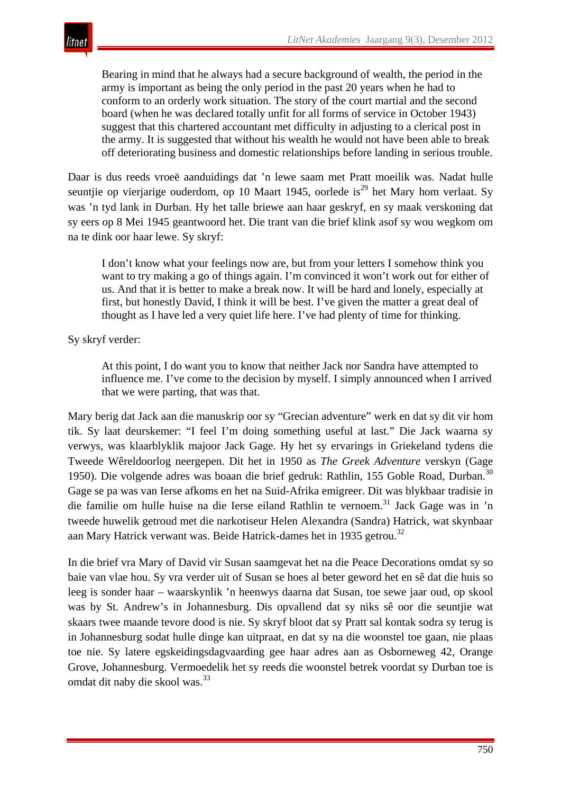

Bearing in mind that he always had a secure background of wealth, the period in the army is important as being the only period in the past 20 years when he had to conform to an orderly work situation. The story of the court martial and the second board (when he was declared totally unfit for all forms of service in October 1943) suggest that this chartered accountant met difficulty in adjusting to a clerical post in the army. It is suggested that without his wealth he would not have been able to break off deteriorating business and domestic relationships before landing in serious trouble.

Daar is dus reeds vroeë aanduidings dat 'n lewe saam met Pratt moeilik was. Nadat hulle seuntjie op vierjarige ouderdom, op 10 Maart 1945, oorlede is<sup>29</sup> het Mary hom verlaat. Sy was 'n tyd lank in Durban. Hy het talle briewe aan haar geskryf, en sy maak verskoning dat sy eers op 8 Mei 1945 geantwoord het. Die trant van die brief klink asof sy wou wegkom om na te dink oor haar lewe. Sy skryf:

I don't know what your feelings now are, but from your letters I somehow think you want to try making a go of things again. I'm convinced it won't work out for either of us. And that it is better to make a break now. It will be hard and lonely, especially at first, but honestly David, I think it will be best. I've given the matter a great deal of thought as I have led a very quiet life here. I've had plenty of time for thinking.

Sy skryf verder:

At this point, I do want you to know that neither Jack nor Sandra have attempted to influence me. I've come to the decision by myself. I simply announced when I arrived that we were parting, that was that.

Mary berig dat Jack aan die manuskrip oor sy "Grecian adventure" werk en dat sy dit vir hom tik. Sy laat deurskemer: "I feel I'm doing something useful at last." Die Jack waarna sy verwys, was klaarblyklik majoor Jack Gage. Hy het sy ervarings in Griekeland tydens die Tweede Wêreldoorlog neergepen. Dit het in 1950 as *The Greek Adventure* verskyn (Gage 1950). Die volgende adres was boaan die brief gedruk: Rathlin, 155 Goble Road, Durban.<sup>30</sup> Gage se pa was van Ierse afkoms en het na Suid-Afrika emigreer. Dit was blykbaar tradisie in die familie om hulle huise na die Ierse eiland Rathlin te vernoem.<sup>31</sup> Jack Gage was in 'n tweede huwelik getroud met die narkotiseur Helen Alexandra (Sandra) Hatrick, wat skynbaar aan Mary Hatrick verwant was. Beide Hatrick-dames het in 1935 getrou.<sup>32</sup>

In die brief vra Mary of David vir Susan saamgevat het na die Peace Decorations omdat sy so baie van vlae hou. Sy vra verder uit of Susan se hoes al beter geword het en sê dat die huis so leeg is sonder haar – waarskynlik 'n heenwys daarna dat Susan, toe sewe jaar oud, op skool was by St. Andrew's in Johannesburg. Dis opvallend dat sy niks sê oor die seuntjie wat skaars twee maande tevore dood is nie. Sy skryf bloot dat sy Pratt sal kontak sodra sy terug is in Johannesburg sodat hulle dinge kan uitpraat, en dat sy na die woonstel toe gaan, nie plaas toe nie. Sy latere egskeidingsdagvaarding gee haar adres aan as Osborneweg 42, Orange Grove, Johannesburg. Vermoedelik het sy reeds die woonstel betrek voordat sy Durban toe is omdat dit naby die skool was.33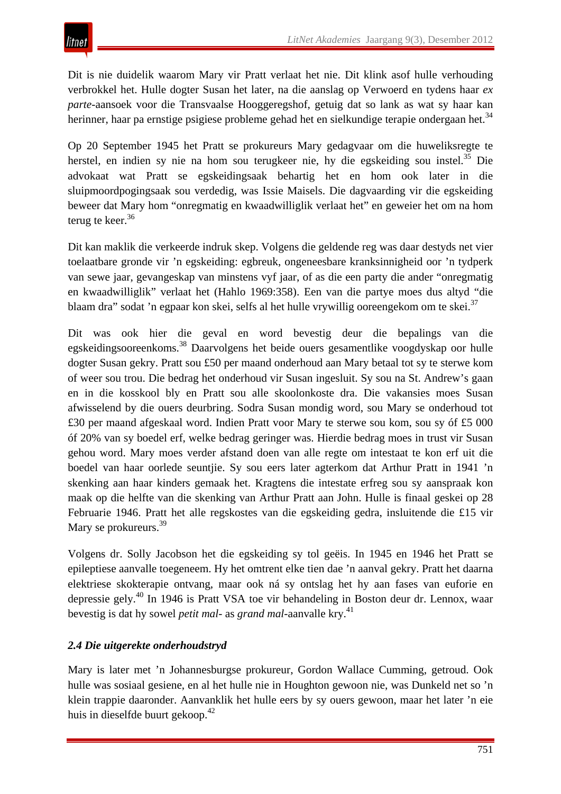Dit is nie duidelik waarom Mary vir Pratt verlaat het nie. Dit klink asof hulle verhouding verbrokkel het. Hulle dogter Susan het later, na die aanslag op Verwoerd en tydens haar *ex parte*-aansoek voor die Transvaalse Hooggeregshof, getuig dat so lank as wat sy haar kan herinner, haar pa ernstige psigiese probleme gehad het en sielkundige terapie ondergaan het.<sup>34</sup>

Op 20 September 1945 het Pratt se prokureurs Mary gedagvaar om die huweliksregte te herstel, en indien sy nie na hom sou terugkeer nie, hy die egskeiding sou instel.<sup>35</sup> Die advokaat wat Pratt se egskeidingsaak behartig het en hom ook later in die sluipmoordpogingsaak sou verdedig, was Issie Maisels. Die dagvaarding vir die egskeiding beweer dat Mary hom "onregmatig en kwaadwilliglik verlaat het" en geweier het om na hom terug te keer. $36$ 

Dit kan maklik die verkeerde indruk skep. Volgens die geldende reg was daar destyds net vier toelaatbare gronde vir 'n egskeiding: egbreuk, ongeneesbare kranksinnigheid oor 'n tydperk van sewe jaar, gevangeskap van minstens vyf jaar, of as die een party die ander "onregmatig en kwaadwilliglik" verlaat het (Hahlo 1969:358). Een van die partye moes dus altyd "die blaam dra" sodat 'n egpaar kon skei, selfs al het hulle vrywillig ooreengekom om te skei.<sup>37</sup>

Dit was ook hier die geval en word bevestig deur die bepalings van die egskeidingsooreenkoms.<sup>38</sup> Daarvolgens het beide ouers gesamentlike voogdyskap oor hulle dogter Susan gekry. Pratt sou £50 per maand onderhoud aan Mary betaal tot sy te sterwe kom of weer sou trou. Die bedrag het onderhoud vir Susan ingesluit. Sy sou na St. Andrew's gaan en in die kosskool bly en Pratt sou alle skoolonkoste dra. Die vakansies moes Susan afwisselend by die ouers deurbring. Sodra Susan mondig word, sou Mary se onderhoud tot £30 per maand afgeskaal word. Indien Pratt voor Mary te sterwe sou kom, sou sy óf £5 000 óf 20% van sy boedel erf, welke bedrag geringer was. Hierdie bedrag moes in trust vir Susan gehou word. Mary moes verder afstand doen van alle regte om intestaat te kon erf uit die boedel van haar oorlede seuntjie. Sy sou eers later agterkom dat Arthur Pratt in 1941 'n skenking aan haar kinders gemaak het. Kragtens die intestate erfreg sou sy aanspraak kon maak op die helfte van die skenking van Arthur Pratt aan John. Hulle is finaal geskei op 28 Februarie 1946. Pratt het alle regskostes van die egskeiding gedra, insluitende die £15 vir Mary se prokureurs.<sup>39</sup>

Volgens dr. Solly Jacobson het die egskeiding sy tol geëis. In 1945 en 1946 het Pratt se epileptiese aanvalle toegeneem. Hy het omtrent elke tien dae 'n aanval gekry. Pratt het daarna elektriese skokterapie ontvang, maar ook ná sy ontslag het hy aan fases van euforie en depressie gely.<sup>40</sup> In 1946 is Pratt VSA toe vir behandeling in Boston deur dr. Lennox, waar bevestig is dat hy sowel *petit mal*- as *grand mal*-aanvalle kry.41

# *2.4 Die uitgerekte onderhoudstryd*

Mary is later met 'n Johannesburgse prokureur, Gordon Wallace Cumming, getroud. Ook hulle was sosiaal gesiene, en al het hulle nie in Houghton gewoon nie, was Dunkeld net so 'n klein trappie daaronder. Aanvanklik het hulle eers by sy ouers gewoon, maar het later 'n eie huis in dieselfde buurt gekoop.<sup>42</sup>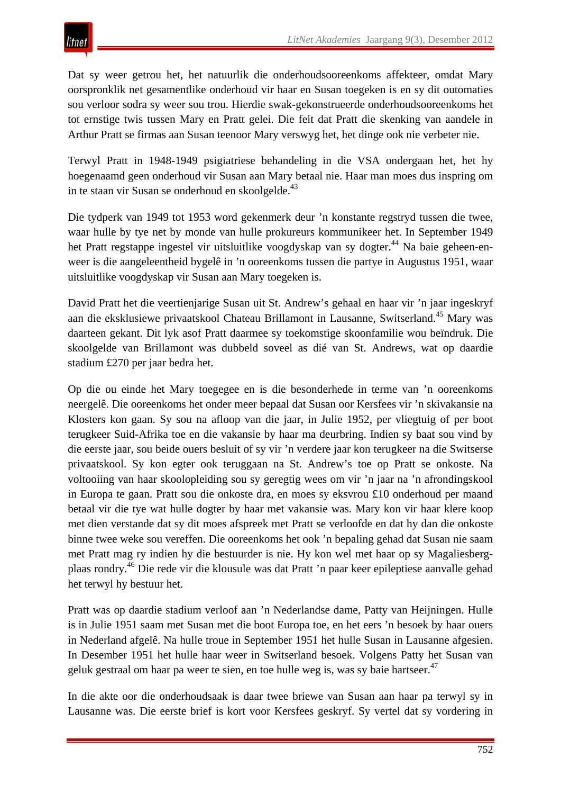Dat sy weer getrou het, het natuurlik die onderhoudsooreenkoms affekteer, omdat Mary oorspronklik net gesamentlike onderhoud vir haar en Susan toegeken is en sy dit outomaties sou verloor sodra sy weer sou trou. Hierdie swak-gekonstrueerde onderhoudsooreenkoms het tot ernstige twis tussen Mary en Pratt gelei. Die feit dat Pratt die skenking van aandele in Arthur Pratt se firmas aan Susan teenoor Mary verswyg het, het dinge ook nie verbeter nie.

Terwyl Pratt in 1948-1949 psigiatriese behandeling in die VSA ondergaan het, het hy hoegenaamd geen onderhoud vir Susan aan Mary betaal nie. Haar man moes dus inspring om in te staan vir Susan se onderhoud en skoolgelde.<sup>43</sup>

Die tydperk van 1949 tot 1953 word gekenmerk deur 'n konstante regstryd tussen die twee, waar hulle by tye net by monde van hulle prokureurs kommunikeer het. In September 1949 het Pratt regstappe ingestel vir uitsluitlike voogdyskap van sy dogter.<sup>44</sup> Na baie geheen-enweer is die aangeleentheid bygelê in 'n ooreenkoms tussen die partye in Augustus 1951, waar uitsluitlike voogdyskap vir Susan aan Mary toegeken is.

David Pratt het die veertienjarige Susan uit St. Andrew's gehaal en haar vir 'n jaar ingeskryf aan die eksklusiewe privaatskool Chateau Brillamont in Lausanne, Switserland.45 Mary was daarteen gekant. Dit lyk asof Pratt daarmee sy toekomstige skoonfamilie wou beïndruk. Die skoolgelde van Brillamont was dubbeld soveel as dié van St. Andrews, wat op daardie stadium £270 per jaar bedra het.

Op die ou einde het Mary toegegee en is die besonderhede in terme van 'n ooreenkoms neergelê. Die ooreenkoms het onder meer bepaal dat Susan oor Kersfees vir 'n skivakansie na Klosters kon gaan. Sy sou na afloop van die jaar, in Julie 1952, per vliegtuig of per boot terugkeer Suid-Afrika toe en die vakansie by haar ma deurbring. Indien sy baat sou vind by die eerste jaar, sou beide ouers besluit of sy vir 'n verdere jaar kon terugkeer na die Switserse privaatskool. Sy kon egter ook teruggaan na St. Andrew's toe op Pratt se onkoste. Na voltooiing van haar skoolopleiding sou sy geregtig wees om vir 'n jaar na 'n afrondingskool in Europa te gaan. Pratt sou die onkoste dra, en moes sy eksvrou £10 onderhoud per maand betaal vir die tye wat hulle dogter by haar met vakansie was. Mary kon vir haar klere koop met dien verstande dat sy dit moes afspreek met Pratt se verloofde en dat hy dan die onkoste binne twee weke sou vereffen. Die ooreenkoms het ook 'n bepaling gehad dat Susan nie saam met Pratt mag ry indien hy die bestuurder is nie. Hy kon wel met haar op sy Magaliesbergplaas rondry.46 Die rede vir die klousule was dat Pratt 'n paar keer epileptiese aanvalle gehad het terwyl hy bestuur het.

Pratt was op daardie stadium verloof aan 'n Nederlandse dame, Patty van Heijningen. Hulle is in Julie 1951 saam met Susan met die boot Europa toe, en het eers 'n besoek by haar ouers in Nederland afgelê. Na hulle troue in September 1951 het hulle Susan in Lausanne afgesien. In Desember 1951 het hulle haar weer in Switserland besoek. Volgens Patty het Susan van geluk gestraal om haar pa weer te sien, en toe hulle weg is, was sy baie hartseer.<sup>47</sup>

In die akte oor die onderhoudsaak is daar twee briewe van Susan aan haar pa terwyl sy in Lausanne was. Die eerste brief is kort voor Kersfees geskryf. Sy vertel dat sy vordering in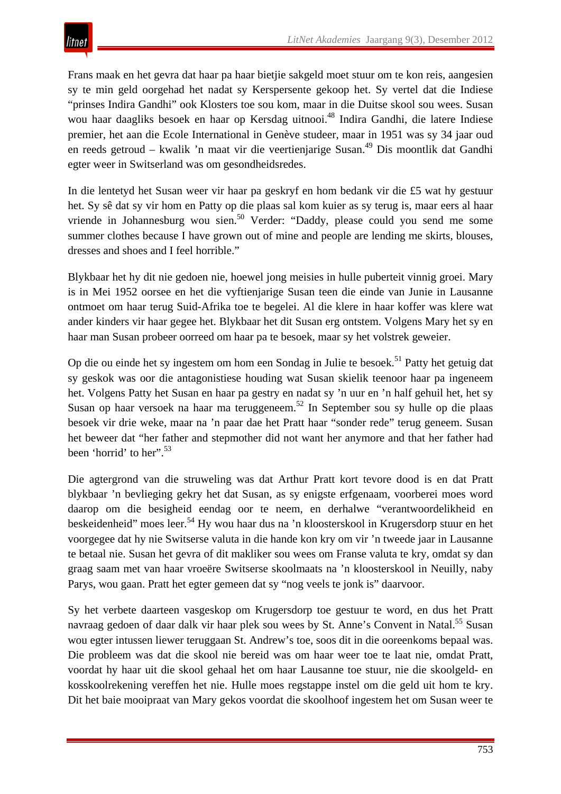Frans maak en het gevra dat haar pa haar bietjie sakgeld moet stuur om te kon reis, aangesien sy te min geld oorgehad het nadat sy Kerspersente gekoop het. Sy vertel dat die Indiese "prinses Indira Gandhi" ook Klosters toe sou kom, maar in die Duitse skool sou wees. Susan wou haar daagliks besoek en haar op Kersdag uitnooi.<sup>48</sup> Indira Gandhi, die latere Indiese premier, het aan die Ecole International in Genève studeer, maar in 1951 was sy 34 jaar oud en reeds getroud – kwalik 'n maat vir die veertienjarige Susan.<sup>49</sup> Dis moontlik dat Gandhi egter weer in Switserland was om gesondheidsredes.

In die lentetyd het Susan weer vir haar pa geskryf en hom bedank vir die £5 wat hy gestuur het. Sy sê dat sy vir hom en Patty op die plaas sal kom kuier as sy terug is, maar eers al haar vriende in Johannesburg wou sien.<sup>50</sup> Verder: "Daddy, please could you send me some summer clothes because I have grown out of mine and people are lending me skirts, blouses, dresses and shoes and I feel horrible."

Blykbaar het hy dit nie gedoen nie, hoewel jong meisies in hulle puberteit vinnig groei. Mary is in Mei 1952 oorsee en het die vyftienjarige Susan teen die einde van Junie in Lausanne ontmoet om haar terug Suid-Afrika toe te begelei. Al die klere in haar koffer was klere wat ander kinders vir haar gegee het. Blykbaar het dit Susan erg ontstem. Volgens Mary het sy en haar man Susan probeer oorreed om haar pa te besoek, maar sy het volstrek geweier.

Op die ou einde het sy ingestem om hom een Sondag in Julie te besoek.<sup>51</sup> Patty het getuig dat sy geskok was oor die antagonistiese houding wat Susan skielik teenoor haar pa ingeneem het. Volgens Patty het Susan en haar pa gestry en nadat sy 'n uur en 'n half gehuil het, het sy Susan op haar versoek na haar ma teruggeneem.52 In September sou sy hulle op die plaas besoek vir drie weke, maar na 'n paar dae het Pratt haar "sonder rede" terug geneem. Susan het beweer dat "her father and stepmother did not want her anymore and that her father had been 'horrid' to her".<sup>53</sup>

Die agtergrond van die struweling was dat Arthur Pratt kort tevore dood is en dat Pratt blykbaar 'n bevlieging gekry het dat Susan, as sy enigste erfgenaam, voorberei moes word daarop om die besigheid eendag oor te neem, en derhalwe "verantwoordelikheid en beskeidenheid" moes leer.<sup>54</sup> Hy wou haar dus na 'n kloosterskool in Krugersdorp stuur en het voorgegee dat hy nie Switserse valuta in die hande kon kry om vir 'n tweede jaar in Lausanne te betaal nie. Susan het gevra of dit makliker sou wees om Franse valuta te kry, omdat sy dan graag saam met van haar vroeëre Switserse skoolmaats na 'n kloosterskool in Neuilly, naby Parys, wou gaan. Pratt het egter gemeen dat sy "nog veels te jonk is" daarvoor.

Sy het verbete daarteen vasgeskop om Krugersdorp toe gestuur te word, en dus het Pratt navraag gedoen of daar dalk vir haar plek sou wees by St. Anne's Convent in Natal.<sup>55</sup> Susan wou egter intussen liewer teruggaan St. Andrew's toe, soos dit in die ooreenkoms bepaal was. Die probleem was dat die skool nie bereid was om haar weer toe te laat nie, omdat Pratt, voordat hy haar uit die skool gehaal het om haar Lausanne toe stuur, nie die skoolgeld- en kosskoolrekening vereffen het nie. Hulle moes regstappe instel om die geld uit hom te kry. Dit het baie mooipraat van Mary gekos voordat die skoolhoof ingestem het om Susan weer te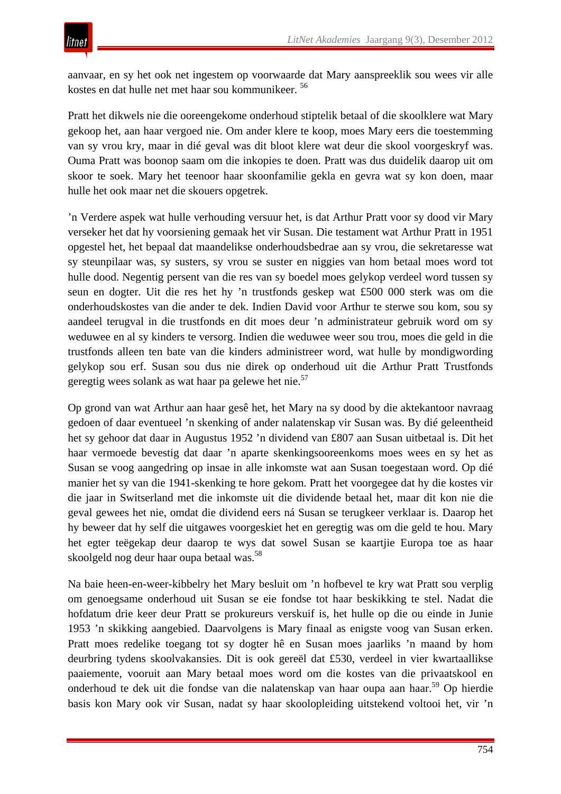aanvaar, en sy het ook net ingestem op voorwaarde dat Mary aanspreeklik sou wees vir alle kostes en dat hulle net met haar sou kommunikeer. 56

Pratt het dikwels nie die ooreengekome onderhoud stiptelik betaal of die skoolklere wat Mary gekoop het, aan haar vergoed nie. Om ander klere te koop, moes Mary eers die toestemming van sy vrou kry, maar in dié geval was dit bloot klere wat deur die skool voorgeskryf was. Ouma Pratt was boonop saam om die inkopies te doen. Pratt was dus duidelik daarop uit om skoor te soek. Mary het teenoor haar skoonfamilie gekla en gevra wat sy kon doen, maar hulle het ook maar net die skouers opgetrek.

'n Verdere aspek wat hulle verhouding versuur het, is dat Arthur Pratt voor sy dood vir Mary verseker het dat hy voorsiening gemaak het vir Susan. Die testament wat Arthur Pratt in 1951 opgestel het, het bepaal dat maandelikse onderhoudsbedrae aan sy vrou, die sekretaresse wat sy steunpilaar was, sy susters, sy vrou se suster en niggies van hom betaal moes word tot hulle dood. Negentig persent van die res van sy boedel moes gelykop verdeel word tussen sy seun en dogter. Uit die res het hy 'n trustfonds geskep wat £500 000 sterk was om die onderhoudskostes van die ander te dek. Indien David voor Arthur te sterwe sou kom, sou sy aandeel terugval in die trustfonds en dit moes deur 'n administrateur gebruik word om sy weduwee en al sy kinders te versorg. Indien die weduwee weer sou trou, moes die geld in die trustfonds alleen ten bate van die kinders administreer word, wat hulle by mondigwording gelykop sou erf. Susan sou dus nie direk op onderhoud uit die Arthur Pratt Trustfonds geregtig wees solank as wat haar pa gelewe het nie.<sup>57</sup>

Op grond van wat Arthur aan haar gesê het, het Mary na sy dood by die aktekantoor navraag gedoen of daar eventueel 'n skenking of ander nalatenskap vir Susan was. By dié geleentheid het sy gehoor dat daar in Augustus 1952 'n dividend van £807 aan Susan uitbetaal is. Dit het haar vermoede bevestig dat daar 'n aparte skenkingsooreenkoms moes wees en sy het as Susan se voog aangedring op insae in alle inkomste wat aan Susan toegestaan word. Op dié manier het sy van die 1941-skenking te hore gekom. Pratt het voorgegee dat hy die kostes vir die jaar in Switserland met die inkomste uit die dividende betaal het, maar dit kon nie die geval gewees het nie, omdat die dividend eers ná Susan se terugkeer verklaar is. Daarop het hy beweer dat hy self die uitgawes voorgeskiet het en geregtig was om die geld te hou. Mary het egter teëgekap deur daarop te wys dat sowel Susan se kaartjie Europa toe as haar skoolgeld nog deur haar oupa betaal was.<sup>58</sup>

Na baie heen-en-weer-kibbelry het Mary besluit om 'n hofbevel te kry wat Pratt sou verplig om genoegsame onderhoud uit Susan se eie fondse tot haar beskikking te stel. Nadat die hofdatum drie keer deur Pratt se prokureurs verskuif is, het hulle op die ou einde in Junie 1953 'n skikking aangebied. Daarvolgens is Mary finaal as enigste voog van Susan erken. Pratt moes redelike toegang tot sy dogter hê en Susan moes jaarliks 'n maand by hom deurbring tydens skoolvakansies. Dit is ook gereël dat £530, verdeel in vier kwartaallikse paaiemente, vooruit aan Mary betaal moes word om die kostes van die privaatskool en onderhoud te dek uit die fondse van die nalatenskap van haar oupa aan haar.<sup>59</sup> Op hierdie basis kon Mary ook vir Susan, nadat sy haar skoolopleiding uitstekend voltooi het, vir 'n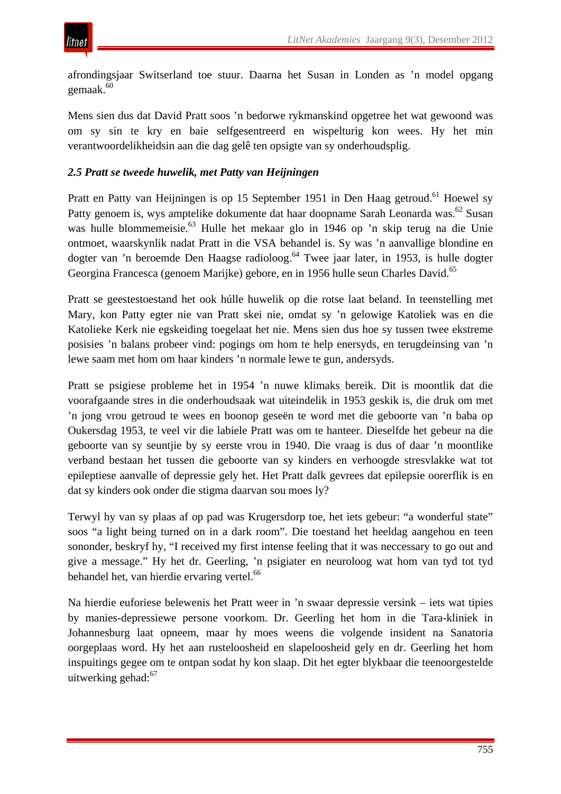afrondingsjaar Switserland toe stuur. Daarna het Susan in Londen as 'n model opgang gemaak.<sup>60</sup>

Mens sien dus dat David Pratt soos 'n bedorwe rykmanskind opgetree het wat gewoond was om sy sin te kry en baie selfgesentreerd en wispelturig kon wees. Hy het min verantwoordelikheidsin aan die dag gelê ten opsigte van sy onderhoudsplig.

## *2.5 Pratt se tweede huwelik, met Patty van Heijningen*

Pratt en Patty van Heijningen is op 15 September 1951 in Den Haag getroud.<sup>61</sup> Hoewel sy Patty genoem is, wys amptelike dokumente dat haar doopname Sarah Leonarda was.<sup>62</sup> Susan was hulle blommemeisie.63 Hulle het mekaar glo in 1946 op 'n skip terug na die Unie ontmoet, waarskynlik nadat Pratt in die VSA behandel is. Sy was 'n aanvallige blondine en dogter van 'n beroemde Den Haagse radioloog.<sup>64</sup> Twee jaar later, in 1953, is hulle dogter Georgina Francesca (genoem Marijke) gebore, en in 1956 hulle seun Charles David.65

Pratt se geestestoestand het ook húlle huwelik op die rotse laat beland. In teenstelling met Mary, kon Patty egter nie van Pratt skei nie, omdat sy 'n gelowige Katoliek was en die Katolieke Kerk nie egskeiding toegelaat het nie. Mens sien dus hoe sy tussen twee ekstreme posisies 'n balans probeer vind: pogings om hom te help enersyds, en terugdeinsing van 'n lewe saam met hom om haar kinders 'n normale lewe te gun, andersyds.

Pratt se psigiese probleme het in 1954 'n nuwe klimaks bereik. Dit is moontlik dat die voorafgaande stres in die onderhoudsaak wat uiteindelik in 1953 geskik is, die druk om met 'n jong vrou getroud te wees en boonop geseën te word met die geboorte van 'n baba op Oukersdag 1953, te veel vir die labiele Pratt was om te hanteer. Dieselfde het gebeur na die geboorte van sy seuntjie by sy eerste vrou in 1940. Die vraag is dus of daar 'n moontlike verband bestaan het tussen die geboorte van sy kinders en verhoogde stresvlakke wat tot epileptiese aanvalle of depressie gely het. Het Pratt dalk gevrees dat epilepsie oorerflik is en dat sy kinders ook onder die stigma daarvan sou moes ly?

Terwyl hy van sy plaas af op pad was Krugersdorp toe, het iets gebeur: "a wonderful state" soos "a light being turned on in a dark room". Die toestand het heeldag aangehou en teen sononder, beskryf hy, "I received my first intense feeling that it was neccessary to go out and give a message." Hy het dr. Geerling, 'n psigiater en neuroloog wat hom van tyd tot tyd behandel het, van hierdie ervaring vertel.<sup>66</sup>

Na hierdie euforiese belewenis het Pratt weer in 'n swaar depressie versink – iets wat tipies by manies-depressiewe persone voorkom. Dr. Geerling het hom in die Tara-kliniek in Johannesburg laat opneem, maar hy moes weens die volgende insident na Sanatoria oorgeplaas word. Hy het aan rusteloosheid en slapeloosheid gely en dr. Geerling het hom inspuitings gegee om te ontpan sodat hy kon slaap. Dit het egter blykbaar die teenoorgestelde uitwerking gehad:<sup>67</sup>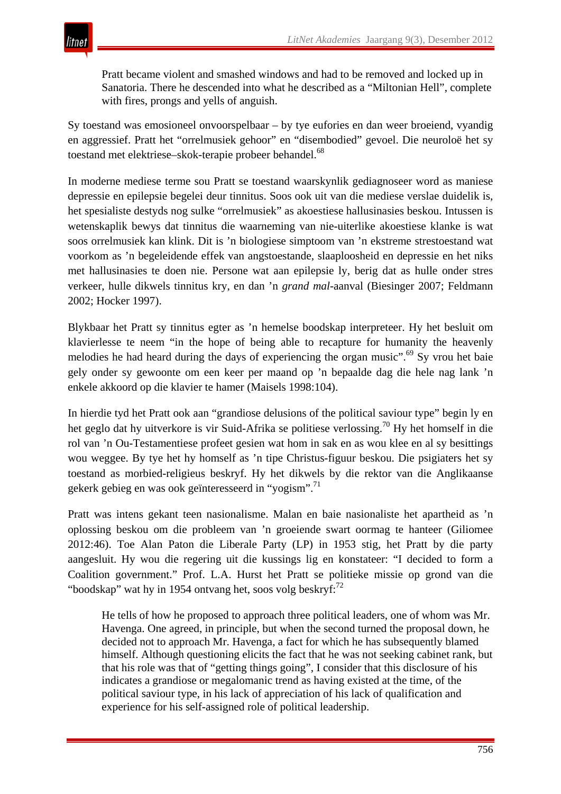Pratt became violent and smashed windows and had to be removed and locked up in Sanatoria. There he descended into what he described as a "Miltonian Hell", complete with fires, prongs and yells of anguish.

Sy toestand was emosioneel onvoorspelbaar – by tye eufories en dan weer broeiend, vyandig en aggressief. Pratt het "orrelmusiek gehoor" en "disembodied" gevoel. Die neuroloë het sy toestand met elektriese–skok-terapie probeer behandel.<sup>68</sup>

In moderne mediese terme sou Pratt se toestand waarskynlik gediagnoseer word as maniese depressie en epilepsie begelei deur tinnitus. Soos ook uit van die mediese verslae duidelik is, het spesialiste destyds nog sulke "orrelmusiek" as akoestiese hallusinasies beskou. Intussen is wetenskaplik bewys dat tinnitus die waarneming van nie-uiterlike akoestiese klanke is wat soos orrelmusiek kan klink. Dit is 'n biologiese simptoom van 'n ekstreme strestoestand wat voorkom as 'n begeleidende effek van angstoestande, slaaploosheid en depressie en het niks met hallusinasies te doen nie. Persone wat aan epilepsie ly, berig dat as hulle onder stres verkeer, hulle dikwels tinnitus kry, en dan 'n *grand mal*-aanval (Biesinger 2007; Feldmann 2002; Hocker 1997).

Blykbaar het Pratt sy tinnitus egter as 'n hemelse boodskap interpreteer. Hy het besluit om klavierlesse te neem "in the hope of being able to recapture for humanity the heavenly melodies he had heard during the days of experiencing the organ music".<sup>69</sup> Sy vrou het baie gely onder sy gewoonte om een keer per maand op 'n bepaalde dag die hele nag lank 'n enkele akkoord op die klavier te hamer (Maisels 1998:104).

In hierdie tyd het Pratt ook aan "grandiose delusions of the political saviour type" begin ly en het geglo dat hy uitverkore is vir Suid-Afrika se politiese verlossing.<sup>70</sup> Hy het homself in die rol van 'n Ou-Testamentiese profeet gesien wat hom in sak en as wou klee en al sy besittings wou weggee. By tye het hy homself as 'n tipe Christus-figuur beskou. Die psigiaters het sy toestand as morbied-religieus beskryf. Hy het dikwels by die rektor van die Anglikaanse gekerk gebieg en was ook geïnteresseerd in "yogism".71

Pratt was intens gekant teen nasionalisme. Malan en baie nasionaliste het apartheid as 'n oplossing beskou om die probleem van 'n groeiende swart oormag te hanteer (Giliomee 2012:46). Toe Alan Paton die Liberale Party (LP) in 1953 stig, het Pratt by die party aangesluit. Hy wou die regering uit die kussings lig en konstateer: "I decided to form a Coalition government." Prof. L.A. Hurst het Pratt se politieke missie op grond van die "boodskap" wat hy in 1954 ontvang het, soos volg beskryf: $^{72}$ 

He tells of how he proposed to approach three political leaders, one of whom was Mr. Havenga. One agreed, in principle, but when the second turned the proposal down, he decided not to approach Mr. Havenga, a fact for which he has subsequently blamed himself. Although questioning elicits the fact that he was not seeking cabinet rank, but that his role was that of "getting things going", I consider that this disclosure of his indicates a grandiose or megalomanic trend as having existed at the time, of the political saviour type, in his lack of appreciation of his lack of qualification and experience for his self-assigned role of political leadership.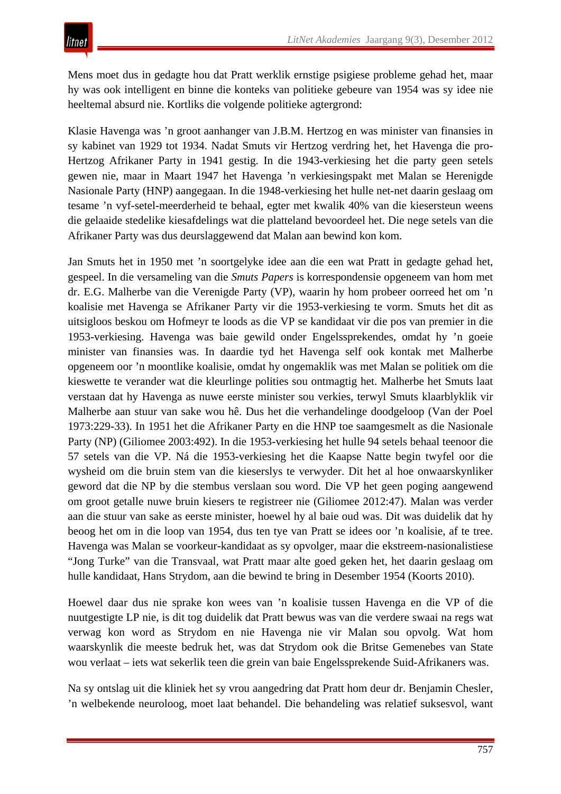Mens moet dus in gedagte hou dat Pratt werklik ernstige psigiese probleme gehad het, maar hy was ook intelligent en binne die konteks van politieke gebeure van 1954 was sy idee nie heeltemal absurd nie. Kortliks die volgende politieke agtergrond:

Klasie Havenga was 'n groot aanhanger van J.B.M. Hertzog en was minister van finansies in sy kabinet van 1929 tot 1934. Nadat Smuts vir Hertzog verdring het, het Havenga die pro-Hertzog Afrikaner Party in 1941 gestig. In die 1943-verkiesing het die party geen setels gewen nie, maar in Maart 1947 het Havenga 'n verkiesingspakt met Malan se Herenigde Nasionale Party (HNP) aangegaan. In die 1948-verkiesing het hulle net-net daarin geslaag om tesame 'n vyf-setel-meerderheid te behaal, egter met kwalik 40% van die kiesersteun weens die gelaaide stedelike kiesafdelings wat die platteland bevoordeel het. Die nege setels van die Afrikaner Party was dus deurslaggewend dat Malan aan bewind kon kom.

Jan Smuts het in 1950 met 'n soortgelyke idee aan die een wat Pratt in gedagte gehad het, gespeel. In die versameling van die *Smuts Papers* is korrespondensie opgeneem van hom met dr. E.G. Malherbe van die Verenigde Party (VP), waarin hy hom probeer oorreed het om 'n koalisie met Havenga se Afrikaner Party vir die 1953-verkiesing te vorm. Smuts het dit as uitsigloos beskou om Hofmeyr te loods as die VP se kandidaat vir die pos van premier in die 1953-verkiesing. Havenga was baie gewild onder Engelssprekendes, omdat hy 'n goeie minister van finansies was. In daardie tyd het Havenga self ook kontak met Malherbe opgeneem oor 'n moontlike koalisie, omdat hy ongemaklik was met Malan se politiek om die kieswette te verander wat die kleurlinge polities sou ontmagtig het. Malherbe het Smuts laat verstaan dat hy Havenga as nuwe eerste minister sou verkies, terwyl Smuts klaarblyklik vir Malherbe aan stuur van sake wou hê. Dus het die verhandelinge doodgeloop (Van der Poel 1973:229-33). In 1951 het die Afrikaner Party en die HNP toe saamgesmelt as die Nasionale Party (NP) (Giliomee 2003:492). In die 1953-verkiesing het hulle 94 setels behaal teenoor die 57 setels van die VP. Ná die 1953-verkiesing het die Kaapse Natte begin twyfel oor die wysheid om die bruin stem van die kieserslys te verwyder. Dit het al hoe onwaarskynliker geword dat die NP by die stembus verslaan sou word. Die VP het geen poging aangewend om groot getalle nuwe bruin kiesers te registreer nie (Giliomee 2012:47). Malan was verder aan die stuur van sake as eerste minister, hoewel hy al baie oud was. Dit was duidelik dat hy beoog het om in die loop van 1954, dus ten tye van Pratt se idees oor 'n koalisie, af te tree. Havenga was Malan se voorkeur-kandidaat as sy opvolger, maar die ekstreem-nasionalistiese "Jong Turke" van die Transvaal, wat Pratt maar alte goed geken het, het daarin geslaag om hulle kandidaat, Hans Strydom, aan die bewind te bring in Desember 1954 (Koorts 2010).

Hoewel daar dus nie sprake kon wees van 'n koalisie tussen Havenga en die VP of die nuutgestigte LP nie, is dit tog duidelik dat Pratt bewus was van die verdere swaai na regs wat verwag kon word as Strydom en nie Havenga nie vir Malan sou opvolg. Wat hom waarskynlik die meeste bedruk het, was dat Strydom ook die Britse Gemenebes van State wou verlaat – iets wat sekerlik teen die grein van baie Engelssprekende Suid-Afrikaners was.

Na sy ontslag uit die kliniek het sy vrou aangedring dat Pratt hom deur dr. Benjamin Chesler, 'n welbekende neuroloog, moet laat behandel. Die behandeling was relatief suksesvol, want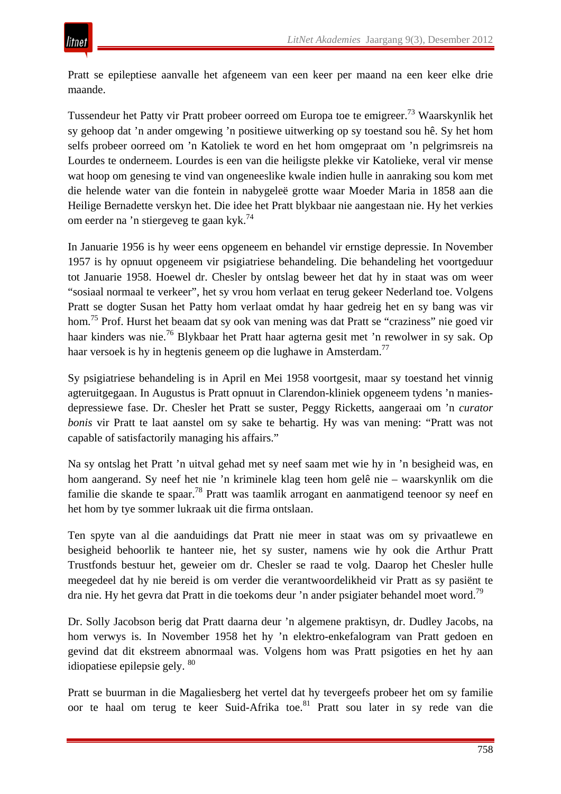Pratt se epileptiese aanvalle het afgeneem van een keer per maand na een keer elke drie maande.

Tussendeur het Patty vir Pratt probeer oorreed om Europa toe te emigreer.<sup>73</sup> Waarskynlik het sy gehoop dat 'n ander omgewing 'n positiewe uitwerking op sy toestand sou hê. Sy het hom selfs probeer oorreed om 'n Katoliek te word en het hom omgepraat om 'n pelgrimsreis na Lourdes te onderneem. Lourdes is een van die heiligste plekke vir Katolieke, veral vir mense wat hoop om genesing te vind van ongeneeslike kwale indien hulle in aanraking sou kom met die helende water van die fontein in nabygeleë grotte waar Moeder Maria in 1858 aan die Heilige Bernadette verskyn het. Die idee het Pratt blykbaar nie aangestaan nie. Hy het verkies om eerder na 'n stiergeveg te gaan kyk.74

In Januarie 1956 is hy weer eens opgeneem en behandel vir ernstige depressie. In November 1957 is hy opnuut opgeneem vir psigiatriese behandeling. Die behandeling het voortgeduur tot Januarie 1958. Hoewel dr. Chesler by ontslag beweer het dat hy in staat was om weer "sosiaal normaal te verkeer", het sy vrou hom verlaat en terug gekeer Nederland toe. Volgens Pratt se dogter Susan het Patty hom verlaat omdat hy haar gedreig het en sy bang was vir hom.75 Prof. Hurst het beaam dat sy ook van mening was dat Pratt se "craziness" nie goed vir haar kinders was nie.<sup>76</sup> Blykbaar het Pratt haar agterna gesit met 'n rewolwer in sy sak. Op haar versoek is hy in hegtenis geneem op die lughawe in Amsterdam.<sup>77</sup>

Sy psigiatriese behandeling is in April en Mei 1958 voortgesit, maar sy toestand het vinnig agteruitgegaan. In Augustus is Pratt opnuut in Clarendon-kliniek opgeneem tydens 'n maniesdepressiewe fase. Dr. Chesler het Pratt se suster, Peggy Ricketts, aangeraai om 'n *curator bonis* vir Pratt te laat aanstel om sy sake te behartig. Hy was van mening: "Pratt was not capable of satisfactorily managing his affairs."

Na sy ontslag het Pratt 'n uitval gehad met sy neef saam met wie hy in 'n besigheid was, en hom aangerand. Sy neef het nie 'n kriminele klag teen hom gelê nie – waarskynlik om die familie die skande te spaar.78 Pratt was taamlik arrogant en aanmatigend teenoor sy neef en het hom by tye sommer lukraak uit die firma ontslaan.

Ten spyte van al die aanduidings dat Pratt nie meer in staat was om sy privaatlewe en besigheid behoorlik te hanteer nie, het sy suster, namens wie hy ook die Arthur Pratt Trustfonds bestuur het, geweier om dr. Chesler se raad te volg. Daarop het Chesler hulle meegedeel dat hy nie bereid is om verder die verantwoordelikheid vir Pratt as sy pasiënt te dra nie. Hy het gevra dat Pratt in die toekoms deur 'n ander psigiater behandel moet word.<sup>79</sup>

Dr. Solly Jacobson berig dat Pratt daarna deur 'n algemene praktisyn, dr. Dudley Jacobs, na hom verwys is. In November 1958 het hy 'n elektro-enkefalogram van Pratt gedoen en gevind dat dit ekstreem abnormaal was. Volgens hom was Pratt psigoties en het hy aan idiopatiese epilepsie gely. <sup>80</sup>

Pratt se buurman in die Magaliesberg het vertel dat hy tevergeefs probeer het om sy familie oor te haal om terug te keer Suid-Afrika toe.<sup>81</sup> Pratt sou later in sy rede van die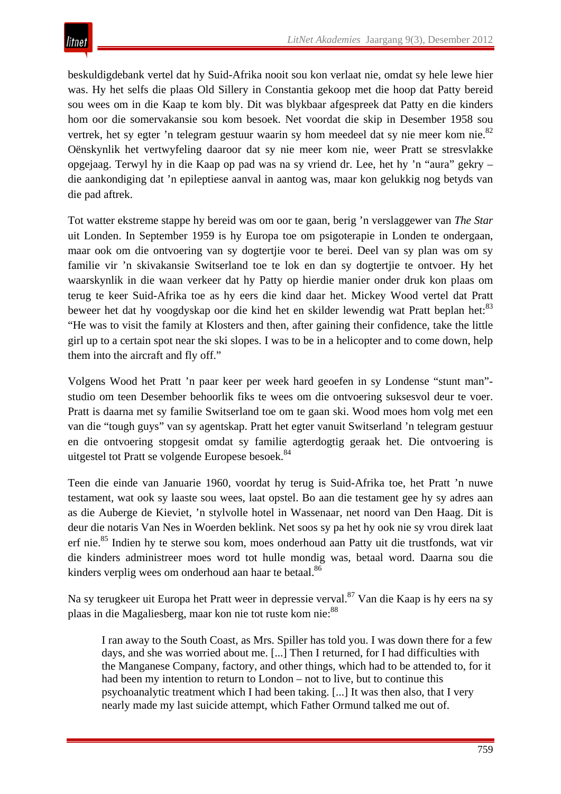beskuldigdebank vertel dat hy Suid-Afrika nooit sou kon verlaat nie, omdat sy hele lewe hier was. Hy het selfs die plaas Old Sillery in Constantia gekoop met die hoop dat Patty bereid sou wees om in die Kaap te kom bly. Dit was blykbaar afgespreek dat Patty en die kinders hom oor die somervakansie sou kom besoek. Net voordat die skip in Desember 1958 sou vertrek, het sy egter 'n telegram gestuur waarin sy hom meedeel dat sy nie meer kom nie.<sup>82</sup> Oënskynlik het vertwyfeling daaroor dat sy nie meer kom nie, weer Pratt se stresvlakke opgejaag. Terwyl hy in die Kaap op pad was na sy vriend dr. Lee, het hy 'n "aura" gekry – die aankondiging dat 'n epileptiese aanval in aantog was, maar kon gelukkig nog betyds van die pad aftrek.

Tot watter ekstreme stappe hy bereid was om oor te gaan, berig 'n verslaggewer van *The Star* uit Londen. In September 1959 is hy Europa toe om psigoterapie in Londen te ondergaan, maar ook om die ontvoering van sy dogtertjie voor te berei. Deel van sy plan was om sy familie vir 'n skivakansie Switserland toe te lok en dan sy dogtertjie te ontvoer. Hy het waarskynlik in die waan verkeer dat hy Patty op hierdie manier onder druk kon plaas om terug te keer Suid-Afrika toe as hy eers die kind daar het. Mickey Wood vertel dat Pratt beweer het dat hy voogdyskap oor die kind het en skilder lewendig wat Pratt beplan het:<sup>83</sup> "He was to visit the family at Klosters and then, after gaining their confidence, take the little girl up to a certain spot near the ski slopes. I was to be in a helicopter and to come down, help them into the aircraft and fly off."

Volgens Wood het Pratt 'n paar keer per week hard geoefen in sy Londense "stunt man" studio om teen Desember behoorlik fiks te wees om die ontvoering suksesvol deur te voer. Pratt is daarna met sy familie Switserland toe om te gaan ski. Wood moes hom volg met een van die "tough guys" van sy agentskap. Pratt het egter vanuit Switserland 'n telegram gestuur en die ontvoering stopgesit omdat sy familie agterdogtig geraak het. Die ontvoering is uitgestel tot Pratt se volgende Europese besoek.<sup>84</sup>

Teen die einde van Januarie 1960, voordat hy terug is Suid-Afrika toe, het Pratt 'n nuwe testament, wat ook sy laaste sou wees, laat opstel. Bo aan die testament gee hy sy adres aan as die Auberge de Kieviet, 'n stylvolle hotel in Wassenaar, net noord van Den Haag. Dit is deur die notaris Van Nes in Woerden beklink. Net soos sy pa het hy ook nie sy vrou direk laat erf nie.<sup>85</sup> Indien hy te sterwe sou kom, moes onderhoud aan Patty uit die trustfonds, wat vir die kinders administreer moes word tot hulle mondig was, betaal word. Daarna sou die kinders verplig wees om onderhoud aan haar te betaal.<sup>86</sup>

Na sy terugkeer uit Europa het Pratt weer in depressie verval.<sup>87</sup> Van die Kaap is hy eers na sy plaas in die Magaliesberg, maar kon nie tot ruste kom nie:  $88$ 

I ran away to the South Coast, as Mrs. Spiller has told you. I was down there for a few days, and she was worried about me. [...] Then I returned, for I had difficulties with the Manganese Company, factory, and other things, which had to be attended to, for it had been my intention to return to London – not to live, but to continue this psychoanalytic treatment which I had been taking. [...] It was then also, that I very nearly made my last suicide attempt, which Father Ormund talked me out of.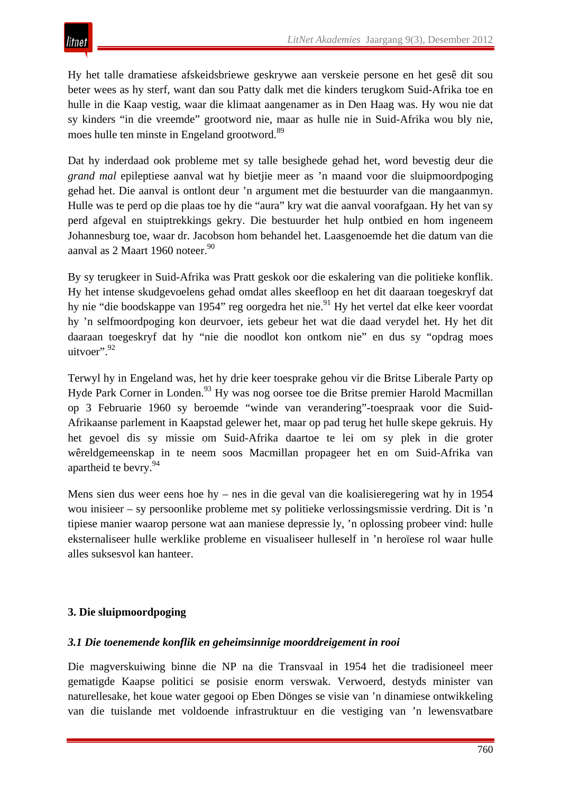Hy het talle dramatiese afskeidsbriewe geskrywe aan verskeie persone en het gesê dit sou beter wees as hy sterf, want dan sou Patty dalk met die kinders terugkom Suid-Afrika toe en hulle in die Kaap vestig, waar die klimaat aangenamer as in Den Haag was. Hy wou nie dat sy kinders "in die vreemde" grootword nie, maar as hulle nie in Suid-Afrika wou bly nie, moes hulle ten minste in Engeland grootword.<sup>89</sup>

Dat hy inderdaad ook probleme met sy talle besighede gehad het, word bevestig deur die *grand mal* epileptiese aanval wat hy bietjie meer as 'n maand voor die sluipmoordpoging gehad het. Die aanval is ontlont deur 'n argument met die bestuurder van die mangaanmyn. Hulle was te perd op die plaas toe hy die "aura" kry wat die aanval voorafgaan. Hy het van sy perd afgeval en stuiptrekkings gekry. Die bestuurder het hulp ontbied en hom ingeneem Johannesburg toe, waar dr. Jacobson hom behandel het. Laasgenoemde het die datum van die aanval as 2 Maart 1960 noteer.<sup>90</sup>

By sy terugkeer in Suid-Afrika was Pratt geskok oor die eskalering van die politieke konflik. Hy het intense skudgevoelens gehad omdat alles skeefloop en het dit daaraan toegeskryf dat hy nie "die boodskappe van 1954" reg oorgedra het nie.<sup>91</sup> Hy het vertel dat elke keer voordat hy 'n selfmoordpoging kon deurvoer, iets gebeur het wat die daad verydel het. Hy het dit daaraan toegeskryf dat hy "nie die noodlot kon ontkom nie" en dus sy "opdrag moes uitvoer". 92

Terwyl hy in Engeland was, het hy drie keer toesprake gehou vir die Britse Liberale Party op Hyde Park Corner in Londen.<sup>93</sup> Hy was nog oorsee toe die Britse premier Harold Macmillan op 3 Februarie 1960 sy beroemde "winde van verandering"-toespraak voor die Suid-Afrikaanse parlement in Kaapstad gelewer het, maar op pad terug het hulle skepe gekruis. Hy het gevoel dis sy missie om Suid-Afrika daartoe te lei om sy plek in die groter wêreldgemeenskap in te neem soos Macmillan propageer het en om Suid-Afrika van apartheid te bevry.<sup>94</sup>

Mens sien dus weer eens hoe hy – nes in die geval van die koalisieregering wat hy in 1954 wou inisieer – sy persoonlike probleme met sy politieke verlossingsmissie verdring. Dit is 'n tipiese manier waarop persone wat aan maniese depressie ly, 'n oplossing probeer vind: hulle eksternaliseer hulle werklike probleme en visualiseer hulleself in 'n heroïese rol waar hulle alles suksesvol kan hanteer.

# **3. Die sluipmoordpoging**

#### *3.1 Die toenemende konflik en geheimsinnige moorddreigement in rooi*

Die magverskuiwing binne die NP na die Transvaal in 1954 het die tradisioneel meer gematigde Kaapse politici se posisie enorm verswak. Verwoerd, destyds minister van naturellesake, het koue water gegooi op Eben Dönges se visie van 'n dinamiese ontwikkeling van die tuislande met voldoende infrastruktuur en die vestiging van 'n lewensvatbare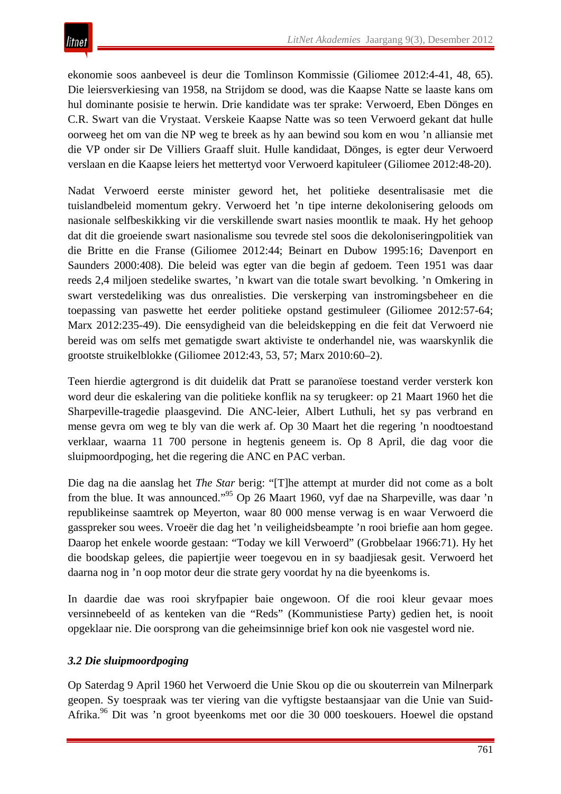ekonomie soos aanbeveel is deur die Tomlinson Kommissie (Giliomee 2012:4-41, 48, 65). Die leiersverkiesing van 1958, na Strijdom se dood, was die Kaapse Natte se laaste kans om hul dominante posisie te herwin. Drie kandidate was ter sprake: Verwoerd, Eben Dönges en C.R. Swart van die Vrystaat. Verskeie Kaapse Natte was so teen Verwoerd gekant dat hulle oorweeg het om van die NP weg te breek as hy aan bewind sou kom en wou 'n alliansie met die VP onder sir De Villiers Graaff sluit. Hulle kandidaat, Dönges, is egter deur Verwoerd verslaan en die Kaapse leiers het mettertyd voor Verwoerd kapituleer (Giliomee 2012:48-20).

Nadat Verwoerd eerste minister geword het, het politieke desentralisasie met die tuislandbeleid momentum gekry. Verwoerd het 'n tipe interne dekolonisering geloods om nasionale selfbeskikking vir die verskillende swart nasies moontlik te maak. Hy het gehoop dat dit die groeiende swart nasionalisme sou tevrede stel soos die dekoloniseringpolitiek van die Britte en die Franse (Giliomee 2012:44; Beinart en Dubow 1995:16; Davenport en Saunders 2000:408). Die beleid was egter van die begin af gedoem. Teen 1951 was daar reeds 2,4 miljoen stedelike swartes, 'n kwart van die totale swart bevolking. 'n Omkering in swart verstedeliking was dus onrealisties. Die verskerping van instromingsbeheer en die toepassing van paswette het eerder politieke opstand gestimuleer (Giliomee 2012:57-64; Marx 2012:235-49). Die eensydigheid van die beleidskepping en die feit dat Verwoerd nie bereid was om selfs met gematigde swart aktiviste te onderhandel nie, was waarskynlik die grootste struikelblokke (Giliomee 2012:43, 53, 57; Marx 2010:60–2).

Teen hierdie agtergrond is dit duidelik dat Pratt se paranoïese toestand verder versterk kon word deur die eskalering van die politieke konflik na sy terugkeer: op 21 Maart 1960 het die Sharpeville-tragedie plaasgevind. Die ANC-leier, Albert Luthuli, het sy pas verbrand en mense gevra om weg te bly van die werk af. Op 30 Maart het die regering 'n noodtoestand verklaar, waarna 11 700 persone in hegtenis geneem is. Op 8 April, die dag voor die sluipmoordpoging, het die regering die ANC en PAC verban.

Die dag na die aanslag het *The Star* berig: "[T]he attempt at murder did not come as a bolt from the blue. It was announced."<sup>95</sup> Op 26 Maart 1960, vyf dae na Sharpeville, was daar 'n republikeinse saamtrek op Meyerton, waar 80 000 mense verwag is en waar Verwoerd die gasspreker sou wees. Vroeër die dag het 'n veiligheidsbeampte 'n rooi briefie aan hom gegee. Daarop het enkele woorde gestaan: "Today we kill Verwoerd" (Grobbelaar 1966:71). Hy het die boodskap gelees, die papiertjie weer toegevou en in sy baadjiesak gesit. Verwoerd het daarna nog in 'n oop motor deur die strate gery voordat hy na die byeenkoms is.

In daardie dae was rooi skryfpapier baie ongewoon. Of die rooi kleur gevaar moes versinnebeeld of as kenteken van die "Reds" (Kommunistiese Party) gedien het, is nooit opgeklaar nie. Die oorsprong van die geheimsinnige brief kon ook nie vasgestel word nie.

# *3.2 Die sluipmoordpoging*

Op Saterdag 9 April 1960 het Verwoerd die Unie Skou op die ou skouterrein van Milnerpark geopen. Sy toespraak was ter viering van die vyftigste bestaansjaar van die Unie van Suid-Afrika.<sup>96</sup> Dit was 'n groot byeenkoms met oor die 30 000 toeskouers. Hoewel die opstand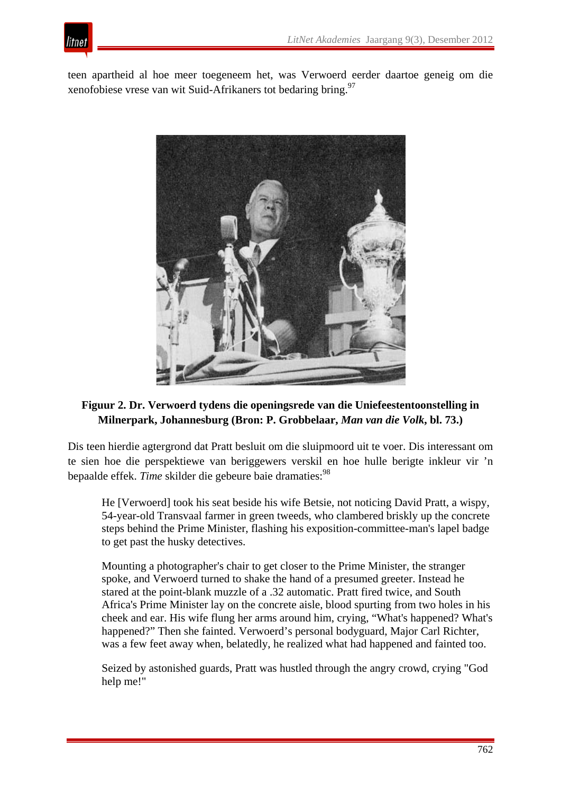

teen apartheid al hoe meer toegeneem het, was Verwoerd eerder daartoe geneig om die xenofobiese vrese van wit Suid-Afrikaners tot bedaring bring.97



# **Figuur 2. Dr. Verwoerd tydens die openingsrede van die Uniefeestentoonstelling in Milnerpark, Johannesburg (Bron: P. Grobbelaar,** *Man van die Volk***, bl. 73.)**

Dis teen hierdie agtergrond dat Pratt besluit om die sluipmoord uit te voer. Dis interessant om te sien hoe die perspektiewe van beriggewers verskil en hoe hulle berigte inkleur vir 'n bepaalde effek. *Time* skilder die gebeure baie dramaties:<sup>98</sup>

He [Verwoerd] took his seat beside his wife Betsie, not noticing David Pratt, a wispy, 54-year-old Transvaal farmer in green tweeds, who clambered briskly up the concrete steps behind the Prime Minister, flashing his exposition-committee-man's lapel badge to get past the husky detectives.

Mounting a photographer's chair to get closer to the Prime Minister, the stranger spoke, and Verwoerd turned to shake the hand of a presumed greeter. Instead he stared at the point-blank muzzle of a .32 automatic. Pratt fired twice, and South Africa's Prime Minister lay on the concrete aisle, blood spurting from two holes in his cheek and ear. His wife flung her arms around him, crying, "What's happened? What's happened?" Then she fainted. Verwoerd's personal bodyguard, Major Carl Richter, was a few feet away when, belatedly, he realized what had happened and fainted too.

Seized by astonished guards, Pratt was hustled through the angry crowd, crying "God help me!"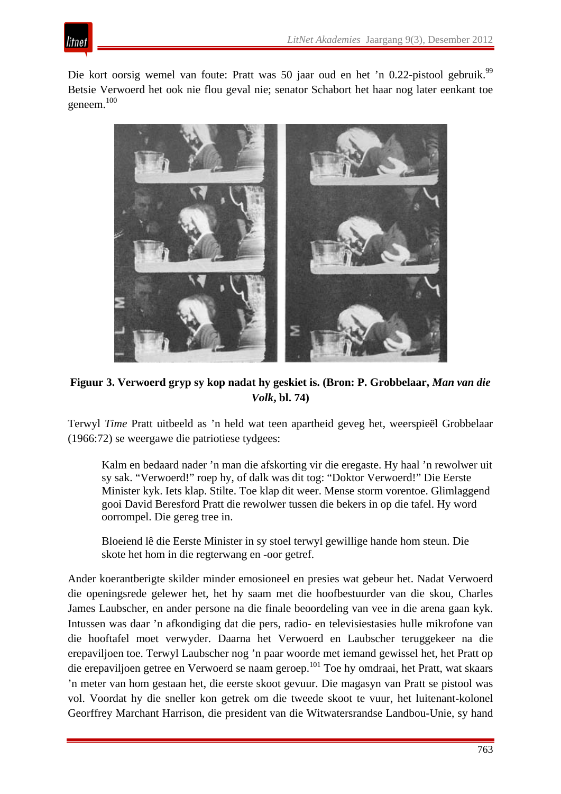

Die kort oorsig wemel van foute: Pratt was 50 jaar oud en het 'n 0.22-pistool gebruik.<sup>99</sup> Betsie Verwoerd het ook nie flou geval nie; senator Schabort het haar nog later eenkant toe geneem.100



**Figuur 3. Verwoerd gryp sy kop nadat hy geskiet is. (Bron: P. Grobbelaar,** *Man van die Volk***, bl. 74)**

Terwyl *Time* Pratt uitbeeld as 'n held wat teen apartheid geveg het, weerspieël Grobbelaar (1966:72) se weergawe die patriotiese tydgees:

Kalm en bedaard nader 'n man die afskorting vir die eregaste. Hy haal 'n rewolwer uit sy sak. "Verwoerd!" roep hy, of dalk was dit tog: "Doktor Verwoerd!" Die Eerste Minister kyk. Iets klap. Stilte. Toe klap dit weer. Mense storm vorentoe. Glimlaggend gooi David Beresford Pratt die rewolwer tussen die bekers in op die tafel. Hy word oorrompel. Die gereg tree in.

Bloeiend lê die Eerste Minister in sy stoel terwyl gewillige hande hom steun. Die skote het hom in die regterwang en -oor getref.

Ander koerantberigte skilder minder emosioneel en presies wat gebeur het. Nadat Verwoerd die openingsrede gelewer het, het hy saam met die hoofbestuurder van die skou, Charles James Laubscher, en ander persone na die finale beoordeling van vee in die arena gaan kyk. Intussen was daar 'n afkondiging dat die pers, radio- en televisiestasies hulle mikrofone van die hooftafel moet verwyder. Daarna het Verwoerd en Laubscher teruggekeer na die erepaviljoen toe. Terwyl Laubscher nog 'n paar woorde met iemand gewissel het, het Pratt op die erepaviljoen getree en Verwoerd se naam geroep.101 Toe hy omdraai, het Pratt, wat skaars 'n meter van hom gestaan het, die eerste skoot gevuur. Die magasyn van Pratt se pistool was vol. Voordat hy die sneller kon getrek om die tweede skoot te vuur, het luitenant-kolonel Georffrey Marchant Harrison, die president van die Witwatersrandse Landbou-Unie, sy hand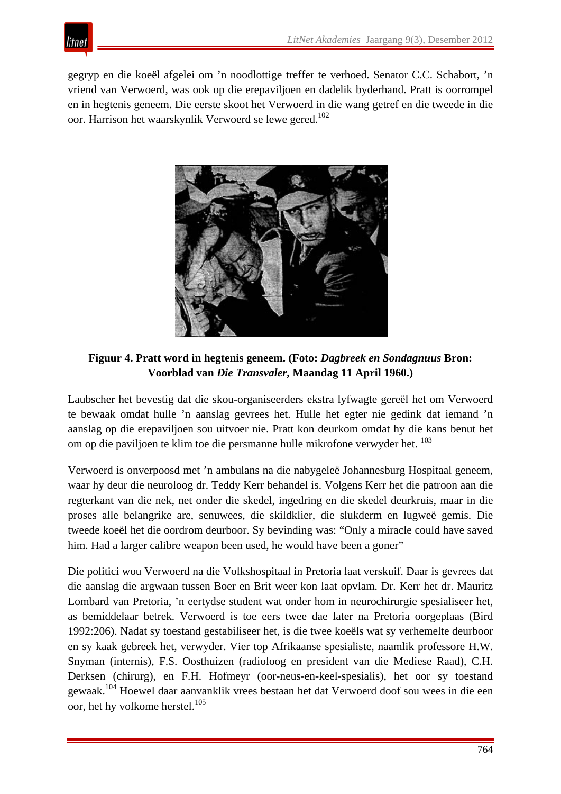

gegryp en die koeël afgelei om 'n noodlottige treffer te verhoed. Senator C.C. Schabort, 'n vriend van Verwoerd, was ook op die erepaviljoen en dadelik byderhand. Pratt is oorrompel en in hegtenis geneem. Die eerste skoot het Verwoerd in die wang getref en die tweede in die oor. Harrison het waarskynlik Verwoerd se lewe gered.<sup>102</sup>



**Figuur 4. Pratt word in hegtenis geneem. (Foto:** *Dagbreek en Sondagnuus* **Bron: Voorblad van** *Die Transvaler***, Maandag 11 April 1960.)**

Laubscher het bevestig dat die skou-organiseerders ekstra lyfwagte gereël het om Verwoerd te bewaak omdat hulle 'n aanslag gevrees het. Hulle het egter nie gedink dat iemand 'n aanslag op die erepaviljoen sou uitvoer nie. Pratt kon deurkom omdat hy die kans benut het om op die paviljoen te klim toe die persmanne hulle mikrofone verwyder het. <sup>103</sup>

Verwoerd is onverpoosd met 'n ambulans na die nabygeleë Johannesburg Hospitaal geneem, waar hy deur die neuroloog dr. Teddy Kerr behandel is. Volgens Kerr het die patroon aan die regterkant van die nek, net onder die skedel, ingedring en die skedel deurkruis, maar in die proses alle belangrike are, senuwees, die skildklier, die slukderm en lugweë gemis. Die tweede koeël het die oordrom deurboor. Sy bevinding was: "Only a miracle could have saved him. Had a larger calibre weapon been used, he would have been a goner"

Die politici wou Verwoerd na die Volkshospitaal in Pretoria laat verskuif. Daar is gevrees dat die aanslag die argwaan tussen Boer en Brit weer kon laat opvlam. Dr. Kerr het dr. Mauritz Lombard van Pretoria, 'n eertydse student wat onder hom in neurochirurgie spesialiseer het, as bemiddelaar betrek. Verwoerd is toe eers twee dae later na Pretoria oorgeplaas (Bird 1992:206). Nadat sy toestand gestabiliseer het, is die twee koeëls wat sy verhemelte deurboor en sy kaak gebreek het, verwyder. Vier top Afrikaanse spesialiste, naamlik professore H.W. Snyman (internis), F.S. Oosthuizen (radioloog en president van die Mediese Raad), C.H. Derksen (chirurg), en F.H. Hofmeyr (oor-neus-en-keel-spesialis), het oor sy toestand gewaak.104 Hoewel daar aanvanklik vrees bestaan het dat Verwoerd doof sou wees in die een oor, het hy volkome herstel.<sup>105</sup>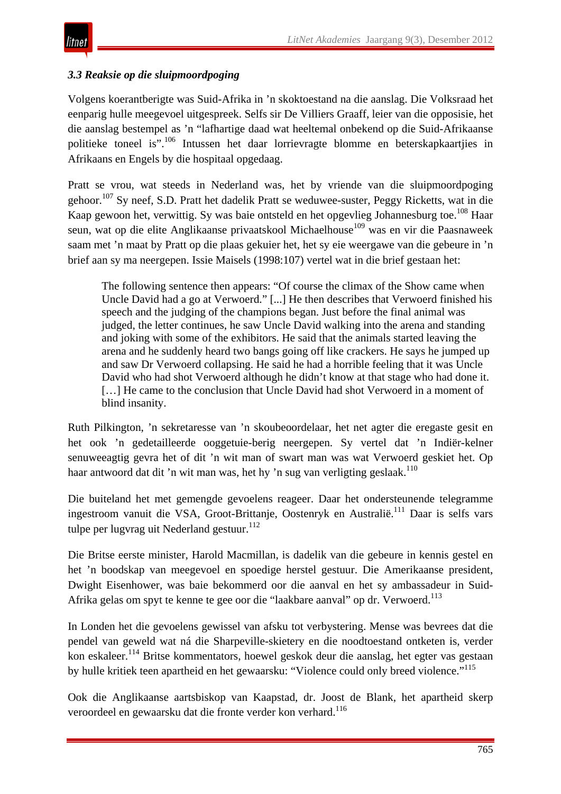# *3.3 Reaksie op die sluipmoordpoging*

Volgens koerantberigte was Suid-Afrika in 'n skoktoestand na die aanslag. Die Volksraad het eenparig hulle meegevoel uitgespreek. Selfs sir De Villiers Graaff, leier van die opposisie, het die aanslag bestempel as 'n "lafhartige daad wat heeltemal onbekend op die Suid-Afrikaanse politieke toneel is".<sup>106</sup> Intussen het daar lorrievragte blomme en beterskapkaartjies in Afrikaans en Engels by die hospitaal opgedaag.

Pratt se vrou, wat steeds in Nederland was, het by vriende van die sluipmoordpoging gehoor.<sup>107</sup> Sy neef, S.D. Pratt het dadelik Pratt se weduwee-suster, Peggy Ricketts, wat in die Kaap gewoon het, verwittig. Sy was baie ontsteld en het opgevlieg Johannesburg toe.<sup>108</sup> Haar seun, wat op die elite Anglikaanse privaatskool Michaelhouse<sup>109</sup> was en vir die Paasnaweek saam met 'n maat by Pratt op die plaas gekuier het, het sy eie weergawe van die gebeure in 'n brief aan sy ma neergepen. Issie Maisels (1998:107) vertel wat in die brief gestaan het:

The following sentence then appears: "Of course the climax of the Show came when Uncle David had a go at Verwoerd." [...] He then describes that Verwoerd finished his speech and the judging of the champions began. Just before the final animal was judged, the letter continues, he saw Uncle David walking into the arena and standing and joking with some of the exhibitors. He said that the animals started leaving the arena and he suddenly heard two bangs going off like crackers. He says he jumped up and saw Dr Verwoerd collapsing. He said he had a horrible feeling that it was Uncle David who had shot Verwoerd although he didn't know at that stage who had done it. [...] He came to the conclusion that Uncle David had shot Verwoerd in a moment of blind insanity.

Ruth Pilkington, 'n sekretaresse van 'n skoubeoordelaar, het net agter die eregaste gesit en het ook 'n gedetailleerde ooggetuie-berig neergepen. Sy vertel dat 'n Indiër-kelner senuweeagtig gevra het of dit 'n wit man of swart man was wat Verwoerd geskiet het. Op haar antwoord dat dit 'n wit man was, het hy 'n sug van verligting geslaak.<sup>110</sup>

Die buiteland het met gemengde gevoelens reageer. Daar het ondersteunende telegramme ingestroom vanuit die VSA, Groot-Brittanje, Oostenryk en Australië.111 Daar is selfs vars tulpe per lugvrag uit Nederland gestuur.<sup>112</sup>

Die Britse eerste minister, Harold Macmillan, is dadelik van die gebeure in kennis gestel en het 'n boodskap van meegevoel en spoedige herstel gestuur. Die Amerikaanse president, Dwight Eisenhower, was baie bekommerd oor die aanval en het sy ambassadeur in Suid-Afrika gelas om spyt te kenne te gee oor die "laakbare aanval" op dr. Verwoerd.<sup>113</sup>

In Londen het die gevoelens gewissel van afsku tot verbystering. Mense was bevrees dat die pendel van geweld wat ná die Sharpeville-skietery en die noodtoestand ontketen is, verder kon eskaleer.<sup>114</sup> Britse kommentators, hoewel geskok deur die aanslag, het egter vas gestaan by hulle kritiek teen apartheid en het gewaarsku: "Violence could only breed violence."<sup>115</sup>

Ook die Anglikaanse aartsbiskop van Kaapstad, dr. Joost de Blank, het apartheid skerp veroordeel en gewaarsku dat die fronte verder kon verhard.<sup>116</sup>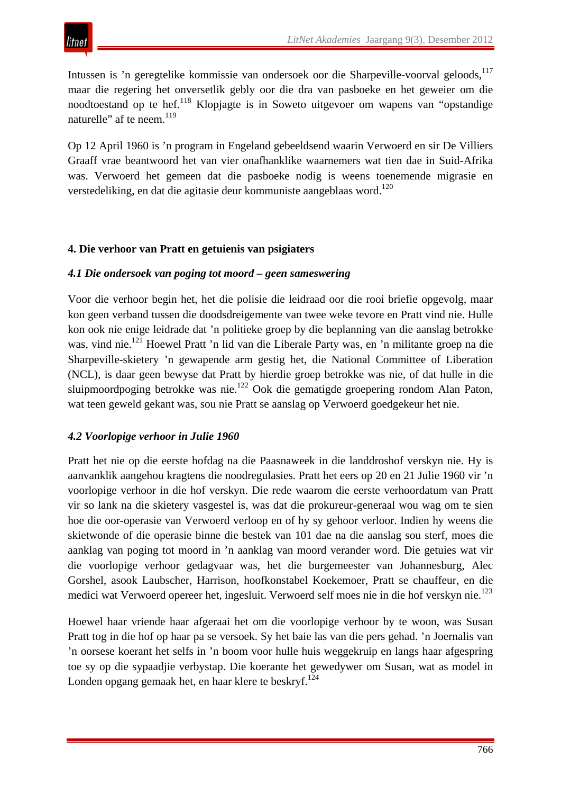Intussen is 'n geregtelike kommissie van ondersoek oor die Sharpeville-voorval geloods,<sup>117</sup> maar die regering het onversetlik gebly oor die dra van pasboeke en het geweier om die noodtoestand op te hef.<sup>118</sup> Klopjagte is in Soweto uitgevoer om wapens van "opstandige naturelle" af te neem.<sup>119</sup>

Op 12 April 1960 is 'n program in Engeland gebeeldsend waarin Verwoerd en sir De Villiers Graaff vrae beantwoord het van vier onafhanklike waarnemers wat tien dae in Suid-Afrika was. Verwoerd het gemeen dat die pasboeke nodig is weens toenemende migrasie en verstedeliking, en dat die agitasie deur kommuniste aangeblaas word.<sup>120</sup>

## **4. Die verhoor van Pratt en getuienis van psigiaters**

## *4.1 Die ondersoek van poging tot moord – geen sameswering*

Voor die verhoor begin het, het die polisie die leidraad oor die rooi briefie opgevolg, maar kon geen verband tussen die doodsdreigemente van twee weke tevore en Pratt vind nie. Hulle kon ook nie enige leidrade dat 'n politieke groep by die beplanning van die aanslag betrokke was, vind nie.<sup>121</sup> Hoewel Pratt 'n lid van die Liberale Party was, en 'n militante groep na die Sharpeville-skietery 'n gewapende arm gestig het, die National Committee of Liberation (NCL), is daar geen bewyse dat Pratt by hierdie groep betrokke was nie, of dat hulle in die sluipmoordpoging betrokke was nie.122 Ook die gematigde groepering rondom Alan Paton, wat teen geweld gekant was, sou nie Pratt se aanslag op Verwoerd goedgekeur het nie.

#### *4.2 Voorlopige verhoor in Julie 1960*

Pratt het nie op die eerste hofdag na die Paasnaweek in die landdroshof verskyn nie. Hy is aanvanklik aangehou kragtens die noodregulasies. Pratt het eers op 20 en 21 Julie 1960 vir 'n voorlopige verhoor in die hof verskyn. Die rede waarom die eerste verhoordatum van Pratt vir so lank na die skietery vasgestel is, was dat die prokureur-generaal wou wag om te sien hoe die oor-operasie van Verwoerd verloop en of hy sy gehoor verloor. Indien hy weens die skietwonde of die operasie binne die bestek van 101 dae na die aanslag sou sterf, moes die aanklag van poging tot moord in 'n aanklag van moord verander word. Die getuies wat vir die voorlopige verhoor gedagvaar was, het die burgemeester van Johannesburg, Alec Gorshel, asook Laubscher, Harrison, hoofkonstabel Koekemoer, Pratt se chauffeur, en die medici wat Verwoerd opereer het, ingesluit. Verwoerd self moes nie in die hof verskyn nie.<sup>123</sup>

Hoewel haar vriende haar afgeraai het om die voorlopige verhoor by te woon, was Susan Pratt tog in die hof op haar pa se versoek. Sy het baie las van die pers gehad. 'n Joernalis van 'n oorsese koerant het selfs in 'n boom voor hulle huis weggekruip en langs haar afgespring toe sy op die sypaadjie verbystap. Die koerante het gewedywer om Susan, wat as model in Londen opgang gemaak het, en haar klere te beskryf.<sup>124</sup>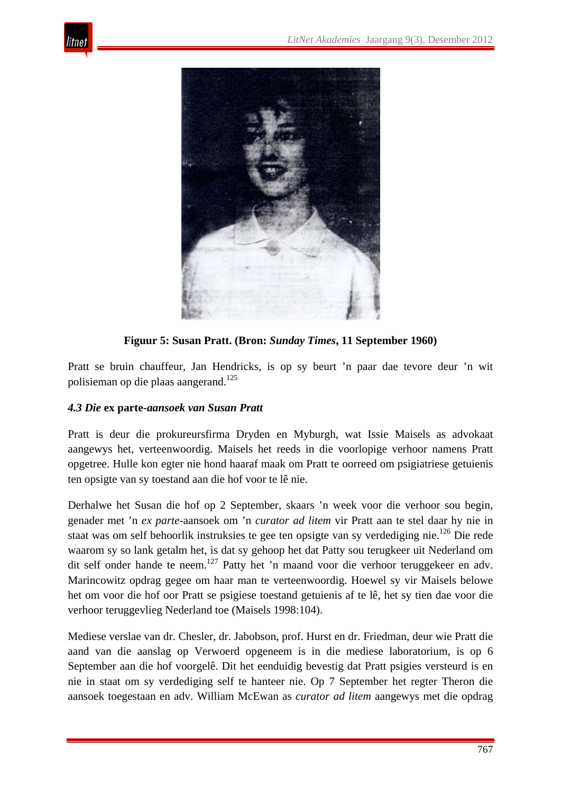



**Figuur 5: Susan Pratt. (Bron:** *Sunday Times***, 11 September 1960)**

Pratt se bruin chauffeur, Jan Hendricks, is op sy beurt 'n paar dae tevore deur 'n wit polisieman op die plaas aangerand.<sup>125</sup>

## *4.3 Die* **ex parte-***aansoek van Susan Pratt*

Pratt is deur die prokureursfirma Dryden en Myburgh, wat Issie Maisels as advokaat aangewys het, verteenwoordig. Maisels het reeds in die voorlopige verhoor namens Pratt opgetree. Hulle kon egter nie hond haaraf maak om Pratt te oorreed om psigiatriese getuienis ten opsigte van sy toestand aan die hof voor te lê nie.

Derhalwe het Susan die hof op 2 September, skaars 'n week voor die verhoor sou begin, genader met 'n *ex parte*-aansoek om 'n *curator ad litem* vir Pratt aan te stel daar hy nie in staat was om self behoorlik instruksies te gee ten opsigte van sy verdediging nie.<sup>126</sup> Die rede waarom sy so lank getalm het, is dat sy gehoop het dat Patty sou terugkeer uit Nederland om dit self onder hande te neem.<sup>127</sup> Patty het 'n maand voor die verhoor teruggekeer en adv. Marincowitz opdrag gegee om haar man te verteenwoordig. Hoewel sy vir Maisels belowe het om voor die hof oor Pratt se psigiese toestand getuienis af te lê, het sy tien dae voor die verhoor teruggevlieg Nederland toe (Maisels 1998:104).

Mediese verslae van dr. Chesler, dr. Jabobson, prof. Hurst en dr. Friedman, deur wie Pratt die aand van die aanslag op Verwoerd opgeneem is in die mediese laboratorium, is op 6 September aan die hof voorgelê. Dit het eenduidig bevestig dat Pratt psigies versteurd is en nie in staat om sy verdediging self te hanteer nie. Op 7 September het regter Theron die aansoek toegestaan en adv. William McEwan as *curator ad litem* aangewys met die opdrag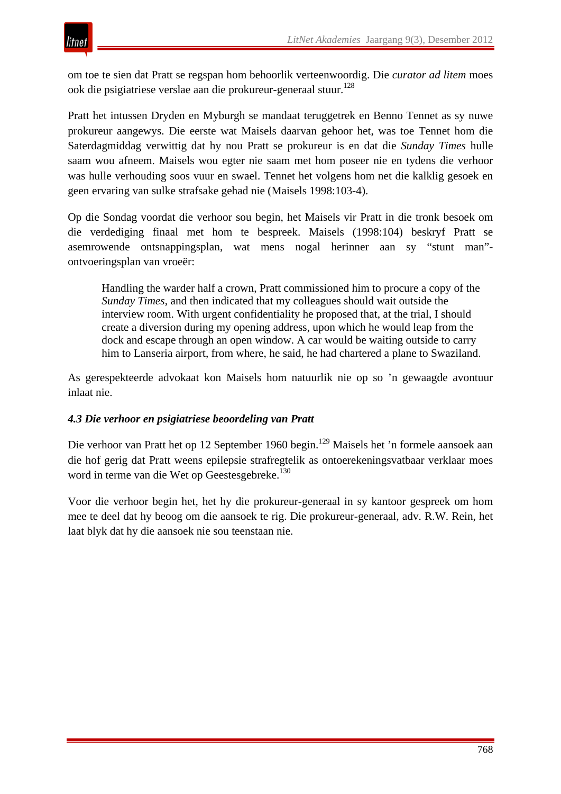om toe te sien dat Pratt se regspan hom behoorlik verteenwoordig. Die *curator ad litem* moes ook die psigiatriese verslae aan die prokureur-generaal stuur.<sup>128</sup>

Pratt het intussen Dryden en Myburgh se mandaat teruggetrek en Benno Tennet as sy nuwe prokureur aangewys. Die eerste wat Maisels daarvan gehoor het, was toe Tennet hom die Saterdagmiddag verwittig dat hy nou Pratt se prokureur is en dat die *Sunday Times* hulle saam wou afneem. Maisels wou egter nie saam met hom poseer nie en tydens die verhoor was hulle verhouding soos vuur en swael. Tennet het volgens hom net die kalklig gesoek en geen ervaring van sulke strafsake gehad nie (Maisels 1998:103-4).

Op die Sondag voordat die verhoor sou begin, het Maisels vir Pratt in die tronk besoek om die verdediging finaal met hom te bespreek. Maisels (1998:104) beskryf Pratt se asemrowende ontsnappingsplan, wat mens nogal herinner aan sy "stunt man" ontvoeringsplan van vroeër:

Handling the warder half a crown, Pratt commissioned him to procure a copy of the *Sunday Times*, and then indicated that my colleagues should wait outside the interview room. With urgent confidentiality he proposed that, at the trial, I should create a diversion during my opening address, upon which he would leap from the dock and escape through an open window. A car would be waiting outside to carry him to Lanseria airport, from where, he said, he had chartered a plane to Swaziland.

As gerespekteerde advokaat kon Maisels hom natuurlik nie op so 'n gewaagde avontuur inlaat nie.

#### *4.3 Die verhoor en psigiatriese beoordeling van Pratt*

Die verhoor van Pratt het op 12 September 1960 begin.<sup>129</sup> Maisels het 'n formele aansoek aan die hof gerig dat Pratt weens epilepsie strafregtelik as ontoerekeningsvatbaar verklaar moes word in terme van die Wet op Geestesgebreke.<sup>130</sup>

Voor die verhoor begin het, het hy die prokureur-generaal in sy kantoor gespreek om hom mee te deel dat hy beoog om die aansoek te rig. Die prokureur-generaal, adv. R.W. Rein, het laat blyk dat hy die aansoek nie sou teenstaan nie.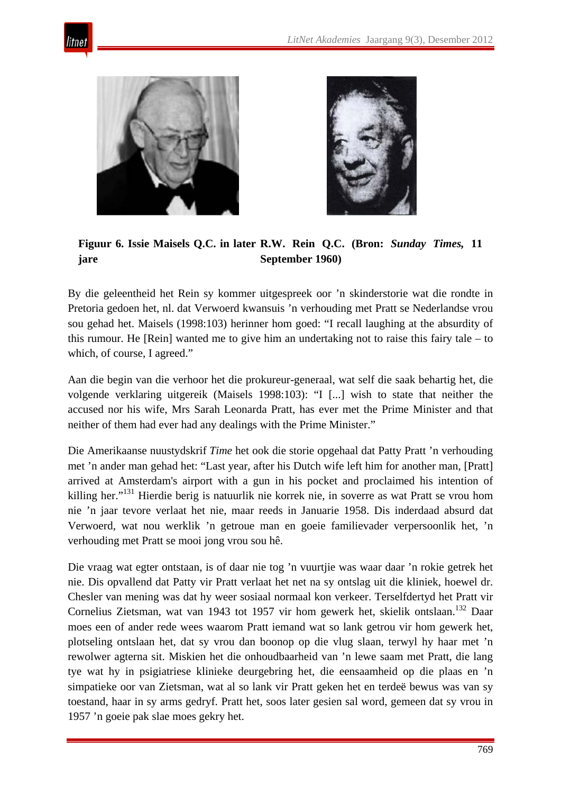





**Figuur 6. Issie Maisels Q.C. in later R.W. Rein Q.C. (Bron:** *Sunday Times,* **11 jare September 1960)**

By die geleentheid het Rein sy kommer uitgespreek oor 'n skinderstorie wat die rondte in Pretoria gedoen het, nl. dat Verwoerd kwansuis 'n verhouding met Pratt se Nederlandse vrou sou gehad het. Maisels (1998:103) herinner hom goed: "I recall laughing at the absurdity of this rumour. He [Rein] wanted me to give him an undertaking not to raise this fairy tale – to which, of course, I agreed."

Aan die begin van die verhoor het die prokureur-generaal, wat self die saak behartig het, die volgende verklaring uitgereik (Maisels 1998:103): "I [...] wish to state that neither the accused nor his wife, Mrs Sarah Leonarda Pratt, has ever met the Prime Minister and that neither of them had ever had any dealings with the Prime Minister."

Die Amerikaanse nuustydskrif *Time* het ook die storie opgehaal dat Patty Pratt 'n verhouding met 'n ander man gehad het: "Last year, after his Dutch wife left him for another man, [Pratt] arrived at Amsterdam's airport with a gun in his pocket and proclaimed his intention of killing her."<sup>131</sup> Hierdie berig is natuurlik nie korrek nie, in soverre as wat Pratt se vrou hom nie 'n jaar tevore verlaat het nie, maar reeds in Januarie 1958. Dis inderdaad absurd dat Verwoerd, wat nou werklik 'n getroue man en goeie familievader verpersoonlik het, 'n verhouding met Pratt se mooi jong vrou sou hê.

Die vraag wat egter ontstaan, is of daar nie tog 'n vuurtjie was waar daar 'n rokie getrek het nie. Dis opvallend dat Patty vir Pratt verlaat het net na sy ontslag uit die kliniek, hoewel dr. Chesler van mening was dat hy weer sosiaal normaal kon verkeer. Terselfdertyd het Pratt vir Cornelius Zietsman, wat van 1943 tot 1957 vir hom gewerk het, skielik ontslaan.<sup>132</sup> Daar moes een of ander rede wees waarom Pratt iemand wat so lank getrou vir hom gewerk het, plotseling ontslaan het, dat sy vrou dan boonop op die vlug slaan, terwyl hy haar met 'n rewolwer agterna sit. Miskien het die onhoudbaarheid van 'n lewe saam met Pratt, die lang tye wat hy in psigiatriese klinieke deurgebring het, die eensaamheid op die plaas en 'n simpatieke oor van Zietsman, wat al so lank vir Pratt geken het en terdeë bewus was van sy toestand, haar in sy arms gedryf. Pratt het, soos later gesien sal word, gemeen dat sy vrou in 1957 'n goeie pak slae moes gekry het.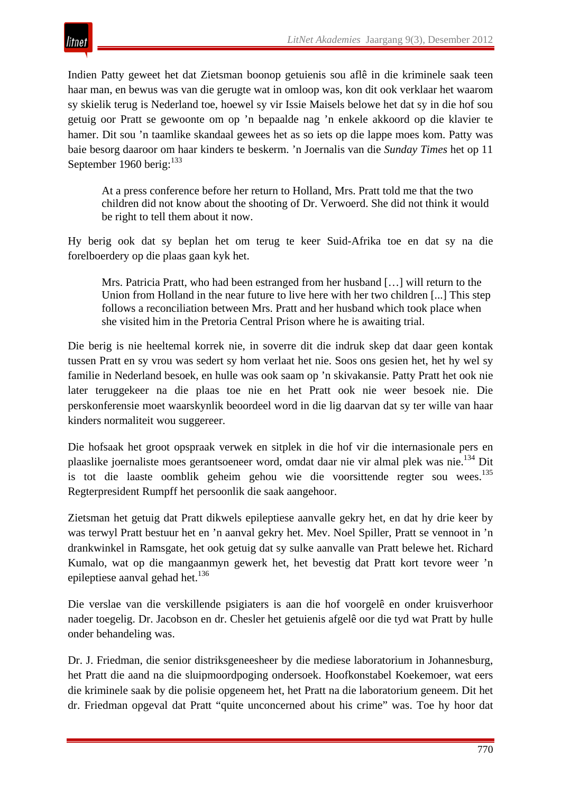

Indien Patty geweet het dat Zietsman boonop getuienis sou aflê in die kriminele saak teen haar man, en bewus was van die gerugte wat in omloop was, kon dit ook verklaar het waarom sy skielik terug is Nederland toe, hoewel sy vir Issie Maisels belowe het dat sy in die hof sou getuig oor Pratt se gewoonte om op 'n bepaalde nag 'n enkele akkoord op die klavier te hamer. Dit sou 'n taamlike skandaal gewees het as so iets op die lappe moes kom. Patty was baie besorg daaroor om haar kinders te beskerm. 'n Joernalis van die *Sunday Times* het op 11 September 1960 berig: $^{133}$ 

At a press conference before her return to Holland, Mrs. Pratt told me that the two children did not know about the shooting of Dr. Verwoerd. She did not think it would be right to tell them about it now.

Hy berig ook dat sy beplan het om terug te keer Suid-Afrika toe en dat sy na die forelboerdery op die plaas gaan kyk het.

Mrs. Patricia Pratt, who had been estranged from her husband […] will return to the Union from Holland in the near future to live here with her two children [...] This step follows a reconciliation between Mrs. Pratt and her husband which took place when she visited him in the Pretoria Central Prison where he is awaiting trial.

Die berig is nie heeltemal korrek nie, in soverre dit die indruk skep dat daar geen kontak tussen Pratt en sy vrou was sedert sy hom verlaat het nie. Soos ons gesien het, het hy wel sy familie in Nederland besoek, en hulle was ook saam op 'n skivakansie. Patty Pratt het ook nie later teruggekeer na die plaas toe nie en het Pratt ook nie weer besoek nie. Die perskonferensie moet waarskynlik beoordeel word in die lig daarvan dat sy ter wille van haar kinders normaliteit wou suggereer.

Die hofsaak het groot opspraak verwek en sitplek in die hof vir die internasionale pers en plaaslike joernaliste moes gerantsoeneer word, omdat daar nie vir almal plek was nie.<sup>134</sup> Dit is tot die laaste oomblik geheim gehou wie die voorsittende regter sou wees.<sup>135</sup> Regterpresident Rumpff het persoonlik die saak aangehoor.

Zietsman het getuig dat Pratt dikwels epileptiese aanvalle gekry het, en dat hy drie keer by was terwyl Pratt bestuur het en 'n aanval gekry het. Mev. Noel Spiller, Pratt se vennoot in 'n drankwinkel in Ramsgate, het ook getuig dat sy sulke aanvalle van Pratt belewe het. Richard Kumalo, wat op die mangaanmyn gewerk het, het bevestig dat Pratt kort tevore weer 'n epileptiese aanval gehad het. $136$ 

Die verslae van die verskillende psigiaters is aan die hof voorgelê en onder kruisverhoor nader toegelig. Dr. Jacobson en dr. Chesler het getuienis afgelê oor die tyd wat Pratt by hulle onder behandeling was.

Dr. J. Friedman, die senior distriksgeneesheer by die mediese laboratorium in Johannesburg, het Pratt die aand na die sluipmoordpoging ondersoek. Hoofkonstabel Koekemoer, wat eers die kriminele saak by die polisie opgeneem het, het Pratt na die laboratorium geneem. Dit het dr. Friedman opgeval dat Pratt "quite unconcerned about his crime" was. Toe hy hoor dat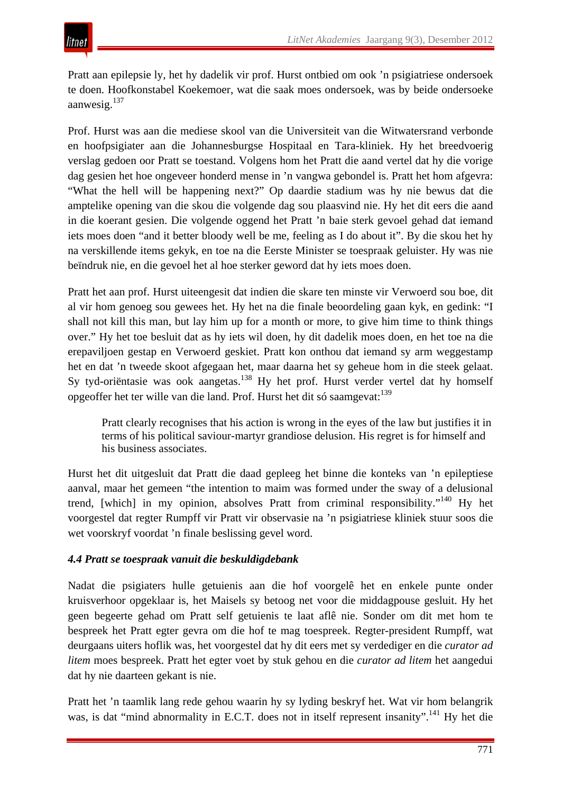Pratt aan epilepsie ly, het hy dadelik vir prof. Hurst ontbied om ook 'n psigiatriese ondersoek te doen. Hoofkonstabel Koekemoer, wat die saak moes ondersoek, was by beide ondersoeke aanwesig.137

Prof. Hurst was aan die mediese skool van die Universiteit van die Witwatersrand verbonde en hoofpsigiater aan die Johannesburgse Hospitaal en Tara-kliniek. Hy het breedvoerig verslag gedoen oor Pratt se toestand. Volgens hom het Pratt die aand vertel dat hy die vorige dag gesien het hoe ongeveer honderd mense in 'n vangwa gebondel is. Pratt het hom afgevra: "What the hell will be happening next?" Op daardie stadium was hy nie bewus dat die amptelike opening van die skou die volgende dag sou plaasvind nie. Hy het dit eers die aand in die koerant gesien. Die volgende oggend het Pratt 'n baie sterk gevoel gehad dat iemand iets moes doen "and it better bloody well be me, feeling as I do about it". By die skou het hy na verskillende items gekyk, en toe na die Eerste Minister se toespraak geluister. Hy was nie beïndruk nie, en die gevoel het al hoe sterker geword dat hy iets moes doen.

Pratt het aan prof. Hurst uiteengesit dat indien die skare ten minste vir Verwoerd sou boe, dit al vir hom genoeg sou gewees het. Hy het na die finale beoordeling gaan kyk, en gedink: "I shall not kill this man, but lay him up for a month or more, to give him time to think things over." Hy het toe besluit dat as hy iets wil doen, hy dit dadelik moes doen, en het toe na die erepaviljoen gestap en Verwoerd geskiet. Pratt kon onthou dat iemand sy arm weggestamp het en dat 'n tweede skoot afgegaan het, maar daarna het sy geheue hom in die steek gelaat. Sy tyd-oriëntasie was ook aangetas.<sup>138</sup> Hy het prof. Hurst verder vertel dat hy homself opgeoffer het ter wille van die land. Prof. Hurst het dit só saamgevat:139

Pratt clearly recognises that his action is wrong in the eyes of the law but justifies it in terms of his political saviour-martyr grandiose delusion. His regret is for himself and his business associates.

Hurst het dit uitgesluit dat Pratt die daad gepleeg het binne die konteks van 'n epileptiese aanval, maar het gemeen "the intention to maim was formed under the sway of a delusional trend, [which] in my opinion, absolves Pratt from criminal responsibility."<sup>140</sup> Hy het voorgestel dat regter Rumpff vir Pratt vir observasie na 'n psigiatriese kliniek stuur soos die wet voorskryf voordat 'n finale beslissing gevel word.

# *4.4 Pratt se toespraak vanuit die beskuldigdebank*

Nadat die psigiaters hulle getuienis aan die hof voorgelê het en enkele punte onder kruisverhoor opgeklaar is, het Maisels sy betoog net voor die middagpouse gesluit. Hy het geen begeerte gehad om Pratt self getuienis te laat aflê nie. Sonder om dit met hom te bespreek het Pratt egter gevra om die hof te mag toespreek. Regter-president Rumpff, wat deurgaans uiters hoflik was, het voorgestel dat hy dit eers met sy verdediger en die *curator ad litem* moes bespreek. Pratt het egter voet by stuk gehou en die *curator ad litem* het aangedui dat hy nie daarteen gekant is nie.

Pratt het 'n taamlik lang rede gehou waarin hy sy lyding beskryf het. Wat vir hom belangrik was, is dat "mind abnormality in E.C.T. does not in itself represent insanity".<sup>141</sup> Hy het die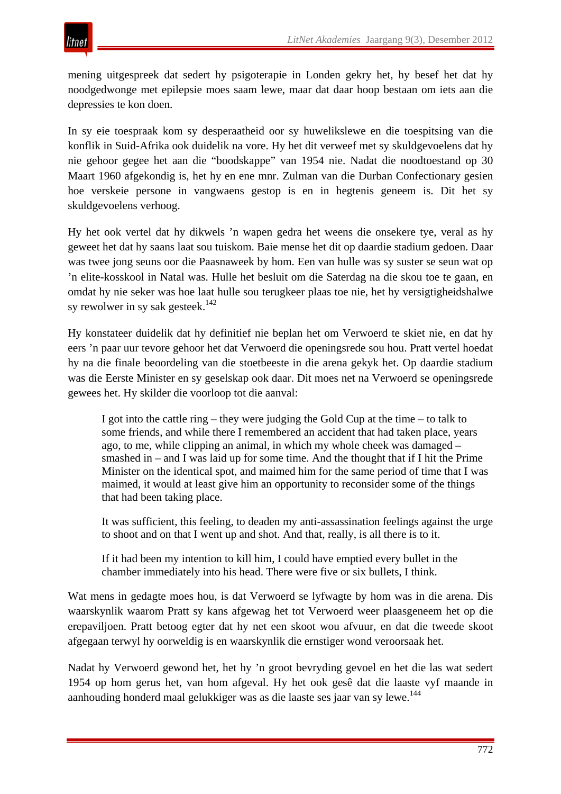mening uitgespreek dat sedert hy psigoterapie in Londen gekry het, hy besef het dat hy noodgedwonge met epilepsie moes saam lewe, maar dat daar hoop bestaan om iets aan die depressies te kon doen.

In sy eie toespraak kom sy desperaatheid oor sy huwelikslewe en die toespitsing van die konflik in Suid-Afrika ook duidelik na vore. Hy het dit verweef met sy skuldgevoelens dat hy nie gehoor gegee het aan die "boodskappe" van 1954 nie. Nadat die noodtoestand op 30 Maart 1960 afgekondig is, het hy en ene mnr. Zulman van die Durban Confectionary gesien hoe verskeie persone in vangwaens gestop is en in hegtenis geneem is. Dit het sy skuldgevoelens verhoog.

Hy het ook vertel dat hy dikwels 'n wapen gedra het weens die onsekere tye, veral as hy geweet het dat hy saans laat sou tuiskom. Baie mense het dit op daardie stadium gedoen. Daar was twee jong seuns oor die Paasnaweek by hom. Een van hulle was sy suster se seun wat op 'n elite-kosskool in Natal was. Hulle het besluit om die Saterdag na die skou toe te gaan, en omdat hy nie seker was hoe laat hulle sou terugkeer plaas toe nie, het hy versigtigheidshalwe sy rewolwer in sy sak gesteek. $142$ 

Hy konstateer duidelik dat hy definitief nie beplan het om Verwoerd te skiet nie, en dat hy eers 'n paar uur tevore gehoor het dat Verwoerd die openingsrede sou hou. Pratt vertel hoedat hy na die finale beoordeling van die stoetbeeste in die arena gekyk het. Op daardie stadium was die Eerste Minister en sy geselskap ook daar. Dit moes net na Verwoerd se openingsrede gewees het. Hy skilder die voorloop tot die aanval:

I got into the cattle ring – they were judging the Gold Cup at the time – to talk to some friends, and while there I remembered an accident that had taken place, years ago, to me, while clipping an animal, in which my whole cheek was damaged – smashed in – and I was laid up for some time. And the thought that if I hit the Prime Minister on the identical spot, and maimed him for the same period of time that I was maimed, it would at least give him an opportunity to reconsider some of the things that had been taking place.

It was sufficient, this feeling, to deaden my anti-assassination feelings against the urge to shoot and on that I went up and shot. And that, really, is all there is to it.

If it had been my intention to kill him, I could have emptied every bullet in the chamber immediately into his head. There were five or six bullets, I think.

Wat mens in gedagte moes hou, is dat Verwoerd se lyfwagte by hom was in die arena. Dis waarskynlik waarom Pratt sy kans afgewag het tot Verwoerd weer plaasgeneem het op die erepaviljoen. Pratt betoog egter dat hy net een skoot wou afvuur, en dat die tweede skoot afgegaan terwyl hy oorweldig is en waarskynlik die ernstiger wond veroorsaak het.

Nadat hy Verwoerd gewond het, het hy 'n groot bevryding gevoel en het die las wat sedert 1954 op hom gerus het, van hom afgeval. Hy het ook gesê dat die laaste vyf maande in aanhouding honderd maal gelukkiger was as die laaste ses jaar van sy lewe.<sup>144</sup>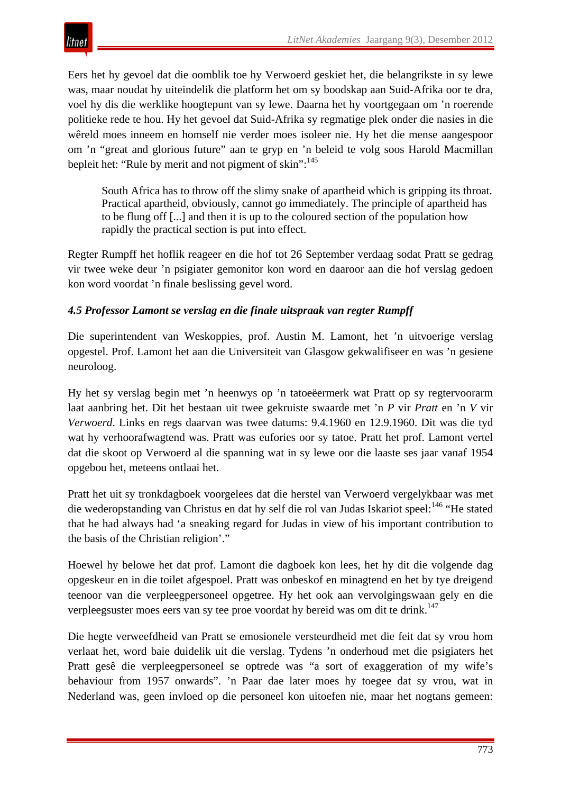

Eers het hy gevoel dat die oomblik toe hy Verwoerd geskiet het, die belangrikste in sy lewe was, maar noudat hy uiteindelik die platform het om sy boodskap aan Suid-Afrika oor te dra, voel hy dis die werklike hoogtepunt van sy lewe. Daarna het hy voortgegaan om 'n roerende politieke rede te hou. Hy het gevoel dat Suid-Afrika sy regmatige plek onder die nasies in die wêreld moes inneem en homself nie verder moes isoleer nie. Hy het die mense aangespoor om 'n "great and glorious future" aan te gryp en 'n beleid te volg soos Harold Macmillan bepleit het: "Rule by merit and not pigment of skin":<sup>145</sup>

South Africa has to throw off the slimy snake of apartheid which is gripping its throat. Practical apartheid, obviously, cannot go immediately. The principle of apartheid has to be flung off [...] and then it is up to the coloured section of the population how rapidly the practical section is put into effect.

Regter Rumpff het hoflik reageer en die hof tot 26 September verdaag sodat Pratt se gedrag vir twee weke deur 'n psigiater gemonitor kon word en daaroor aan die hof verslag gedoen kon word voordat 'n finale beslissing gevel word.

## *4.5 Professor Lamont se verslag en die finale uitspraak van regter Rumpff*

Die superintendent van Weskoppies, prof. Austin M. Lamont, het 'n uitvoerige verslag opgestel. Prof. Lamont het aan die Universiteit van Glasgow gekwalifiseer en was 'n gesiene neuroloog.

Hy het sy verslag begin met 'n heenwys op 'n tatoeëermerk wat Pratt op sy regtervoorarm laat aanbring het. Dit het bestaan uit twee gekruiste swaarde met 'n *P* vir *Pratt* en 'n *V* vir *Verwoerd*. Links en regs daarvan was twee datums: 9.4.1960 en 12.9.1960. Dit was die tyd wat hy verhoorafwagtend was. Pratt was eufories oor sy tatoe. Pratt het prof. Lamont vertel dat die skoot op Verwoerd al die spanning wat in sy lewe oor die laaste ses jaar vanaf 1954 opgebou het, meteens ontlaai het.

Pratt het uit sy tronkdagboek voorgelees dat die herstel van Verwoerd vergelykbaar was met die wederopstanding van Christus en dat hy self die rol van Judas Iskariot speel:<sup>146</sup> "He stated that he had always had 'a sneaking regard for Judas in view of his important contribution to the basis of the Christian religion'."

Hoewel hy belowe het dat prof. Lamont die dagboek kon lees, het hy dit die volgende dag opgeskeur en in die toilet afgespoel. Pratt was onbeskof en minagtend en het by tye dreigend teenoor van die verpleegpersoneel opgetree. Hy het ook aan vervolgingswaan gely en die verpleegsuster moes eers van sy tee proe voordat hy bereid was om dit te drink.<sup>147</sup>

Die hegte verweefdheid van Pratt se emosionele versteurdheid met die feit dat sy vrou hom verlaat het, word baie duidelik uit die verslag. Tydens 'n onderhoud met die psigiaters het Pratt gesê die verpleegpersoneel se optrede was "a sort of exaggeration of my wife's behaviour from 1957 onwards". 'n Paar dae later moes hy toegee dat sy vrou, wat in Nederland was, geen invloed op die personeel kon uitoefen nie, maar het nogtans gemeen: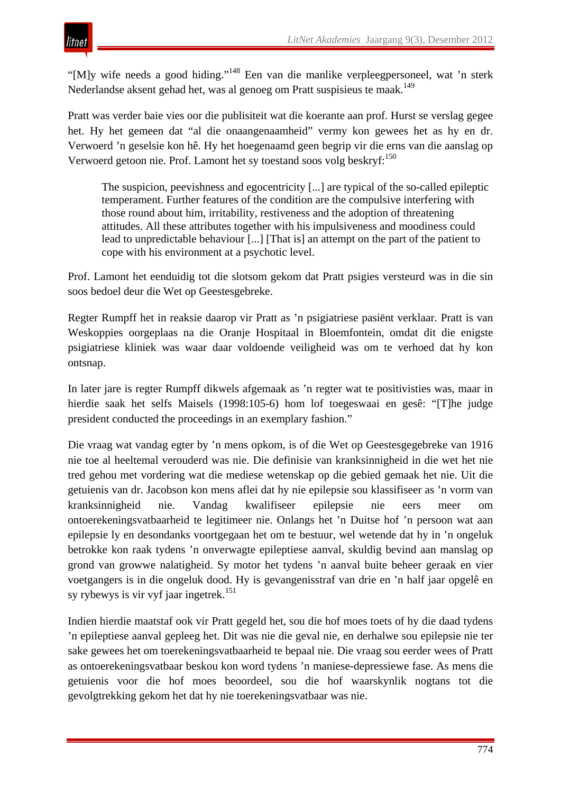"[M]y wife needs a good hiding."148 Een van die manlike verpleegpersoneel, wat 'n sterk Nederlandse aksent gehad het, was al genoeg om Pratt suspisieus te maak.<sup>149</sup>

Pratt was verder baie vies oor die publisiteit wat die koerante aan prof. Hurst se verslag gegee het. Hy het gemeen dat "al die onaangenaamheid" vermy kon gewees het as hy en dr. Verwoerd 'n geselsie kon hê. Hy het hoegenaamd geen begrip vir die erns van die aanslag op Verwoerd getoon nie. Prof. Lamont het sy toestand soos volg beskryf:<sup>150</sup>

The suspicion, peevishness and egocentricity [...] are typical of the so-called epileptic temperament. Further features of the condition are the compulsive interfering with those round about him, irritability, restiveness and the adoption of threatening attitudes. All these attributes together with his impulsiveness and moodiness could lead to unpredictable behaviour [...] [That is] an attempt on the part of the patient to cope with his environment at a psychotic level.

Prof. Lamont het eenduidig tot die slotsom gekom dat Pratt psigies versteurd was in die sin soos bedoel deur die Wet op Geestesgebreke.

Regter Rumpff het in reaksie daarop vir Pratt as 'n psigiatriese pasiënt verklaar. Pratt is van Weskoppies oorgeplaas na die Oranje Hospitaal in Bloemfontein, omdat dit die enigste psigiatriese kliniek was waar daar voldoende veiligheid was om te verhoed dat hy kon ontsnap.

In later jare is regter Rumpff dikwels afgemaak as 'n regter wat te positivisties was, maar in hierdie saak het selfs Maisels (1998:105-6) hom lof toegeswaai en gesê: "[T]he judge president conducted the proceedings in an exemplary fashion."

Die vraag wat vandag egter by 'n mens opkom, is of die Wet op Geestesgegebreke van 1916 nie toe al heeltemal verouderd was nie. Die definisie van kranksinnigheid in die wet het nie tred gehou met vordering wat die mediese wetenskap op die gebied gemaak het nie. Uit die getuienis van dr. Jacobson kon mens aflei dat hy nie epilepsie sou klassifiseer as 'n vorm van kranksinnigheid nie. Vandag kwalifiseer epilepsie nie eers meer om ontoerekeningsvatbaarheid te legitimeer nie. Onlangs het 'n Duitse hof 'n persoon wat aan epilepsie ly en desondanks voortgegaan het om te bestuur, wel wetende dat hy in 'n ongeluk betrokke kon raak tydens 'n onverwagte epileptiese aanval, skuldig bevind aan manslag op grond van growwe nalatigheid. Sy motor het tydens 'n aanval buite beheer geraak en vier voetgangers is in die ongeluk dood. Hy is gevangenisstraf van drie en 'n half jaar opgelê en sy rybewys is vir vyf jaar ingetrek.<sup>151</sup>

Indien hierdie maatstaf ook vir Pratt gegeld het, sou die hof moes toets of hy die daad tydens 'n epileptiese aanval gepleeg het. Dit was nie die geval nie, en derhalwe sou epilepsie nie ter sake gewees het om toerekeningsvatbaarheid te bepaal nie. Die vraag sou eerder wees of Pratt as ontoerekeningsvatbaar beskou kon word tydens 'n maniese-depressiewe fase. As mens die getuienis voor die hof moes beoordeel, sou die hof waarskynlik nogtans tot die gevolgtrekking gekom het dat hy nie toerekeningsvatbaar was nie.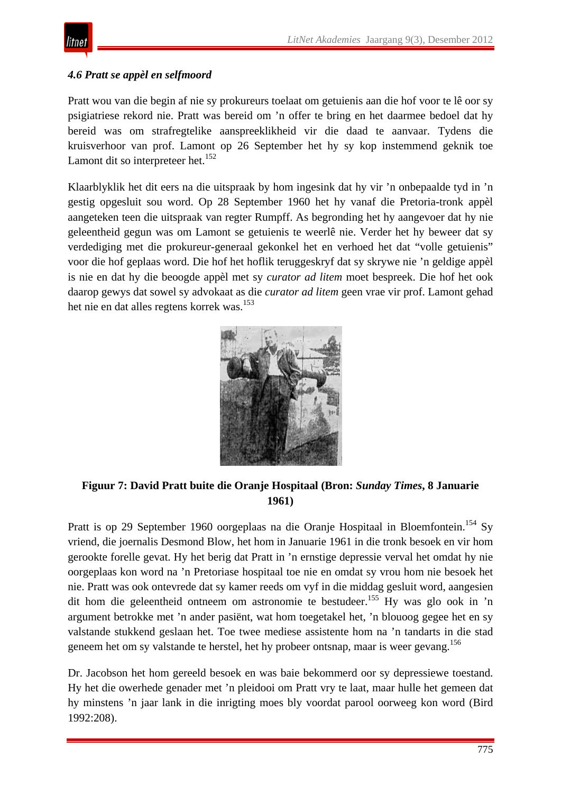

## *4.6 Pratt se appèl en selfmoord*

Pratt wou van die begin af nie sy prokureurs toelaat om getuienis aan die hof voor te lê oor sy psigiatriese rekord nie. Pratt was bereid om 'n offer te bring en het daarmee bedoel dat hy bereid was om strafregtelike aanspreeklikheid vir die daad te aanvaar. Tydens die kruisverhoor van prof. Lamont op 26 September het hy sy kop instemmend geknik toe Lamont dit so interpreteer het.<sup>152</sup>

Klaarblyklik het dit eers na die uitspraak by hom ingesink dat hy vir 'n onbepaalde tyd in 'n gestig opgesluit sou word. Op 28 September 1960 het hy vanaf die Pretoria-tronk appèl aangeteken teen die uitspraak van regter Rumpff. As begronding het hy aangevoer dat hy nie geleentheid gegun was om Lamont se getuienis te weerlê nie. Verder het hy beweer dat sy verdediging met die prokureur-generaal gekonkel het en verhoed het dat "volle getuienis" voor die hof geplaas word. Die hof het hoflik teruggeskryf dat sy skrywe nie 'n geldige appèl is nie en dat hy die beoogde appèl met sy *curator ad litem* moet bespreek. Die hof het ook daarop gewys dat sowel sy advokaat as die *curator ad litem* geen vrae vir prof. Lamont gehad het nie en dat alles regtens korrek was.<sup>153</sup>



# **Figuur 7: David Pratt buite die Oranje Hospitaal (Bron:** *Sunday Times***, 8 Januarie 1961)**

Pratt is op 29 September 1960 oorgeplaas na die Oranje Hospitaal in Bloemfontein.<sup>154</sup> Sy vriend, die joernalis Desmond Blow, het hom in Januarie 1961 in die tronk besoek en vir hom gerookte forelle gevat. Hy het berig dat Pratt in 'n ernstige depressie verval het omdat hy nie oorgeplaas kon word na 'n Pretoriase hospitaal toe nie en omdat sy vrou hom nie besoek het nie. Pratt was ook ontevrede dat sy kamer reeds om vyf in die middag gesluit word, aangesien dit hom die geleentheid ontneem om astronomie te bestudeer.155 Hy was glo ook in 'n argument betrokke met 'n ander pasiënt, wat hom toegetakel het, 'n blouoog gegee het en sy valstande stukkend geslaan het. Toe twee mediese assistente hom na 'n tandarts in die stad geneem het om sy valstande te herstel, het hy probeer ontsnap, maar is weer gevang.<sup>156</sup>

Dr. Jacobson het hom gereeld besoek en was baie bekommerd oor sy depressiewe toestand. Hy het die owerhede genader met 'n pleidooi om Pratt vry te laat, maar hulle het gemeen dat hy minstens 'n jaar lank in die inrigting moes bly voordat parool oorweeg kon word (Bird 1992:208).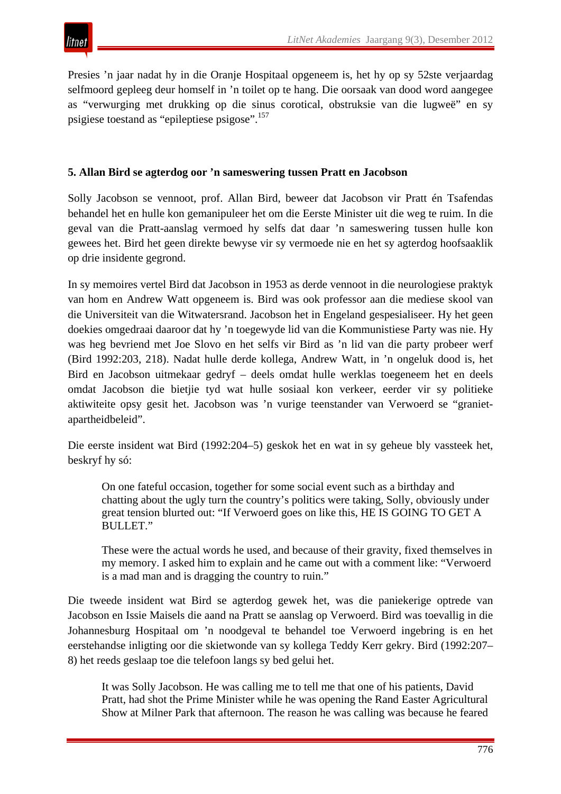Presies 'n jaar nadat hy in die Oranje Hospitaal opgeneem is, het hy op sy 52ste verjaardag selfmoord gepleeg deur homself in 'n toilet op te hang. Die oorsaak van dood word aangegee as "verwurging met drukking op die sinus corotical, obstruksie van die lugweë" en sy psigiese toestand as "epileptiese psigose".157

## **5. Allan Bird se agterdog oor 'n sameswering tussen Pratt en Jacobson**

Solly Jacobson se vennoot, prof. Allan Bird, beweer dat Jacobson vir Pratt én Tsafendas behandel het en hulle kon gemanipuleer het om die Eerste Minister uit die weg te ruim. In die geval van die Pratt-aanslag vermoed hy selfs dat daar 'n sameswering tussen hulle kon gewees het. Bird het geen direkte bewyse vir sy vermoede nie en het sy agterdog hoofsaaklik op drie insidente gegrond.

In sy memoires vertel Bird dat Jacobson in 1953 as derde vennoot in die neurologiese praktyk van hom en Andrew Watt opgeneem is. Bird was ook professor aan die mediese skool van die Universiteit van die Witwatersrand. Jacobson het in Engeland gespesialiseer. Hy het geen doekies omgedraai daaroor dat hy 'n toegewyde lid van die Kommunistiese Party was nie. Hy was heg bevriend met Joe Slovo en het selfs vir Bird as 'n lid van die party probeer werf (Bird 1992:203, 218). Nadat hulle derde kollega, Andrew Watt, in 'n ongeluk dood is, het Bird en Jacobson uitmekaar gedryf – deels omdat hulle werklas toegeneem het en deels omdat Jacobson die bietjie tyd wat hulle sosiaal kon verkeer, eerder vir sy politieke aktiwiteite opsy gesit het. Jacobson was 'n vurige teenstander van Verwoerd se "granietapartheidbeleid".

Die eerste insident wat Bird (1992:204–5) geskok het en wat in sy geheue bly vassteek het, beskryf hy só:

On one fateful occasion, together for some social event such as a birthday and chatting about the ugly turn the country's politics were taking, Solly, obviously under great tension blurted out: "If Verwoerd goes on like this, HE IS GOING TO GET A BULLET."

These were the actual words he used, and because of their gravity, fixed themselves in my memory. I asked him to explain and he came out with a comment like: "Verwoerd is a mad man and is dragging the country to ruin."

Die tweede insident wat Bird se agterdog gewek het, was die paniekerige optrede van Jacobson en Issie Maisels die aand na Pratt se aanslag op Verwoerd. Bird was toevallig in die Johannesburg Hospitaal om 'n noodgeval te behandel toe Verwoerd ingebring is en het eerstehandse inligting oor die skietwonde van sy kollega Teddy Kerr gekry. Bird (1992:207– 8) het reeds geslaap toe die telefoon langs sy bed gelui het.

It was Solly Jacobson. He was calling me to tell me that one of his patients, David Pratt, had shot the Prime Minister while he was opening the Rand Easter Agricultural Show at Milner Park that afternoon. The reason he was calling was because he feared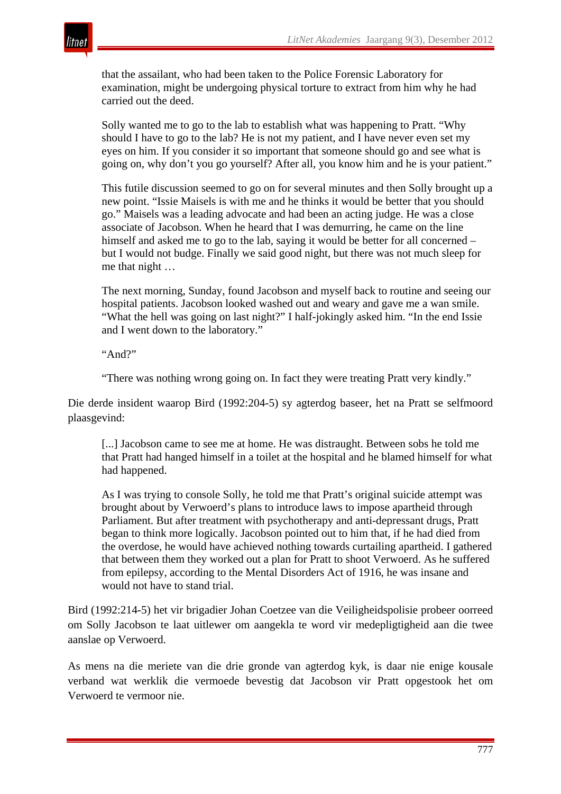

that the assailant, who had been taken to the Police Forensic Laboratory for examination, might be undergoing physical torture to extract from him why he had carried out the deed.

Solly wanted me to go to the lab to establish what was happening to Pratt. "Why should I have to go to the lab? He is not my patient, and I have never even set my eyes on him. If you consider it so important that someone should go and see what is going on, why don't you go yourself? After all, you know him and he is your patient."

This futile discussion seemed to go on for several minutes and then Solly brought up a new point. "Issie Maisels is with me and he thinks it would be better that you should go." Maisels was a leading advocate and had been an acting judge. He was a close associate of Jacobson. When he heard that I was demurring, he came on the line himself and asked me to go to the lab, saying it would be better for all concerned – but I would not budge. Finally we said good night, but there was not much sleep for me that night …

The next morning, Sunday, found Jacobson and myself back to routine and seeing our hospital patients. Jacobson looked washed out and weary and gave me a wan smile. "What the hell was going on last night?" I half-jokingly asked him. "In the end Issie and I went down to the laboratory."

"And?"

"There was nothing wrong going on. In fact they were treating Pratt very kindly."

Die derde insident waarop Bird (1992:204-5) sy agterdog baseer, het na Pratt se selfmoord plaasgevind:

[...] Jacobson came to see me at home. He was distraught. Between sobs he told me that Pratt had hanged himself in a toilet at the hospital and he blamed himself for what had happened.

As I was trying to console Solly, he told me that Pratt's original suicide attempt was brought about by Verwoerd's plans to introduce laws to impose apartheid through Parliament. But after treatment with psychotherapy and anti-depressant drugs, Pratt began to think more logically. Jacobson pointed out to him that, if he had died from the overdose, he would have achieved nothing towards curtailing apartheid. I gathered that between them they worked out a plan for Pratt to shoot Verwoerd. As he suffered from epilepsy, according to the Mental Disorders Act of 1916, he was insane and would not have to stand trial.

Bird (1992:214-5) het vir brigadier Johan Coetzee van die Veiligheidspolisie probeer oorreed om Solly Jacobson te laat uitlewer om aangekla te word vir medepligtigheid aan die twee aanslae op Verwoerd.

As mens na die meriete van die drie gronde van agterdog kyk, is daar nie enige kousale verband wat werklik die vermoede bevestig dat Jacobson vir Pratt opgestook het om Verwoerd te vermoor nie.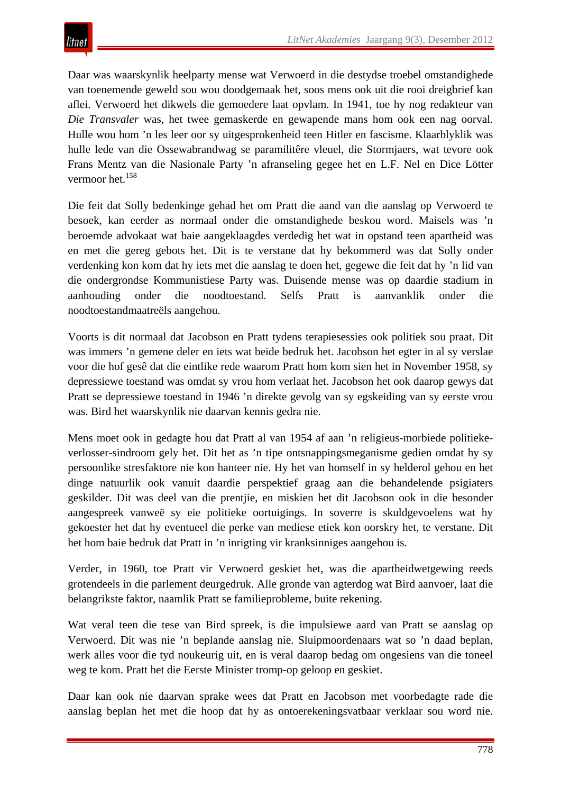Daar was waarskynlik heelparty mense wat Verwoerd in die destydse troebel omstandighede van toenemende geweld sou wou doodgemaak het, soos mens ook uit die rooi dreigbrief kan aflei. Verwoerd het dikwels die gemoedere laat opvlam. In 1941, toe hy nog redakteur van *Die Transvaler* was, het twee gemaskerde en gewapende mans hom ook een nag oorval. Hulle wou hom 'n les leer oor sy uitgesprokenheid teen Hitler en fascisme. Klaarblyklik was hulle lede van die Ossewabrandwag se paramilitêre vleuel, die Stormjaers, wat tevore ook Frans Mentz van die Nasionale Party 'n afranseling gegee het en L.F. Nel en Dice Lötter vermoor het.<sup>158</sup>

Die feit dat Solly bedenkinge gehad het om Pratt die aand van die aanslag op Verwoerd te besoek, kan eerder as normaal onder die omstandighede beskou word. Maisels was 'n beroemde advokaat wat baie aangeklaagdes verdedig het wat in opstand teen apartheid was en met die gereg gebots het. Dit is te verstane dat hy bekommerd was dat Solly onder verdenking kon kom dat hy iets met die aanslag te doen het, gegewe die feit dat hy 'n lid van die ondergrondse Kommunistiese Party was. Duisende mense was op daardie stadium in aanhouding onder die noodtoestand. Selfs Pratt is aanvanklik onder die noodtoestandmaatreëls aangehou.

Voorts is dit normaal dat Jacobson en Pratt tydens terapiesessies ook politiek sou praat. Dit was immers 'n gemene deler en iets wat beide bedruk het. Jacobson het egter in al sy verslae voor die hof gesê dat die eintlike rede waarom Pratt hom kom sien het in November 1958, sy depressiewe toestand was omdat sy vrou hom verlaat het. Jacobson het ook daarop gewys dat Pratt se depressiewe toestand in 1946 'n direkte gevolg van sy egskeiding van sy eerste vrou was. Bird het waarskynlik nie daarvan kennis gedra nie.

Mens moet ook in gedagte hou dat Pratt al van 1954 af aan 'n religieus-morbiede politiekeverlosser-sindroom gely het. Dit het as 'n tipe ontsnappingsmeganisme gedien omdat hy sy persoonlike stresfaktore nie kon hanteer nie. Hy het van homself in sy helderol gehou en het dinge natuurlik ook vanuit daardie perspektief graag aan die behandelende psigiaters geskilder. Dit was deel van die prentjie, en miskien het dit Jacobson ook in die besonder aangespreek vanweë sy eie politieke oortuigings. In soverre is skuldgevoelens wat hy gekoester het dat hy eventueel die perke van mediese etiek kon oorskry het, te verstane. Dit het hom baie bedruk dat Pratt in 'n inrigting vir kranksinniges aangehou is.

Verder, in 1960, toe Pratt vir Verwoerd geskiet het, was die apartheidwetgewing reeds grotendeels in die parlement deurgedruk. Alle gronde van agterdog wat Bird aanvoer, laat die belangrikste faktor, naamlik Pratt se familieprobleme, buite rekening.

Wat veral teen die tese van Bird spreek, is die impulsiewe aard van Pratt se aanslag op Verwoerd. Dit was nie 'n beplande aanslag nie. Sluipmoordenaars wat so 'n daad beplan, werk alles voor die tyd noukeurig uit, en is veral daarop bedag om ongesiens van die toneel weg te kom. Pratt het die Eerste Minister tromp-op geloop en geskiet.

Daar kan ook nie daarvan sprake wees dat Pratt en Jacobson met voorbedagte rade die aanslag beplan het met die hoop dat hy as ontoerekeningsvatbaar verklaar sou word nie.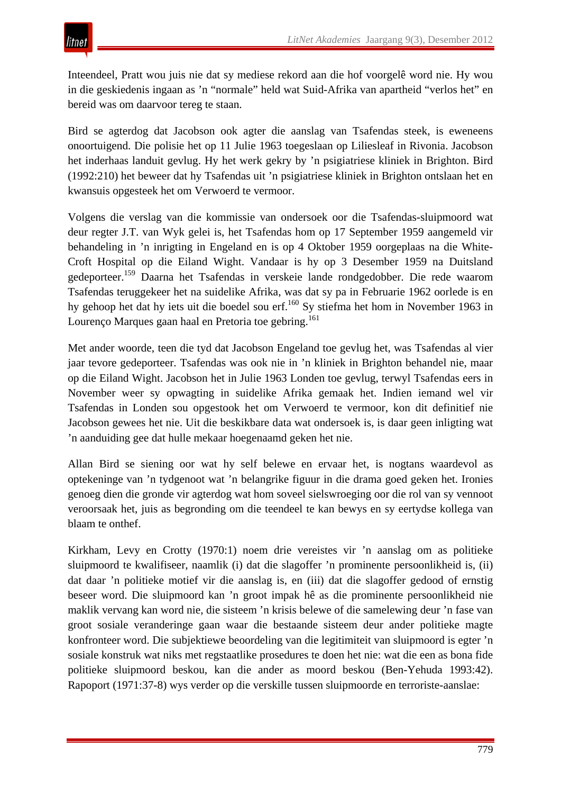Inteendeel, Pratt wou juis nie dat sy mediese rekord aan die hof voorgelê word nie. Hy wou in die geskiedenis ingaan as 'n "normale" held wat Suid-Afrika van apartheid "verlos het" en bereid was om daarvoor tereg te staan.

Bird se agterdog dat Jacobson ook agter die aanslag van Tsafendas steek, is eweneens onoortuigend. Die polisie het op 11 Julie 1963 toegeslaan op Liliesleaf in Rivonia. Jacobson het inderhaas landuit gevlug. Hy het werk gekry by 'n psigiatriese kliniek in Brighton. Bird (1992:210) het beweer dat hy Tsafendas uit 'n psigiatriese kliniek in Brighton ontslaan het en kwansuis opgesteek het om Verwoerd te vermoor.

Volgens die verslag van die kommissie van ondersoek oor die Tsafendas-sluipmoord wat deur regter J.T. van Wyk gelei is, het Tsafendas hom op 17 September 1959 aangemeld vir behandeling in 'n inrigting in Engeland en is op 4 Oktober 1959 oorgeplaas na die White-Croft Hospital op die Eiland Wight. Vandaar is hy op 3 Desember 1959 na Duitsland gedeporteer.159 Daarna het Tsafendas in verskeie lande rondgedobber. Die rede waarom Tsafendas teruggekeer het na suidelike Afrika, was dat sy pa in Februarie 1962 oorlede is en hy gehoop het dat hy iets uit die boedel sou erf.160 Sy stiefma het hom in November 1963 in Lourenço Marques gaan haal en Pretoria toe gebring.<sup>161</sup>

Met ander woorde, teen die tyd dat Jacobson Engeland toe gevlug het, was Tsafendas al vier jaar tevore gedeporteer. Tsafendas was ook nie in 'n kliniek in Brighton behandel nie, maar op die Eiland Wight. Jacobson het in Julie 1963 Londen toe gevlug, terwyl Tsafendas eers in November weer sy opwagting in suidelike Afrika gemaak het. Indien iemand wel vir Tsafendas in Londen sou opgestook het om Verwoerd te vermoor, kon dit definitief nie Jacobson gewees het nie. Uit die beskikbare data wat ondersoek is, is daar geen inligting wat 'n aanduiding gee dat hulle mekaar hoegenaamd geken het nie.

Allan Bird se siening oor wat hy self belewe en ervaar het, is nogtans waardevol as optekeninge van 'n tydgenoot wat 'n belangrike figuur in die drama goed geken het. Ironies genoeg dien die gronde vir agterdog wat hom soveel sielswroeging oor die rol van sy vennoot veroorsaak het, juis as begronding om die teendeel te kan bewys en sy eertydse kollega van blaam te onthef.

Kirkham, Levy en Crotty (1970:1) noem drie vereistes vir 'n aanslag om as politieke sluipmoord te kwalifiseer, naamlik (i) dat die slagoffer 'n prominente persoonlikheid is, (ii) dat daar 'n politieke motief vir die aanslag is, en (iii) dat die slagoffer gedood of ernstig beseer word. Die sluipmoord kan 'n groot impak hê as die prominente persoonlikheid nie maklik vervang kan word nie, die sisteem 'n krisis belewe of die samelewing deur 'n fase van groot sosiale veranderinge gaan waar die bestaande sisteem deur ander politieke magte konfronteer word. Die subjektiewe beoordeling van die legitimiteit van sluipmoord is egter 'n sosiale konstruk wat niks met regstaatlike prosedures te doen het nie: wat die een as bona fide politieke sluipmoord beskou, kan die ander as moord beskou (Ben-Yehuda 1993:42). Rapoport (1971:37-8) wys verder op die verskille tussen sluipmoorde en terroriste-aanslae: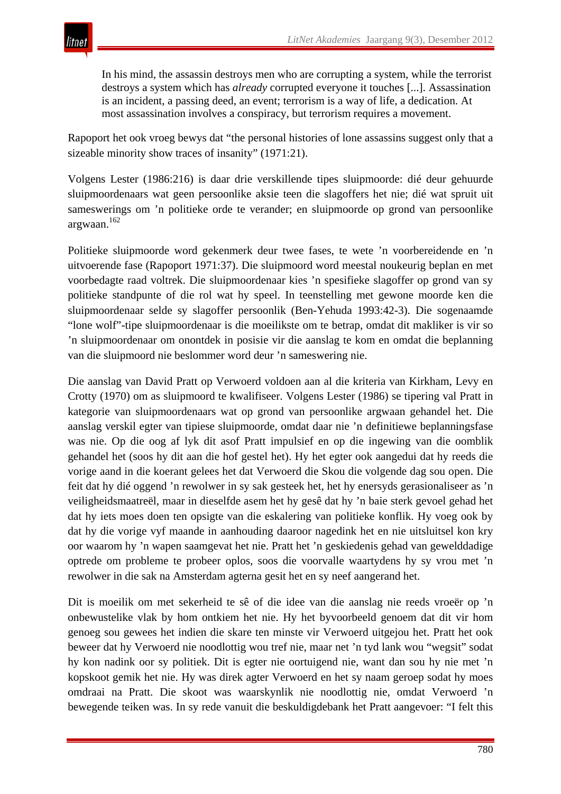

In his mind, the assassin destroys men who are corrupting a system, while the terrorist destroys a system which has *already* corrupted everyone it touches [...]. Assassination is an incident, a passing deed, an event; terrorism is a way of life, a dedication. At most assassination involves a conspiracy, but terrorism requires a movement.

Rapoport het ook vroeg bewys dat "the personal histories of lone assassins suggest only that a sizeable minority show traces of insanity" (1971:21).

Volgens Lester (1986:216) is daar drie verskillende tipes sluipmoorde: dié deur gehuurde sluipmoordenaars wat geen persoonlike aksie teen die slagoffers het nie; dié wat spruit uit sameswerings om 'n politieke orde te verander; en sluipmoorde op grond van persoonlike argwaan.<sup>162</sup>

Politieke sluipmoorde word gekenmerk deur twee fases, te wete 'n voorbereidende en 'n uitvoerende fase (Rapoport 1971:37). Die sluipmoord word meestal noukeurig beplan en met voorbedagte raad voltrek. Die sluipmoordenaar kies 'n spesifieke slagoffer op grond van sy politieke standpunte of die rol wat hy speel. In teenstelling met gewone moorde ken die sluipmoordenaar selde sy slagoffer persoonlik (Ben-Yehuda 1993:42-3). Die sogenaamde "lone wolf"-tipe sluipmoordenaar is die moeilikste om te betrap, omdat dit makliker is vir so 'n sluipmoordenaar om onontdek in posisie vir die aanslag te kom en omdat die beplanning van die sluipmoord nie beslommer word deur 'n sameswering nie.

Die aanslag van David Pratt op Verwoerd voldoen aan al die kriteria van Kirkham, Levy en Crotty (1970) om as sluipmoord te kwalifiseer. Volgens Lester (1986) se tipering val Pratt in kategorie van sluipmoordenaars wat op grond van persoonlike argwaan gehandel het. Die aanslag verskil egter van tipiese sluipmoorde, omdat daar nie 'n definitiewe beplanningsfase was nie. Op die oog af lyk dit asof Pratt impulsief en op die ingewing van die oomblik gehandel het (soos hy dit aan die hof gestel het). Hy het egter ook aangedui dat hy reeds die vorige aand in die koerant gelees het dat Verwoerd die Skou die volgende dag sou open. Die feit dat hy dié oggend 'n rewolwer in sy sak gesteek het, het hy enersyds gerasionaliseer as 'n veiligheidsmaatreël, maar in dieselfde asem het hy gesê dat hy 'n baie sterk gevoel gehad het dat hy iets moes doen ten opsigte van die eskalering van politieke konflik. Hy voeg ook by dat hy die vorige vyf maande in aanhouding daaroor nagedink het en nie uitsluitsel kon kry oor waarom hy 'n wapen saamgevat het nie. Pratt het 'n geskiedenis gehad van gewelddadige optrede om probleme te probeer oplos, soos die voorvalle waartydens hy sy vrou met 'n rewolwer in die sak na Amsterdam agterna gesit het en sy neef aangerand het.

Dit is moeilik om met sekerheid te sê of die idee van die aanslag nie reeds vroeër op 'n onbewustelike vlak by hom ontkiem het nie. Hy het byvoorbeeld genoem dat dit vir hom genoeg sou gewees het indien die skare ten minste vir Verwoerd uitgejou het. Pratt het ook beweer dat hy Verwoerd nie noodlottig wou tref nie, maar net 'n tyd lank wou "wegsit" sodat hy kon nadink oor sy politiek. Dit is egter nie oortuigend nie, want dan sou hy nie met 'n kopskoot gemik het nie. Hy was direk agter Verwoerd en het sy naam geroep sodat hy moes omdraai na Pratt. Die skoot was waarskynlik nie noodlottig nie, omdat Verwoerd 'n bewegende teiken was. In sy rede vanuit die beskuldigdebank het Pratt aangevoer: "I felt this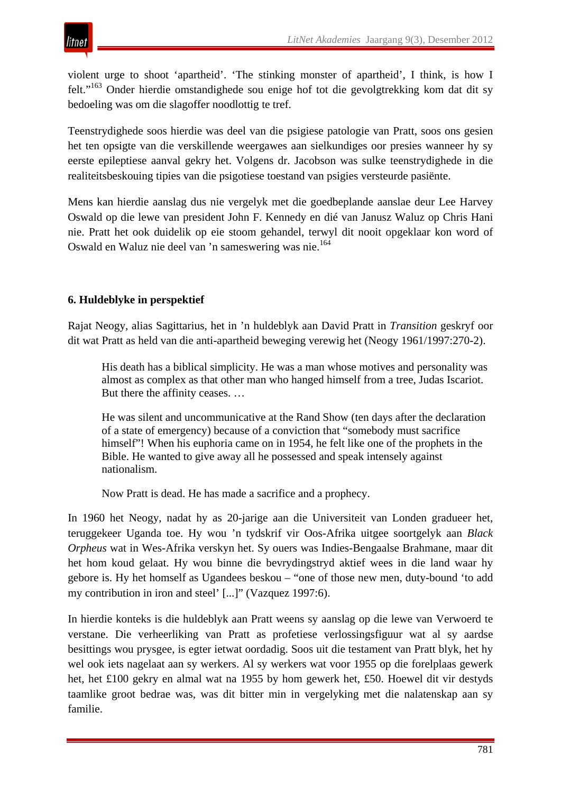violent urge to shoot 'apartheid'. 'The stinking monster of apartheid', I think, is how I felt."<sup>163</sup> Onder hierdie omstandighede sou enige hof tot die gevolgtrekking kom dat dit sy bedoeling was om die slagoffer noodlottig te tref.

Teenstrydighede soos hierdie was deel van die psigiese patologie van Pratt, soos ons gesien het ten opsigte van die verskillende weergawes aan sielkundiges oor presies wanneer hy sy eerste epileptiese aanval gekry het. Volgens dr. Jacobson was sulke teenstrydighede in die realiteitsbeskouing tipies van die psigotiese toestand van psigies versteurde pasiënte.

Mens kan hierdie aanslag dus nie vergelyk met die goedbeplande aanslae deur Lee Harvey Oswald op die lewe van president John F. Kennedy en dié van Janusz Waluz op Chris Hani nie. Pratt het ook duidelik op eie stoom gehandel, terwyl dit nooit opgeklaar kon word of Oswald en Waluz nie deel van 'n sameswering was nie.164

# **6. Huldeblyke in perspektief**

Rajat Neogy, alias Sagittarius, het in 'n huldeblyk aan David Pratt in *Transition* geskryf oor dit wat Pratt as held van die anti-apartheid beweging verewig het (Neogy 1961/1997:270-2).

His death has a biblical simplicity. He was a man whose motives and personality was almost as complex as that other man who hanged himself from a tree, Judas Iscariot. But there the affinity ceases. …

He was silent and uncommunicative at the Rand Show (ten days after the declaration of a state of emergency) because of a conviction that "somebody must sacrifice himself"! When his euphoria came on in 1954, he felt like one of the prophets in the Bible. He wanted to give away all he possessed and speak intensely against nationalism.

Now Pratt is dead. He has made a sacrifice and a prophecy.

In 1960 het Neogy, nadat hy as 20-jarige aan die Universiteit van Londen gradueer het, teruggekeer Uganda toe. Hy wou 'n tydskrif vir Oos-Afrika uitgee soortgelyk aan *Black Orpheus* wat in Wes-Afrika verskyn het. Sy ouers was Indies-Bengaalse Brahmane, maar dit het hom koud gelaat. Hy wou binne die bevrydingstryd aktief wees in die land waar hy gebore is. Hy het homself as Ugandees beskou – "one of those new men, duty-bound 'to add my contribution in iron and steel' [...]" (Vazquez 1997:6).

In hierdie konteks is die huldeblyk aan Pratt weens sy aanslag op die lewe van Verwoerd te verstane. Die verheerliking van Pratt as profetiese verlossingsfiguur wat al sy aardse besittings wou prysgee, is egter ietwat oordadig. Soos uit die testament van Pratt blyk, het hy wel ook iets nagelaat aan sy werkers. Al sy werkers wat voor 1955 op die forelplaas gewerk het, het £100 gekry en almal wat na 1955 by hom gewerk het, £50. Hoewel dit vir destyds taamlike groot bedrae was, was dit bitter min in vergelyking met die nalatenskap aan sy familie.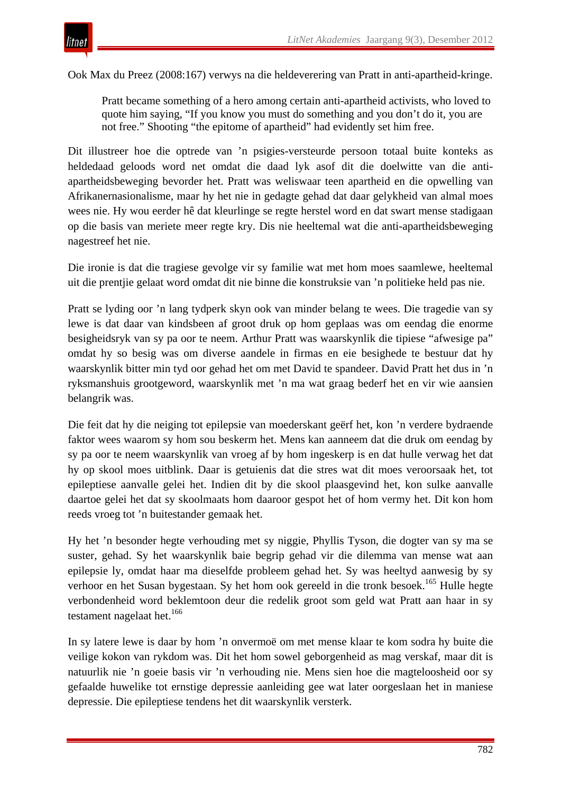Ook Max du Preez (2008:167) verwys na die heldeverering van Pratt in anti-apartheid-kringe.

Pratt became something of a hero among certain anti-apartheid activists, who loved to quote him saying, "If you know you must do something and you don't do it, you are not free." Shooting "the epitome of apartheid" had evidently set him free.

Dit illustreer hoe die optrede van 'n psigies-versteurde persoon totaal buite konteks as heldedaad geloods word net omdat die daad lyk asof dit die doelwitte van die antiapartheidsbeweging bevorder het. Pratt was weliswaar teen apartheid en die opwelling van Afrikanernasionalisme, maar hy het nie in gedagte gehad dat daar gelykheid van almal moes wees nie. Hy wou eerder hê dat kleurlinge se regte herstel word en dat swart mense stadigaan op die basis van meriete meer regte kry. Dis nie heeltemal wat die anti-apartheidsbeweging nagestreef het nie.

Die ironie is dat die tragiese gevolge vir sy familie wat met hom moes saamlewe, heeltemal uit die prentjie gelaat word omdat dit nie binne die konstruksie van 'n politieke held pas nie.

Pratt se lyding oor 'n lang tydperk skyn ook van minder belang te wees. Die tragedie van sy lewe is dat daar van kindsbeen af groot druk op hom geplaas was om eendag die enorme besigheidsryk van sy pa oor te neem. Arthur Pratt was waarskynlik die tipiese "afwesige pa" omdat hy so besig was om diverse aandele in firmas en eie besighede te bestuur dat hy waarskynlik bitter min tyd oor gehad het om met David te spandeer. David Pratt het dus in 'n ryksmanshuis grootgeword, waarskynlik met 'n ma wat graag bederf het en vir wie aansien belangrik was.

Die feit dat hy die neiging tot epilepsie van moederskant geërf het, kon 'n verdere bydraende faktor wees waarom sy hom sou beskerm het. Mens kan aanneem dat die druk om eendag by sy pa oor te neem waarskynlik van vroeg af by hom ingeskerp is en dat hulle verwag het dat hy op skool moes uitblink. Daar is getuienis dat die stres wat dit moes veroorsaak het, tot epileptiese aanvalle gelei het. Indien dit by die skool plaasgevind het, kon sulke aanvalle daartoe gelei het dat sy skoolmaats hom daaroor gespot het of hom vermy het. Dit kon hom reeds vroeg tot 'n buitestander gemaak het.

Hy het 'n besonder hegte verhouding met sy niggie, Phyllis Tyson, die dogter van sy ma se suster, gehad. Sy het waarskynlik baie begrip gehad vir die dilemma van mense wat aan epilepsie ly, omdat haar ma dieselfde probleem gehad het. Sy was heeltyd aanwesig by sy verhoor en het Susan bygestaan. Sy het hom ook gereeld in die tronk besoek.<sup>165</sup> Hulle hegte verbondenheid word beklemtoon deur die redelik groot som geld wat Pratt aan haar in sy testament nagelaat het.<sup>166</sup>

In sy latere lewe is daar by hom 'n onvermoë om met mense klaar te kom sodra hy buite die veilige kokon van rykdom was. Dit het hom sowel geborgenheid as mag verskaf, maar dit is natuurlik nie 'n goeie basis vir 'n verhouding nie. Mens sien hoe die magteloosheid oor sy gefaalde huwelike tot ernstige depressie aanleiding gee wat later oorgeslaan het in maniese depressie. Die epileptiese tendens het dit waarskynlik versterk.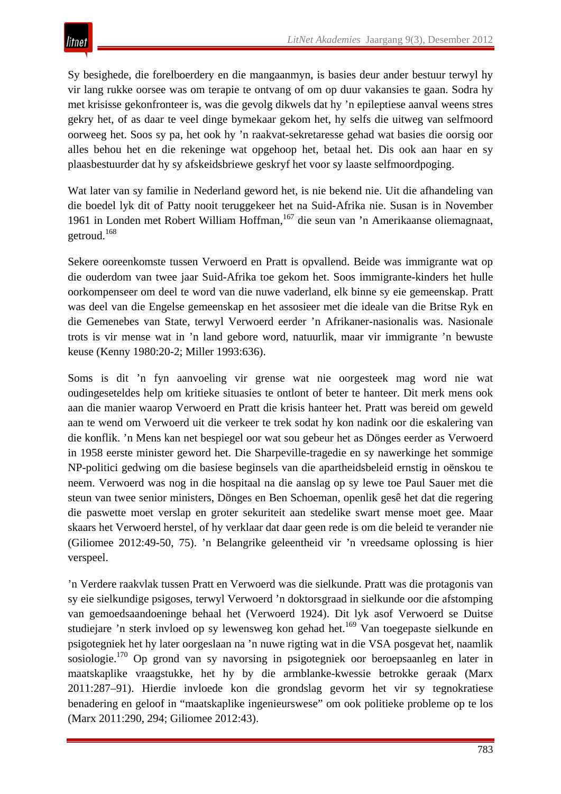Sy besighede, die forelboerdery en die mangaanmyn, is basies deur ander bestuur terwyl hy vir lang rukke oorsee was om terapie te ontvang of om op duur vakansies te gaan. Sodra hy met krisisse gekonfronteer is, was die gevolg dikwels dat hy 'n epileptiese aanval weens stres gekry het, of as daar te veel dinge bymekaar gekom het, hy selfs die uitweg van selfmoord oorweeg het. Soos sy pa, het ook hy 'n raakvat-sekretaresse gehad wat basies die oorsig oor alles behou het en die rekeninge wat opgehoop het, betaal het. Dis ook aan haar en sy plaasbestuurder dat hy sy afskeidsbriewe geskryf het voor sy laaste selfmoordpoging.

Wat later van sy familie in Nederland geword het, is nie bekend nie. Uit die afhandeling van die boedel lyk dit of Patty nooit teruggekeer het na Suid-Afrika nie. Susan is in November 1961 in Londen met Robert William Hoffman,<sup>167</sup> die seun van 'n Amerikaanse oliemagnaat, getroud.<sup>168</sup>

Sekere ooreenkomste tussen Verwoerd en Pratt is opvallend. Beide was immigrante wat op die ouderdom van twee jaar Suid-Afrika toe gekom het. Soos immigrante-kinders het hulle oorkompenseer om deel te word van die nuwe vaderland, elk binne sy eie gemeenskap. Pratt was deel van die Engelse gemeenskap en het assosieer met die ideale van die Britse Ryk en die Gemenebes van State, terwyl Verwoerd eerder 'n Afrikaner-nasionalis was. Nasionale trots is vir mense wat in 'n land gebore word, natuurlik, maar vir immigrante 'n bewuste keuse (Kenny 1980:20-2; Miller 1993:636).

Soms is dit 'n fyn aanvoeling vir grense wat nie oorgesteek mag word nie wat oudingeseteldes help om kritieke situasies te ontlont of beter te hanteer. Dit merk mens ook aan die manier waarop Verwoerd en Pratt die krisis hanteer het. Pratt was bereid om geweld aan te wend om Verwoerd uit die verkeer te trek sodat hy kon nadink oor die eskalering van die konflik. 'n Mens kan net bespiegel oor wat sou gebeur het as Dönges eerder as Verwoerd in 1958 eerste minister geword het. Die Sharpeville-tragedie en sy nawerkinge het sommige NP-politici gedwing om die basiese beginsels van die apartheidsbeleid ernstig in oënskou te neem. Verwoerd was nog in die hospitaal na die aanslag op sy lewe toe Paul Sauer met die steun van twee senior ministers, Dönges en Ben Schoeman, openlik gesê het dat die regering die paswette moet verslap en groter sekuriteit aan stedelike swart mense moet gee. Maar skaars het Verwoerd herstel, of hy verklaar dat daar geen rede is om die beleid te verander nie (Giliomee 2012:49-50, 75). 'n Belangrike geleentheid vir 'n vreedsame oplossing is hier verspeel.

'n Verdere raakvlak tussen Pratt en Verwoerd was die sielkunde. Pratt was die protagonis van sy eie sielkundige psigoses, terwyl Verwoerd 'n doktorsgraad in sielkunde oor die afstomping van gemoedsaandoeninge behaal het (Verwoerd 1924). Dit lyk asof Verwoerd se Duitse studiejare 'n sterk invloed op sy lewensweg kon gehad het.<sup>169</sup> Van toegepaste sielkunde en psigotegniek het hy later oorgeslaan na 'n nuwe rigting wat in die VSA posgevat het, naamlik sosiologie.<sup>170</sup> Op grond van sy navorsing in psigotegniek oor beroepsaanleg en later in maatskaplike vraagstukke, het hy by die armblanke-kwessie betrokke geraak (Marx 2011:287–91). Hierdie invloede kon die grondslag gevorm het vir sy tegnokratiese benadering en geloof in "maatskaplike ingenieurswese" om ook politieke probleme op te los (Marx 2011:290, 294; Giliomee 2012:43).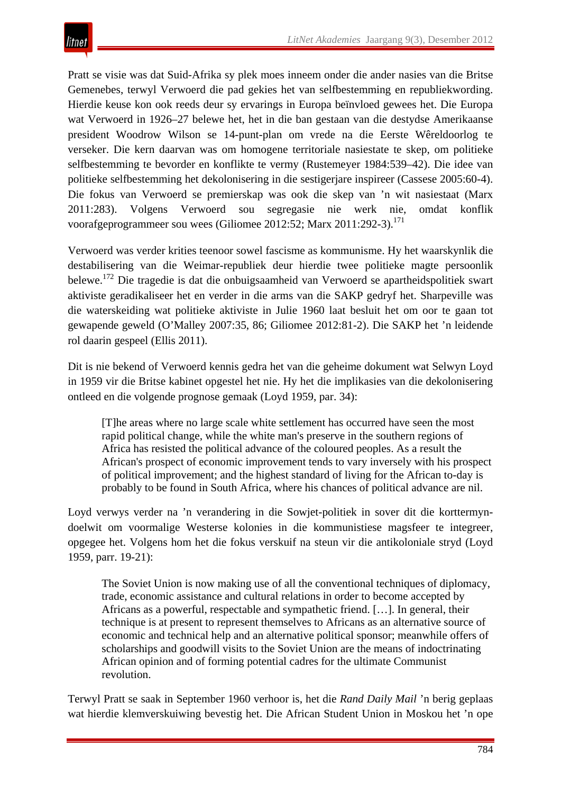Pratt se visie was dat Suid-Afrika sy plek moes inneem onder die ander nasies van die Britse Gemenebes, terwyl Verwoerd die pad gekies het van selfbestemming en republiekwording. Hierdie keuse kon ook reeds deur sy ervarings in Europa beïnvloed gewees het. Die Europa wat Verwoerd in 1926–27 belewe het, het in die ban gestaan van die destydse Amerikaanse president Woodrow Wilson se 14-punt-plan om vrede na die Eerste Wêreldoorlog te verseker. Die kern daarvan was om homogene territoriale nasiestate te skep, om politieke selfbestemming te bevorder en konflikte te vermy (Rustemeyer 1984:539–42). Die idee van politieke selfbestemming het dekolonisering in die sestigerjare inspireer (Cassese 2005:60-4). Die fokus van Verwoerd se premierskap was ook die skep van 'n wit nasiestaat (Marx 2011:283). Volgens Verwoerd sou segregasie nie werk nie, omdat konflik voorafgeprogrammeer sou wees (Giliomee 2012:52; Marx 2011:292-3).<sup>171</sup>

Verwoerd was verder krities teenoor sowel fascisme as kommunisme. Hy het waarskynlik die destabilisering van die Weimar-republiek deur hierdie twee politieke magte persoonlik belewe.172 Die tragedie is dat die onbuigsaamheid van Verwoerd se apartheidspolitiek swart aktiviste geradikaliseer het en verder in die arms van die SAKP gedryf het. Sharpeville was die waterskeiding wat politieke aktiviste in Julie 1960 laat besluit het om oor te gaan tot gewapende geweld (O'Malley 2007:35, 86; Giliomee 2012:81-2). Die SAKP het 'n leidende rol daarin gespeel (Ellis 2011).

Dit is nie bekend of Verwoerd kennis gedra het van die geheime dokument wat Selwyn Loyd in 1959 vir die Britse kabinet opgestel het nie. Hy het die implikasies van die dekolonisering ontleed en die volgende prognose gemaak (Loyd 1959, par. 34):

[T]he areas where no large scale white settlement has occurred have seen the most rapid political change, while the white man's preserve in the southern regions of Africa has resisted the political advance of the coloured peoples. As a result the African's prospect of economic improvement tends to vary inversely with his prospect of political improvement; and the highest standard of living for the African to-day is probably to be found in South Africa, where his chances of political advance are nil.

Loyd verwys verder na 'n verandering in die Sowjet-politiek in sover dit die korttermyndoelwit om voormalige Westerse kolonies in die kommunistiese magsfeer te integreer, opgegee het. Volgens hom het die fokus verskuif na steun vir die antikoloniale stryd (Loyd 1959, parr. 19-21):

The Soviet Union is now making use of all the conventional techniques of diplomacy, trade, economic assistance and cultural relations in order to become accepted by Africans as a powerful, respectable and sympathetic friend. […]. In general, their technique is at present to represent themselves to Africans as an alternative source of economic and technical help and an alternative political sponsor; meanwhile offers of scholarships and goodwill visits to the Soviet Union are the means of indoctrinating African opinion and of forming potential cadres for the ultimate Communist revolution.

Terwyl Pratt se saak in September 1960 verhoor is, het die *Rand Daily Mail* 'n berig geplaas wat hierdie klemverskuiwing bevestig het. Die African Student Union in Moskou het 'n ope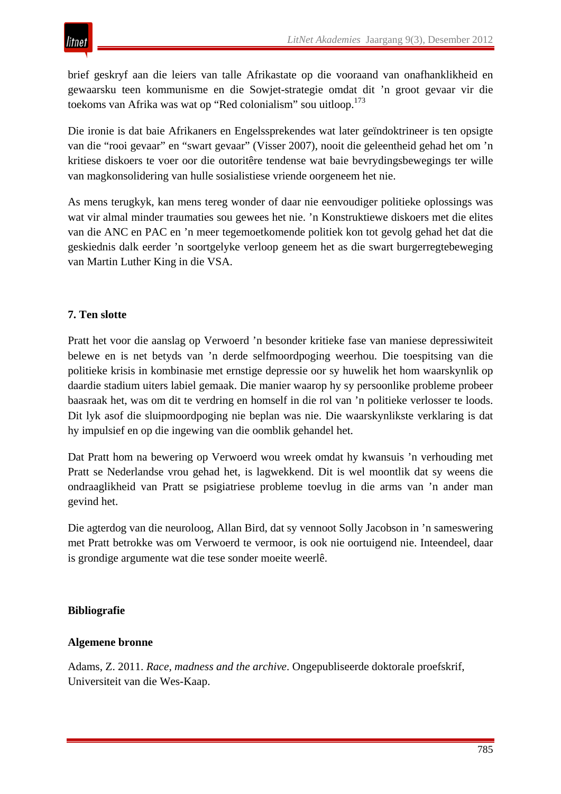brief geskryf aan die leiers van talle Afrikastate op die vooraand van onafhanklikheid en gewaarsku teen kommunisme en die Sowjet-strategie omdat dit 'n groot gevaar vir die toekoms van Afrika was wat op "Red colonialism" sou uitloop.<sup>173</sup>

Die ironie is dat baie Afrikaners en Engelssprekendes wat later geïndoktrineer is ten opsigte van die "rooi gevaar" en "swart gevaar" (Visser 2007), nooit die geleentheid gehad het om 'n kritiese diskoers te voer oor die outoritêre tendense wat baie bevrydingsbewegings ter wille van magkonsolidering van hulle sosialistiese vriende oorgeneem het nie.

As mens terugkyk, kan mens tereg wonder of daar nie eenvoudiger politieke oplossings was wat vir almal minder traumaties sou gewees het nie. 'n Konstruktiewe diskoers met die elites van die ANC en PAC en 'n meer tegemoetkomende politiek kon tot gevolg gehad het dat die geskiednis dalk eerder 'n soortgelyke verloop geneem het as die swart burgerregtebeweging van Martin Luther King in die VSA.

# **7. Ten slotte**

Pratt het voor die aanslag op Verwoerd 'n besonder kritieke fase van maniese depressiwiteit belewe en is net betyds van 'n derde selfmoordpoging weerhou. Die toespitsing van die politieke krisis in kombinasie met ernstige depressie oor sy huwelik het hom waarskynlik op daardie stadium uiters labiel gemaak. Die manier waarop hy sy persoonlike probleme probeer baasraak het, was om dit te verdring en homself in die rol van 'n politieke verlosser te loods. Dit lyk asof die sluipmoordpoging nie beplan was nie. Die waarskynlikste verklaring is dat hy impulsief en op die ingewing van die oomblik gehandel het.

Dat Pratt hom na bewering op Verwoerd wou wreek omdat hy kwansuis 'n verhouding met Pratt se Nederlandse vrou gehad het, is lagwekkend. Dit is wel moontlik dat sy weens die ondraaglikheid van Pratt se psigiatriese probleme toevlug in die arms van 'n ander man gevind het.

Die agterdog van die neuroloog, Allan Bird, dat sy vennoot Solly Jacobson in 'n sameswering met Pratt betrokke was om Verwoerd te vermoor, is ook nie oortuigend nie. Inteendeel, daar is grondige argumente wat die tese sonder moeite weerlê.

## **Bibliografie**

## **Algemene bronne**

Adams, Z. 2011. *Race, madness and the archive*. Ongepubliseerde doktorale proefskrif, Universiteit van die Wes-Kaap.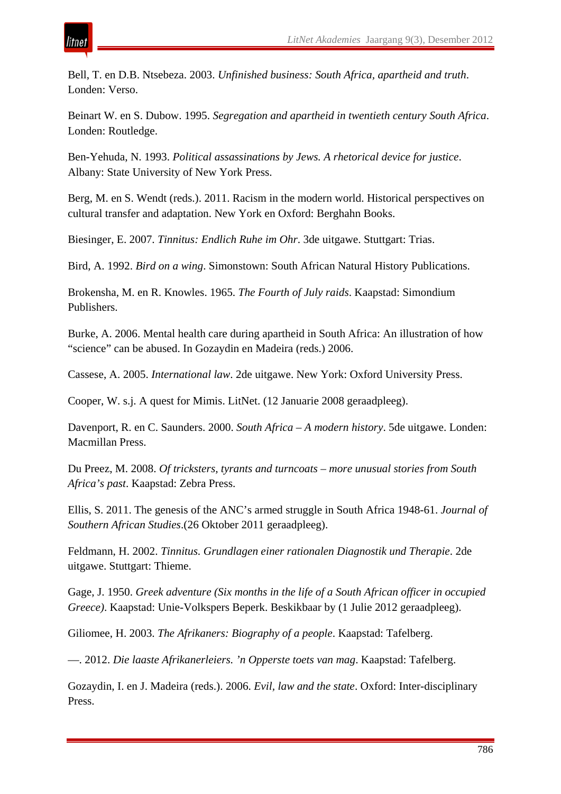

Bell, T. en D.B. Ntsebeza. 2003. *Unfinished business: South Africa, apartheid and truth*. Londen: Verso.

Beinart W. en S. Dubow. 1995. *Segregation and apartheid in twentieth century South Africa*. Londen: Routledge.

Ben-Yehuda, N. 1993. *Political assassinations by Jews. A rhetorical device for justice*. Albany: State University of New York Press.

Berg, M. en S. Wendt (reds.). 2011. Racism in the modern world. Historical perspectives on cultural transfer and adaptation. New York en Oxford: Berghahn Books.

Biesinger, E. 2007. *Tinnitus: Endlich Ruhe im Ohr*. 3de uitgawe. Stuttgart: Trias.

Bird, A. 1992. *Bird on a wing*. Simonstown: South African Natural History Publications.

Brokensha, M. en R. Knowles. 1965. *The Fourth of July raids*. Kaapstad: Simondium Publishers.

Burke, A. 2006. Mental health care during apartheid in South Africa: An illustration of how "science" can be abused. In Gozaydin en Madeira (reds.) 2006.

Cassese, A. 2005. *International law*. 2de uitgawe. New York: Oxford University Press.

Cooper, W. s.j. A quest for Mimis. LitNet. (12 Januarie 2008 geraadpleeg).

Davenport, R. en C. Saunders. 2000. *South Africa – A modern history*. 5de uitgawe. Londen: Macmillan Press.

Du Preez, M. 2008. *Of tricksters, tyrants and turncoats – more unusual stories from South Africa's past*. Kaapstad: Zebra Press.

Ellis, S. 2011. The genesis of the ANC's armed struggle in South Africa 1948-61. *Journal of Southern African Studies*.(26 Oktober 2011 geraadpleeg).

Feldmann, H. 2002. *Tinnitus. Grundlagen einer rationalen Diagnostik und Therapie*. 2de uitgawe. Stuttgart: Thieme.

Gage, J. 1950. *Greek adventure (Six months in the life of a South African officer in occupied Greece)*. Kaapstad: Unie-Volkspers Beperk. Beskikbaar by (1 Julie 2012 geraadpleeg).

Giliomee, H. 2003. *The Afrikaners: Biography of a people*. Kaapstad: Tafelberg.

—. 2012. *Die laaste Afrikanerleiers. 'n Opperste toets van mag*. Kaapstad: Tafelberg.

Gozaydin, I. en J. Madeira (reds.). 2006. *Evil, law and the state*. Oxford: Inter-disciplinary Press.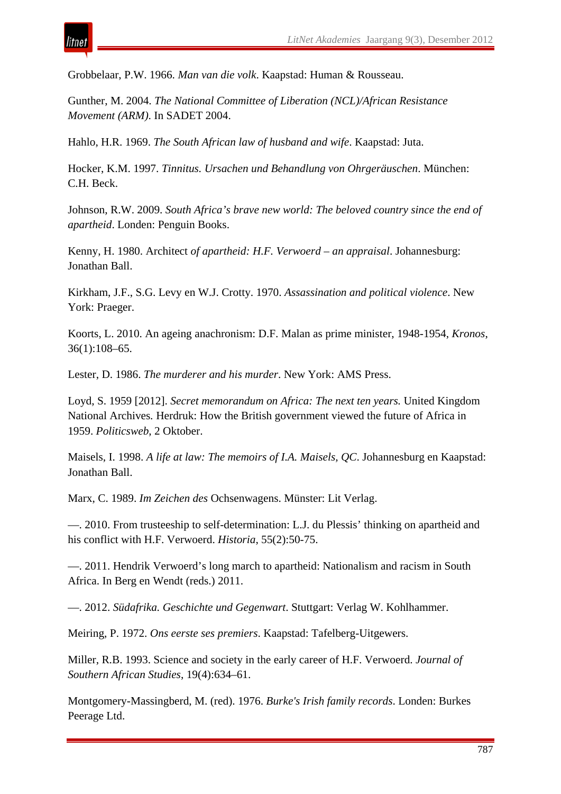

tnei

Grobbelaar, P.W. 1966. *Man van die volk*. Kaapstad: Human & Rousseau.

Gunther, M. 2004. *The National Committee of Liberation (NCL)/African Resistance Movement (ARM)*. In SADET 2004.

Hahlo, H.R. 1969. *The South African law of husband and wife*. Kaapstad: Juta.

Hocker, K.M. 1997. *Tinnitus. Ursachen und Behandlung von Ohrgeräuschen*. München: C.H. Beck.

Johnson, R.W. 2009. *South Africa's brave new world: The beloved country since the end of apartheid*. Londen: Penguin Books.

Kenny, H. 1980. Architect *of apartheid: H.F. Verwoerd – an appraisal*. Johannesburg: Jonathan Ball.

Kirkham, J.F., S.G. Levy en W.J. Crotty. 1970. *Assassination and political violence*. New York: Praeger.

Koorts, L. 2010. An ageing anachronism: D.F. Malan as prime minister, 1948-1954, *Kronos*, 36(1):108–65.

Lester, D. 1986. *The murderer and his murder*. New York: AMS Press.

Loyd, S. 1959 [2012]. *Secret memorandum on Africa: The next ten years.* United Kingdom National Archives*.* Herdruk: How the British government viewed the future of Africa in 1959. *Politicsweb*, 2 Oktober.

Maisels, I. 1998. *A life at law: The memoirs of I.A. Maisels, QC*. Johannesburg en Kaapstad: Jonathan Ball.

Marx, C. 1989. *Im Zeichen des* Ochsenwagens. Münster: Lit Verlag.

—. 2010. From trusteeship to self-determination: L.J. du Plessis' thinking on apartheid and his conflict with H.F. Verwoerd. *Historia*, 55(2):50-75.

—. 2011. Hendrik Verwoerd's long march to apartheid: Nationalism and racism in South Africa. In Berg en Wendt (reds.) 2011.

—. 2012. *Südafrika. Geschichte und Gegenwart*. Stuttgart: Verlag W. Kohlhammer.

Meiring, P. 1972. *Ons eerste ses premiers*. Kaapstad: Tafelberg-Uitgewers.

Miller, R.B. 1993. Science and society in the early career of H.F. Verwoerd. *Journal of Southern African Studies*, 19(4):634–61.

Montgomery-Massingberd, M. (red). 1976. *Burke's Irish family records*. Londen: Burkes Peerage Ltd.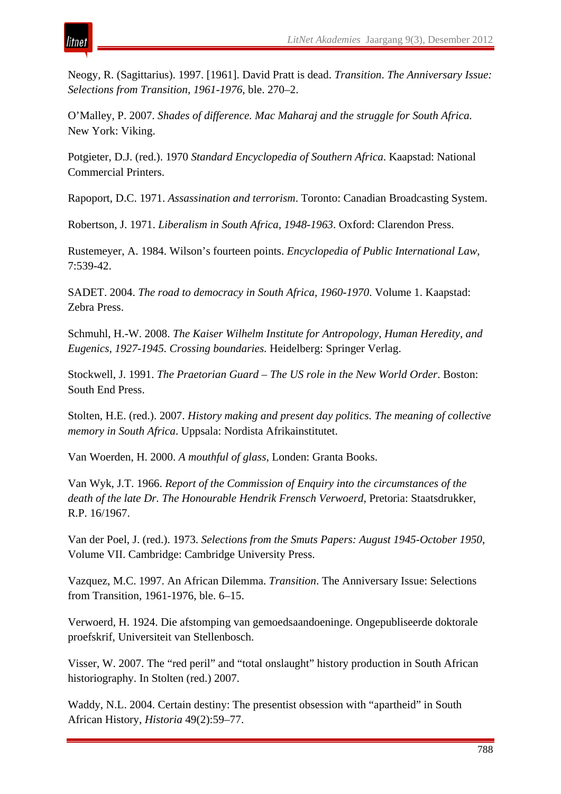Neogy, R. (Sagittarius). 1997. [1961]. David Pratt is dead. *Transition*. *The Anniversary Issue: Selections from Transition, 1961-1976,* ble. 270–2.

O'Malley, P. 2007. *Shades of difference. Mac Maharaj and the struggle for South Africa.* New York: Viking.

Potgieter, D.J. (red.). 1970 *Standard Encyclopedia of Southern Africa*. Kaapstad: National Commercial Printers.

Rapoport, D.C. 1971. *Assassination and terrorism*. Toronto: Canadian Broadcasting System.

Robertson, J. 1971. *Liberalism in South Africa, 1948-1963*. Oxford: Clarendon Press.

Rustemeyer, A. 1984. Wilson's fourteen points. *Encyclopedia of Public International Law,*  7:539-42.

SADET. 2004. *The road to democracy in South Africa, 1960-1970*. Volume 1. Kaapstad: Zebra Press.

Schmuhl, H.-W. 2008. *The Kaiser Wilhelm Institute for Antropology, Human Heredity, and Eugenics, 1927-1945. Crossing boundaries.* Heidelberg: Springer Verlag.

Stockwell, J. 1991. *The Praetorian Guard – The US role in the New World Order*. Boston: South End Press.

Stolten, H.E. (red.). 2007. *History making and present day politics. The meaning of collective memory in South Africa*. Uppsala: Nordista Afrikainstitutet.

Van Woerden, H. 2000. *A mouthful of glass*, Londen: Granta Books.

Van Wyk, J.T. 1966. *Report of the Commission of Enquiry into the circumstances of the death of the late Dr. The Honourable Hendrik Frensch Verwoerd*, Pretoria: Staatsdrukker, R.P. 16/1967.

Van der Poel, J. (red.). 1973. *Selections from the Smuts Papers: August 1945-October 1950*, Volume VII. Cambridge: Cambridge University Press.

Vazquez, M.C. 1997. An African Dilemma. *Transition*. The Anniversary Issue: Selections from Transition, 1961-1976, ble. 6–15.

Verwoerd, H. 1924. Die afstomping van gemoedsaandoeninge. Ongepubliseerde doktorale proefskrif, Universiteit van Stellenbosch.

Visser, W. 2007. The "red peril" and "total onslaught" history production in South African historiography. In Stolten (red.) 2007.

Waddy, N.L. 2004. Certain destiny: The presentist obsession with "apartheid" in South African History, *Historia* 49(2):59–77.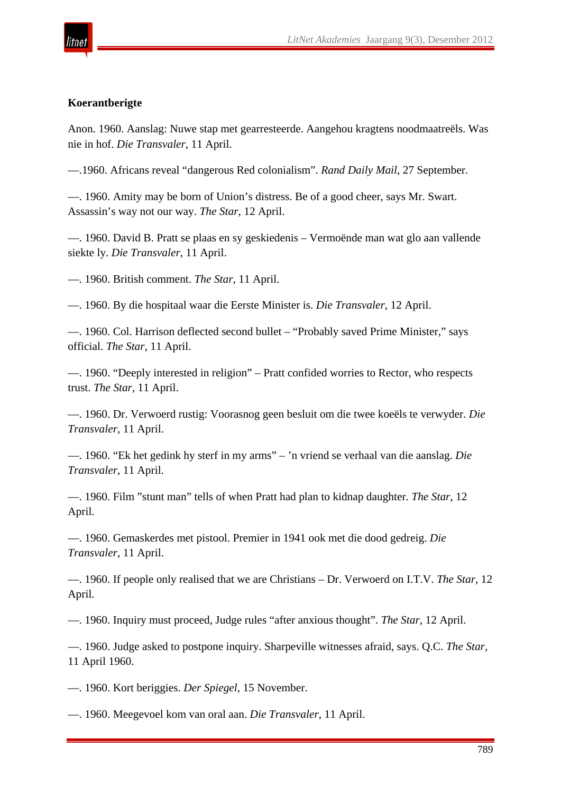

#### **Koerantberigte**

Anon. 1960. Aanslag: Nuwe stap met gearresteerde. Aangehou kragtens noodmaatreëls. Was nie in hof. *Die Transvaler*, 11 April.

—.1960. Africans reveal "dangerous Red colonialism". *Rand Daily Mail*, 27 September.

—. 1960. Amity may be born of Union's distress. Be of a good cheer, says Mr. Swart. Assassin's way not our way. *The Star*, 12 April.

—. 1960. David B. Pratt se plaas en sy geskiedenis – Vermoënde man wat glo aan vallende siekte ly. *Die Transvaler,* 11 April.

—. 1960. British comment. *The Star*, 11 April.

—. 1960. By die hospitaal waar die Eerste Minister is. *Die Transvaler*, 12 April.

—. 1960. Col. Harrison deflected second bullet – "Probably saved Prime Minister," says official. *The Star*, 11 April.

—. 1960. "Deeply interested in religion" – Pratt confided worries to Rector, who respects trust. *The Star*, 11 April.

—. 1960. Dr. Verwoerd rustig: Voorasnog geen besluit om die twee koeëls te verwyder. *Die Transvaler*, 11 April.

—. 1960. "Ek het gedink hy sterf in my arms" – 'n vriend se verhaal van die aanslag. *Die Transvaler*, 11 April.

—. 1960. Film "stunt man" tells of when Pratt had plan to kidnap daughter. *The Star*, 12 April.

—. 1960. Gemaskerdes met pistool. Premier in 1941 ook met die dood gedreig. *Die Transvaler*, 11 April.

—. 1960. If people only realised that we are Christians – Dr. Verwoerd on I.T.V. *The Star*, 12 April.

—. 1960. Inquiry must proceed, Judge rules "after anxious thought". *The Star*, 12 April.

—. 1960. Judge asked to postpone inquiry. Sharpeville witnesses afraid, says. Q.C. *The Star*, 11 April 1960.

—. 1960. Kort beriggies. *Der Spiegel*, 15 November.

—. 1960. Meegevoel kom van oral aan. *Die Transvaler*, 11 April.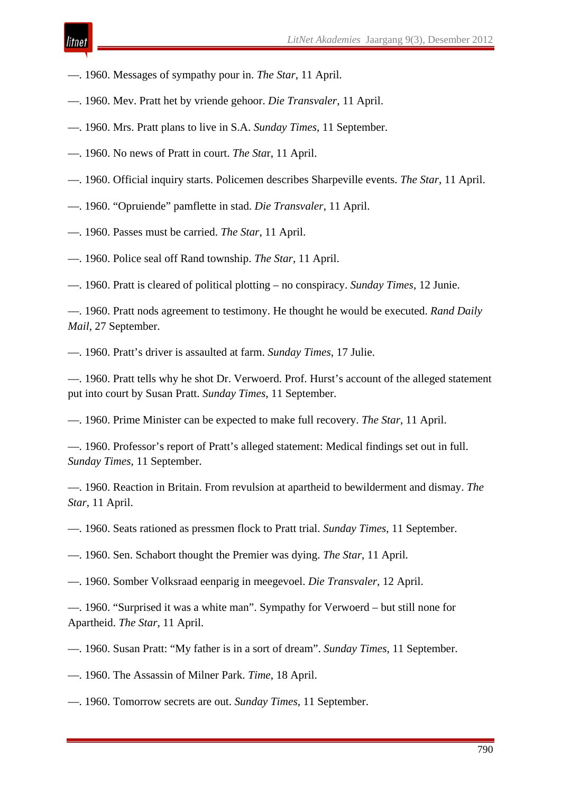- —. 1960. Messages of sympathy pour in. *The Star*, 11 April.
- —. 1960. Mev. Pratt het by vriende gehoor. *Die Transvaler*, 11 April.
- —. 1960. Mrs. Pratt plans to live in S.A. *Sunday Times*, 11 September.
- —. 1960. No news of Pratt in court. *The Sta*r, 11 April.
- —. 1960. Official inquiry starts. Policemen describes Sharpeville events. *The Star*, 11 April.
- —. 1960. "Opruiende" pamflette in stad. *Die Transvaler*, 11 April.
- —. 1960. Passes must be carried. *The Star*, 11 April.
- —. 1960. Police seal off Rand township. *The Star*, 11 April.
- —. 1960. Pratt is cleared of political plotting no conspiracy. *Sunday Times*, 12 Junie.

—. 1960. Pratt nods agreement to testimony. He thought he would be executed. *Rand Daily Mail*, 27 September.

—. 1960. Pratt's driver is assaulted at farm. *Sunday Times*, 17 Julie.

—. 1960. Pratt tells why he shot Dr. Verwoerd. Prof. Hurst's account of the alleged statement put into court by Susan Pratt. *Sunday Times*, 11 September.

—. 1960. Prime Minister can be expected to make full recovery. *The Star*, 11 April.

—. 1960. Professor's report of Pratt's alleged statement: Medical findings set out in full. *Sunday Times*, 11 September.

—. 1960. Reaction in Britain. From revulsion at apartheid to bewilderment and dismay. *The Star*, 11 April.

—. 1960. Seats rationed as pressmen flock to Pratt trial. *Sunday Times*, 11 September.

—. 1960. Sen. Schabort thought the Premier was dying. *The Star*, 11 April.

—. 1960. Somber Volksraad eenparig in meegevoel. *Die Transvaler*, 12 April.

—. 1960. "Surprised it was a white man". Sympathy for Verwoerd – but still none for Apartheid. *The Star*, 11 April.

—. 1960. Susan Pratt: "My father is in a sort of dream". *Sunday Times*, 11 September.

—. 1960. The Assassin of Milner Park. *Time*, 18 April.

—. 1960. Tomorrow secrets are out. *Sunday Times*, 11 September.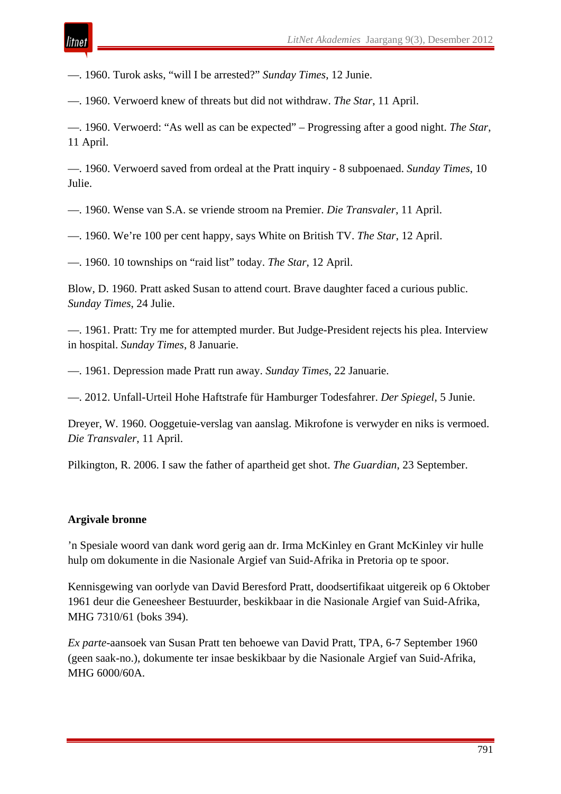—. 1960. Turok asks, "will I be arrested?" *Sunday Times*, 12 Junie.

—. 1960. Verwoerd knew of threats but did not withdraw. *The Star*, 11 April.

—. 1960. Verwoerd: "As well as can be expected" – Progressing after a good night. *The Star*, 11 April.

—. 1960. Verwoerd saved from ordeal at the Pratt inquiry - 8 subpoenaed. *Sunday Times*, 10 Julie.

—. 1960. Wense van S.A. se vriende stroom na Premier. *Die Transvaler*, 11 April.

—. 1960. We're 100 per cent happy, says White on British TV. *The Star*, 12 April.

—. 1960. 10 townships on "raid list" today. *The Star*, 12 April.

Blow, D. 1960. Pratt asked Susan to attend court. Brave daughter faced a curious public. *Sunday Times*, 24 Julie.

—. 1961. Pratt: Try me for attempted murder. But Judge-President rejects his plea. Interview in hospital. *Sunday Times*, 8 Januarie.

—. 1961. Depression made Pratt run away. *Sunday Times*, 22 Januarie.

—. 2012. Unfall-Urteil Hohe Haftstrafe für Hamburger Todesfahrer. *Der Spiegel*, 5 Junie.

Dreyer, W. 1960. Ooggetuie-verslag van aanslag. Mikrofone is verwyder en niks is vermoed. *Die Transvaler*, 11 April.

Pilkington, R. 2006. I saw the father of apartheid get shot. *The Guardian*, 23 September.

#### **Argivale bronne**

'n Spesiale woord van dank word gerig aan dr. Irma McKinley en Grant McKinley vir hulle hulp om dokumente in die Nasionale Argief van Suid-Afrika in Pretoria op te spoor.

Kennisgewing van oorlyde van David Beresford Pratt, doodsertifikaat uitgereik op 6 Oktober 1961 deur die Geneesheer Bestuurder, beskikbaar in die Nasionale Argief van Suid-Afrika, MHG 7310/61 (boks 394).

*Ex parte*-aansoek van Susan Pratt ten behoewe van David Pratt, TPA, 6-7 September 1960 (geen saak-no.), dokumente ter insae beskikbaar by die Nasionale Argief van Suid-Afrika, MHG 6000/60A.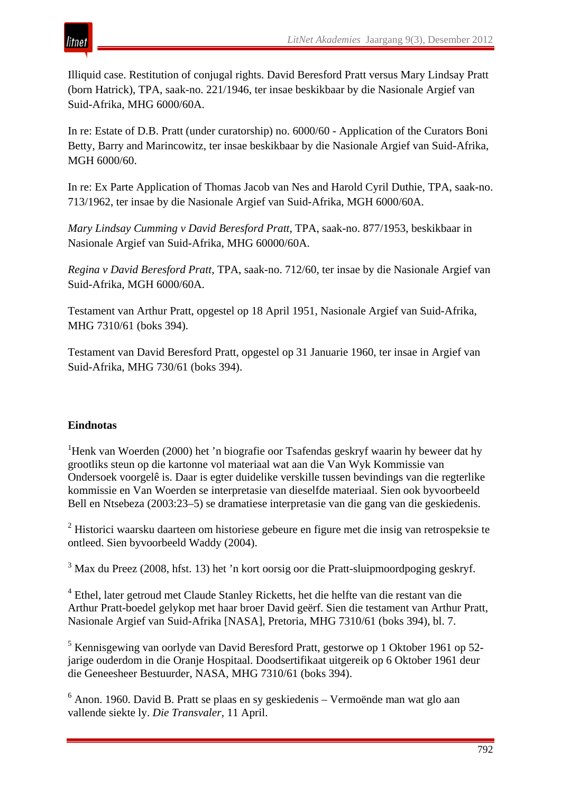

Illiquid case. Restitution of conjugal rights. David Beresford Pratt versus Mary Lindsay Pratt (born Hatrick), TPA, saak-no. 221/1946, ter insae beskikbaar by die Nasionale Argief van Suid-Afrika, MHG 6000/60A.

In re: Estate of D.B. Pratt (under curatorship) no. 6000/60 - Application of the Curators Boni Betty, Barry and Marincowitz, ter insae beskikbaar by die Nasionale Argief van Suid-Afrika, MGH 6000/60.

In re: Ex Parte Application of Thomas Jacob van Nes and Harold Cyril Duthie, TPA, saak-no. 713/1962, ter insae by die Nasionale Argief van Suid-Afrika, MGH 6000/60A.

*Mary Lindsay Cumming v David Beresford Pratt*, TPA, saak-no. 877/1953, beskikbaar in Nasionale Argief van Suid-Afrika, MHG 60000/60A.

*Regina v David Beresford Pratt*, TPA, saak-no. 712/60, ter insae by die Nasionale Argief van Suid-Afrika, MGH 6000/60A.

Testament van Arthur Pratt, opgestel op 18 April 1951, Nasionale Argief van Suid-Afrika, MHG 7310/61 (boks 394).

Testament van David Beresford Pratt, opgestel op 31 Januarie 1960, ter insae in Argief van Suid-Afrika, MHG 730/61 (boks 394).

## **Eindnotas**

<sup>1</sup>Henk van Woerden (2000) het 'n biografie oor Tsafendas geskryf waarin hy beweer dat hy grootliks steun op die kartonne vol materiaal wat aan die Van Wyk Kommissie van Ondersoek voorgelê is. Daar is egter duidelike verskille tussen bevindings van die regterlike kommissie en Van Woerden se interpretasie van dieselfde materiaal. Sien ook byvoorbeeld Bell en Ntsebeza (2003:23–5) se dramatiese interpretasie van die gang van die geskiedenis.

 $2$  Historici waarsku daarteen om historiese gebeure en figure met die insig van retrospeksie te ontleed. Sien byvoorbeeld Waddy (2004).

 $3$  Max du Preez (2008, hfst. 13) het 'n kort oorsig oor die Pratt-sluipmoordpoging geskryf.

<sup>4</sup> Ethel, later getroud met Claude Stanley Ricketts, het die helfte van die restant van die Arthur Pratt-boedel gelykop met haar broer David geërf. Sien die testament van Arthur Pratt, Nasionale Argief van Suid-Afrika [NASA], Pretoria, MHG 7310/61 (boks 394), bl. 7.

<sup>5</sup> Kennisgewing van oorlyde van David Beresford Pratt, gestorwe op 1 Oktober 1961 op 52jarige ouderdom in die Oranje Hospitaal. Doodsertifikaat uitgereik op 6 Oktober 1961 deur die Geneesheer Bestuurder, NASA, MHG 7310/61 (boks 394).

<sup>6</sup> Anon. 1960. David B. Pratt se plaas en sy geskiedenis – Vermoënde man wat glo aan vallende siekte ly. *Die Transvaler,* 11 April.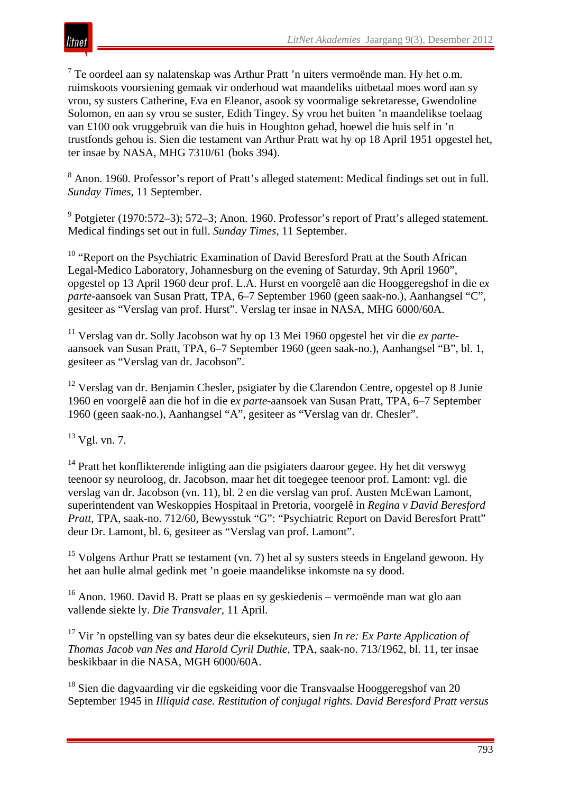<sup>7</sup> Te oordeel aan sy nalatenskap was Arthur Pratt 'n uiters vermoënde man. Hy het o.m. ruimskoots voorsiening gemaak vir onderhoud wat maandeliks uitbetaal moes word aan sy vrou, sy susters Catherine, Eva en Eleanor, asook sy voormalige sekretaresse, Gwendoline Solomon, en aan sy vrou se suster, Edith Tingey. Sy vrou het buiten 'n maandelikse toelaag van £100 ook vruggebruik van die huis in Houghton gehad, hoewel die huis self in 'n trustfonds gehou is. Sien die testament van Arthur Pratt wat hy op 18 April 1951 opgestel het, ter insae by NASA, MHG 7310/61 (boks 394).

<sup>8</sup> Anon. 1960. Professor's report of Pratt's alleged statement: Medical findings set out in full. *Sunday Times*, 11 September.

<sup>9</sup> Potgieter (1970:572–3); 572–3; Anon. 1960. Professor's report of Pratt's alleged statement. Medical findings set out in full. *Sunday Times*, 11 September.

<sup>10</sup> "Report on the Psychiatric Examination of David Beresford Pratt at the South African Legal-Medico Laboratory, Johannesburg on the evening of Saturday, 9th April 1960", opgestel op 13 April 1960 deur prof. L.A. Hurst en voorgelê aan die Hooggeregshof in die e*x parte*-aansoek van Susan Pratt, TPA, 6–7 September 1960 (geen saak-no.), Aanhangsel "C", gesiteer as "Verslag van prof. Hurst". Verslag ter insae in NASA, MHG 6000/60A.

<sup>11</sup> Verslag van dr. Solly Jacobson wat hy op 13 Mei 1960 opgestel het vir die *ex parte*aansoek van Susan Pratt, TPA, 6–7 September 1960 (geen saak-no.), Aanhangsel "B", bl. 1, gesiteer as "Verslag van dr. Jacobson".

<sup>12</sup> Verslag van dr. Benjamin Chesler, psigiater by die Clarendon Centre, opgestel op 8 Junie 1960 en voorgelê aan die hof in die e*x parte*-aansoek van Susan Pratt, TPA, 6–7 September 1960 (geen saak-no.), Aanhangsel "A", gesiteer as "Verslag van dr. Chesler".

 $^{13}$  Vgl. vn. 7.

<sup>14</sup> Pratt het konflikterende inligting aan die psigiaters daaroor gegee. Hy het dit verswyg teenoor sy neuroloog, dr. Jacobson, maar het dit toegegee teenoor prof. Lamont: vgl. die verslag van dr. Jacobson (vn. 11), bl. 2 en die verslag van prof. Austen McEwan Lamont, superintendent van Weskoppies Hospitaal in Pretoria, voorgelê in *Regina v David Beresford Pratt*, TPA, saak-no. 712/60, Bewysstuk "G": "Psychiatric Report on David Beresfort Pratt" deur Dr. Lamont, bl. 6, gesiteer as "Verslag van prof. Lamont".

<sup>15</sup> Volgens Arthur Pratt se testament (vn. 7) het al sy susters steeds in Engeland gewoon. Hy het aan hulle almal gedink met 'n goeie maandelikse inkomste na sy dood.

<sup>16</sup> Anon. 1960. David B. Pratt se plaas en sy geskiedenis – vermoënde man wat glo aan vallende siekte ly. *Die Transvaler,* 11 April.

<sup>17</sup> Vir 'n opstelling van sy bates deur die eksekuteurs, sien *In re: Ex Parte Application of Thomas Jacob van Nes and Harold Cyril Duthie*, TPA, saak-no. 713/1962, bl. 11, ter insae beskikbaar in die NASA, MGH 6000/60A.

<sup>18</sup> Sien die dagvaarding vir die egskeiding voor die Transvaalse Hooggeregshof van 20 September 1945 in *Illiquid case. Restitution of conjugal rights. David Beresford Pratt versus*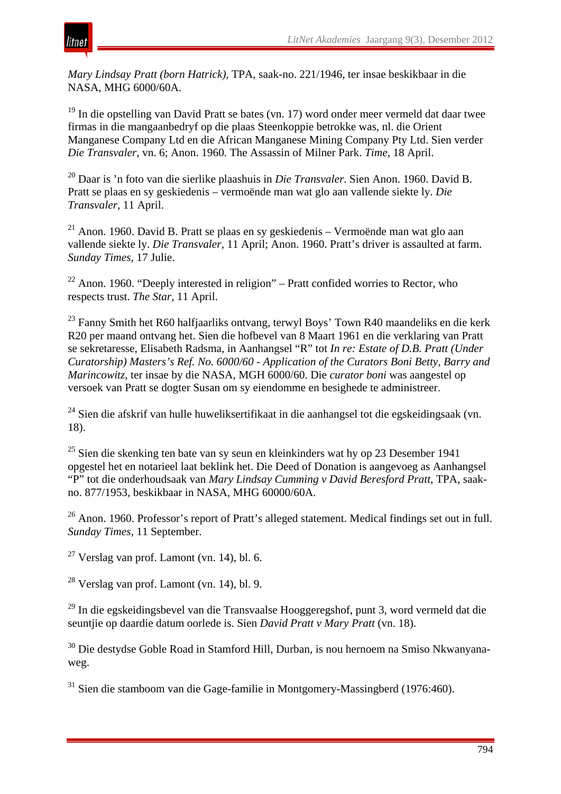*Mary Lindsay Pratt (born Hatrick)*, TPA, saak-no. 221/1946, ter insae beskikbaar in die NASA, MHG 6000/60A.

<sup>19</sup> In die opstelling van David Pratt se bates (vn. 17) word onder meer vermeld dat daar twee firmas in die mangaanbedryf op die plaas Steenkoppie betrokke was, nl. die Orient Manganese Company Ltd en die African Manganese Mining Company Pty Ltd. Sien verder *Die Transvaler*, vn. 6; Anon. 1960. The Assassin of Milner Park. *Time*, 18 April.

<sup>20</sup> Daar is 'n foto van die sierlike plaashuis in *Die Transvaler*. Sien Anon. 1960. David B. Pratt se plaas en sy geskiedenis – vermoënde man wat glo aan vallende siekte ly. *Die Transvaler,* 11 April.

<sup>21</sup> Anon. 1960. David B. Pratt se plaas en sy geskiedenis – Vermoënde man wat glo aan vallende siekte ly. *Die Transvaler*, 11 April; Anon. 1960. Pratt's driver is assaulted at farm. *Sunday Times*, 17 Julie.

 $22$  Anon. 1960. "Deeply interested in religion" – Pratt confided worries to Rector, who respects trust. *The Star*, 11 April.

<sup>23</sup> Fanny Smith het R60 halfjaarliks ontvang, terwyl Boys' Town R40 maandeliks en die kerk R20 per maand ontvang het. Sien die hofbevel van 8 Maart 1961 en die verklaring van Pratt se sekretaresse, Elisabeth Radsma, in Aanhangsel "R" tot *In re: Estate of D.B. Pratt (Under Curatorship) Masters's Ref. No. 6000/60 - Application of the Curators Boni Betty, Barry and Marincowitz*, ter insae by die NASA, MGH 6000/60. Die *curator boni* was aangestel op versoek van Pratt se dogter Susan om sy eiendomme en besighede te administreer.

 $24$  Sien die afskrif van hulle huweliksertifikaat in die aanhangsel tot die egskeidingsaak (vn. 18).

<sup>25</sup> Sien die skenking ten bate van sy seun en kleinkinders wat hy op 23 Desember 1941 opgestel het en notarieel laat beklink het. Die Deed of Donation is aangevoeg as Aanhangsel "P" tot die onderhoudsaak van *Mary Lindsay Cumming v David Beresford Pratt*, TPA, saakno. 877/1953, beskikbaar in NASA, MHG 60000/60A.

<sup>26</sup> Anon. 1960. Professor's report of Pratt's alleged statement. Medical findings set out in full. *Sunday Times*, 11 September.

 $27$  Verslag van prof. Lamont (vn. 14), bl. 6.

 $^{28}$  Verslag van prof. Lamont (vn. 14), bl. 9.

<sup>29</sup> In die egskeidingsbevel van die Transvaalse Hooggeregshof, punt 3, word vermeld dat die seuntjie op daardie datum oorlede is. Sien *David Pratt v Mary Pratt* (vn. 18).

<sup>30</sup> Die destydse Goble Road in Stamford Hill, Durban, is nou hernoem na Smiso Nkwanyanaweg.

<sup>31</sup> Sien die stamboom van die Gage-familie in Montgomery-Massingberd (1976:460).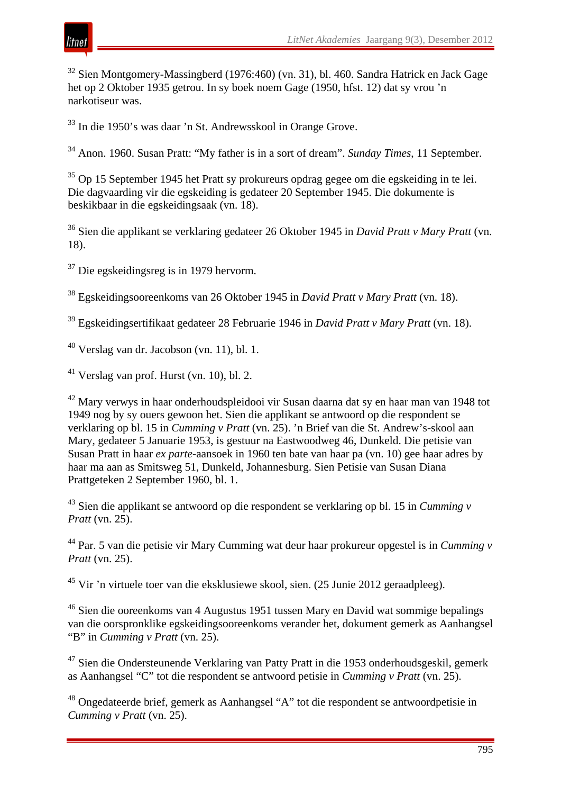

<sup>32</sup> Sien Montgomery-Massingberd (1976:460) (vn. 31), bl. 460. Sandra Hatrick en Jack Gage het op 2 Oktober 1935 getrou. In sy boek noem Gage (1950, hfst. 12) dat sy vrou 'n narkotiseur was.

<sup>33</sup> In die 1950's was daar 'n St. Andrewsskool in Orange Grove.

<sup>34</sup> Anon. 1960. Susan Pratt: "My father is in a sort of dream". *Sunday Times*, 11 September.

<sup>35</sup> Op 15 September 1945 het Pratt sy prokureurs opdrag gegee om die egskeiding in te lei. Die dagvaarding vir die egskeiding is gedateer 20 September 1945. Die dokumente is beskikbaar in die egskeidingsaak (vn. 18).

<sup>36</sup> Sien die applikant se verklaring gedateer 26 Oktober 1945 in *David Pratt v Mary Pratt* (vn. 18).

<sup>37</sup> Die egskeidingsreg is in 1979 hervorm.

<sup>38</sup> Egskeidingsooreenkoms van 26 Oktober 1945 in *David Pratt v Mary Pratt* (vn. 18).

<sup>39</sup> Egskeidingsertifikaat gedateer 28 Februarie 1946 in *David Pratt v Mary Pratt* (vn. 18).

 $^{40}$  Verslag van dr. Jacobson (vn. 11), bl. 1.

 $41$  Verslag van prof. Hurst (vn. 10), bl. 2.

<sup>42</sup> Mary verwys in haar onderhoudspleidooi vir Susan daarna dat sy en haar man van 1948 tot 1949 nog by sy ouers gewoon het. Sien die applikant se antwoord op die respondent se verklaring op bl. 15 in *Cumming v Pratt* (vn. 25). 'n Brief van die St. Andrew's-skool aan Mary, gedateer 5 Januarie 1953, is gestuur na Eastwoodweg 46, Dunkeld. Die petisie van Susan Pratt in haar *ex parte*-aansoek in 1960 ten bate van haar pa (vn. 10) gee haar adres by haar ma aan as Smitsweg 51, Dunkeld, Johannesburg. Sien Petisie van Susan Diana Prattgeteken 2 September 1960, bl. 1.

<sup>43</sup> Sien die applikant se antwoord op die respondent se verklaring op bl. 15 in *Cumming v Pratt* (vn. 25).

<sup>44</sup> Par. 5 van die petisie vir Mary Cumming wat deur haar prokureur opgestel is in *Cumming v Pratt* (vn. 25).

<sup>45</sup> Vir 'n virtuele toer van die eksklusiewe skool, sien. (25 Junie 2012 geraadpleeg).

<sup>46</sup> Sien die ooreenkoms van 4 Augustus 1951 tussen Mary en David wat sommige bepalings van die oorspronklike egskeidingsooreenkoms verander het, dokument gemerk as Aanhangsel "B" in *Cumming v Pratt* (vn. 25).

<sup>47</sup> Sien die Ondersteunende Verklaring van Patty Pratt in die 1953 onderhoudsgeskil, gemerk as Aanhangsel "C" tot die respondent se antwoord petisie in *Cumming v Pratt* (vn. 25).

<sup>48</sup> Ongedateerde brief, gemerk as Aanhangsel "A" tot die respondent se antwoordpetisie in *Cumming v Pratt* (vn. 25).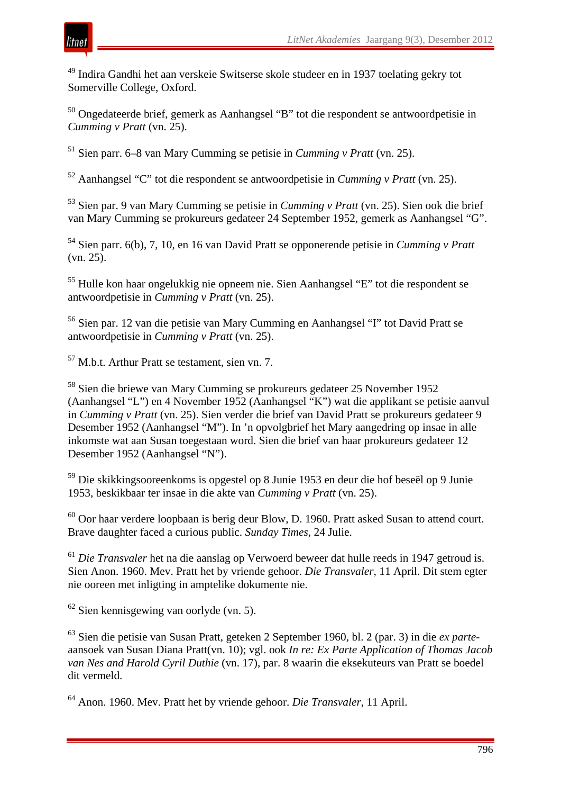

<sup>49</sup> Indira Gandhi het aan verskeie Switserse skole studeer en in 1937 toelating gekry tot Somerville College, Oxford.

<sup>50</sup> Ongedateerde brief, gemerk as Aanhangsel "B" tot die respondent se antwoordpetisie in *Cumming v Pratt* (vn. 25).

<sup>51</sup> Sien parr. 6–8 van Mary Cumming se petisie in *Cumming v Pratt* (vn. 25).

<sup>52</sup> Aanhangsel "C" tot die respondent se antwoordpetisie in *Cumming v Pratt* (vn. 25).

<sup>53</sup> Sien par. 9 van Mary Cumming se petisie in *Cumming v Pratt* (vn. 25). Sien ook die brief van Mary Cumming se prokureurs gedateer 24 September 1952, gemerk as Aanhangsel "G".

<sup>54</sup> Sien parr. 6(b), 7, 10, en 16 van David Pratt se opponerende petisie in *Cumming v Pratt* (vn. 25).

<sup>55</sup> Hulle kon haar ongelukkig nie opneem nie. Sien Aanhangsel "E" tot die respondent se antwoordpetisie in *Cumming v Pratt* (vn. 25).

<sup>56</sup> Sien par. 12 van die petisie van Mary Cumming en Aanhangsel "I" tot David Pratt se antwoordpetisie in *Cumming v Pratt* (vn. 25).

<sup>57</sup> M.b.t. Arthur Pratt se testament, sien vn. 7.

<sup>58</sup> Sien die briewe van Mary Cumming se prokureurs gedateer 25 November 1952 (Aanhangsel "L") en 4 November 1952 (Aanhangsel "K") wat die applikant se petisie aanvul in *Cumming v Pratt* (vn. 25). Sien verder die brief van David Pratt se prokureurs gedateer 9 Desember 1952 (Aanhangsel "M"). In 'n opvolgbrief het Mary aangedring op insae in alle inkomste wat aan Susan toegestaan word. Sien die brief van haar prokureurs gedateer 12 Desember 1952 (Aanhangsel "N").

<sup>59</sup> Die skikkingsooreenkoms is opgestel op 8 Junie 1953 en deur die hof beseël op 9 Junie 1953, beskikbaar ter insae in die akte van *Cumming v Pratt* (vn. 25).

<sup>60</sup> Oor haar verdere loopbaan is berig deur Blow, D. 1960. Pratt asked Susan to attend court. Brave daughter faced a curious public. *Sunday Times*, 24 Julie.

<sup>61</sup> *Die Transvaler* het na die aanslag op Verwoerd beweer dat hulle reeds in 1947 getroud is. Sien Anon. 1960. Mev. Pratt het by vriende gehoor. *Die Transvaler*, 11 April. Dit stem egter nie ooreen met inligting in amptelike dokumente nie.

 $62$  Sien kennisgewing van oorlyde (vn. 5).

<sup>63</sup> Sien die petisie van Susan Pratt, geteken 2 September 1960, bl. 2 (par. 3) in die *ex parte*aansoek van Susan Diana Pratt(vn. 10); vgl. ook *In re: Ex Parte Application of Thomas Jacob van Nes and Harold Cyril Duthie* (vn. 17), par. 8 waarin die eksekuteurs van Pratt se boedel dit vermeld.

<sup>64</sup> Anon. 1960. Mev. Pratt het by vriende gehoor. *Die Transvaler*, 11 April.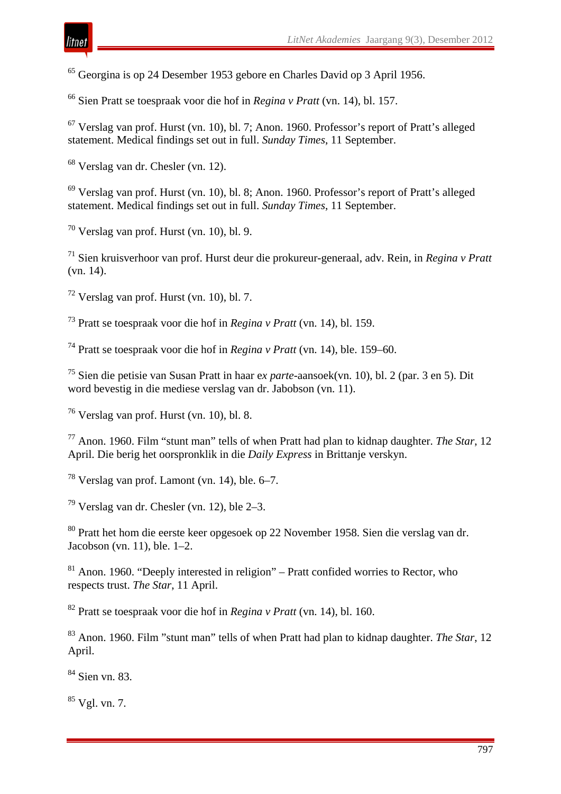Georgina is op 24 Desember 1953 gebore en Charles David op 3 April 1956.

Sien Pratt se toespraak voor die hof in *Regina v Pratt* (vn. 14), bl. 157.

 Verslag van prof. Hurst (vn. 10), bl. 7; Anon. 1960. Professor's report of Pratt's alleged statement. Medical findings set out in full. *Sunday Times*, 11 September.

Verslag van dr. Chesler (vn. 12).

 Verslag van prof. Hurst (vn. 10), bl. 8; Anon. 1960. Professor's report of Pratt's alleged statement. Medical findings set out in full. *Sunday Times*, 11 September.

Verslag van prof. Hurst (vn. 10), bl. 9.

 Sien kruisverhoor van prof. Hurst deur die prokureur-generaal, adv. Rein, in *Regina v Pratt*  (vn. 14).

Verslag van prof. Hurst (vn. 10), bl. 7.

Pratt se toespraak voor die hof in *Regina v Pratt* (vn. 14), bl. 159.

Pratt se toespraak voor die hof in *Regina v Pratt* (vn. 14), ble. 159–60.

 Sien die petisie van Susan Pratt in haar e*x parte*-aansoek(vn. 10), bl. 2 (par. 3 en 5). Dit word bevestig in die mediese verslag van dr. Jabobson (vn. 11).

Verslag van prof. Hurst (vn. 10), bl. 8.

 Anon. 1960. Film "stunt man" tells of when Pratt had plan to kidnap daughter. *The Star*, 12 April. Die berig het oorspronklik in die *Daily Express* in Brittanje verskyn.

Verslag van prof. Lamont (vn. 14), ble. 6–7.

Verslag van dr. Chesler (vn. 12), ble 2–3.

 Pratt het hom die eerste keer opgesoek op 22 November 1958. Sien die verslag van dr. Jacobson (vn. 11), ble. 1–2.

 Anon. 1960. "Deeply interested in religion" – Pratt confided worries to Rector, who respects trust. *The Star*, 11 April.

Pratt se toespraak voor die hof in *Regina v Pratt* (vn. 14), bl. 160.

 Anon. 1960. Film "stunt man" tells of when Pratt had plan to kidnap daughter. *The Star*, 12 April.

Sien vn. 83.

Vgl. vn. 7.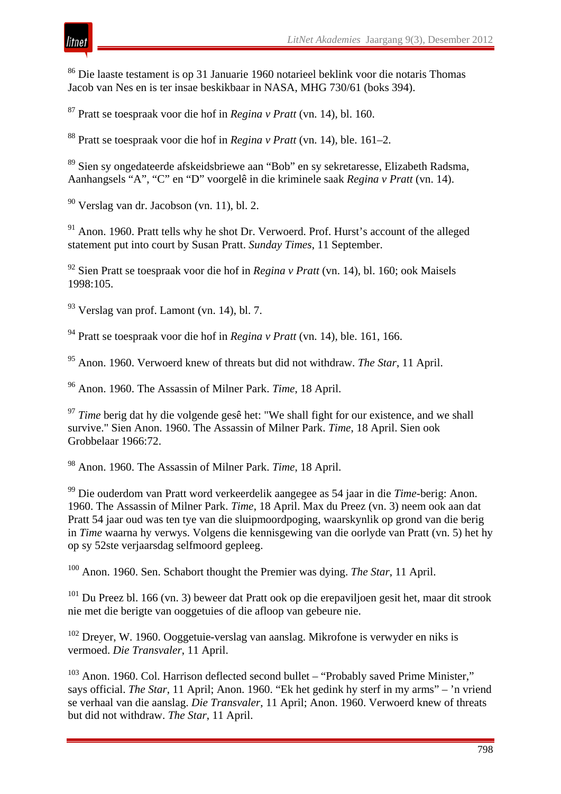<sup>86</sup> Die laaste testament is op 31 Januarie 1960 notarieel beklink voor die notaris Thomas Jacob van Nes en is ter insae beskikbaar in NASA, MHG 730/61 (boks 394).

*LitNet Akademies* Jaargang 9(3), Desember 2012

<sup>87</sup> Pratt se toespraak voor die hof in *Regina v Pratt* (vn. 14), bl. 160.

<sup>88</sup> Pratt se toespraak voor die hof in *Regina v Pratt* (vn. 14), ble. 161–2.

<sup>89</sup> Sien sy ongedateerde afskeidsbriewe aan "Bob" en sy sekretaresse, Elizabeth Radsma, Aanhangsels "A", "C" en "D" voorgelê in die kriminele saak *Regina v Pratt* (vn. 14).

<sup>90</sup> Verslag van dr. Jacobson (vn. 11), bl. 2.

<sup>91</sup> Anon. 1960. Pratt tells why he shot Dr. Verwoerd. Prof. Hurst's account of the alleged statement put into court by Susan Pratt. *Sunday Times*, 11 September.

<sup>92</sup> Sien Pratt se toespraak voor die hof in *Regina v Pratt* (vn. 14), bl. 160; ook Maisels 1998:105.

 $93$  Verslag van prof. Lamont (vn. 14), bl. 7.

<sup>94</sup> Pratt se toespraak voor die hof in *Regina v Pratt* (vn. 14), ble. 161, 166.

<sup>95</sup> Anon. 1960. Verwoerd knew of threats but did not withdraw. *The Star*, 11 April.

<sup>96</sup> Anon. 1960. The Assassin of Milner Park. *Time*, 18 April.

<sup>97</sup> *Time* berig dat hy die volgende gesê het: "We shall fight for our existence, and we shall survive." Sien Anon. 1960. The Assassin of Milner Park. *Time*, 18 April. Sien ook Grobbelaar 1966:72.

<sup>98</sup> Anon. 1960. The Assassin of Milner Park. *Time*, 18 April.

<sup>99</sup> Die ouderdom van Pratt word verkeerdelik aangegee as 54 jaar in die *Time*-berig: Anon. 1960. The Assassin of Milner Park. *Time*, 18 April. Max du Preez (vn. 3) neem ook aan dat Pratt 54 jaar oud was ten tye van die sluipmoordpoging, waarskynlik op grond van die berig in *Time* waarna hy verwys. Volgens die kennisgewing van die oorlyde van Pratt (vn. 5) het hy op sy 52ste verjaarsdag selfmoord gepleeg.

<sup>100</sup> Anon. 1960. Sen. Schabort thought the Premier was dying. *The Star*, 11 April.

 $101$  Du Preez bl. 166 (vn. 3) beweer dat Pratt ook op die erepaviljoen gesit het, maar dit strook nie met die berigte van ooggetuies of die afloop van gebeure nie.

<sup>102</sup> Dreyer, W. 1960. Ooggetuie-verslag van aanslag. Mikrofone is verwyder en niks is vermoed. *Die Transvaler*, 11 April.

 $103$  Anon. 1960. Col. Harrison deflected second bullet – "Probably saved Prime Minister," says official. *The Star*, 11 April; Anon. 1960. "Ek het gedink hy sterf in my arms" – 'n vriend se verhaal van die aanslag. *Die Transvaler*, 11 April; Anon. 1960. Verwoerd knew of threats but did not withdraw. *The Star*, 11 April.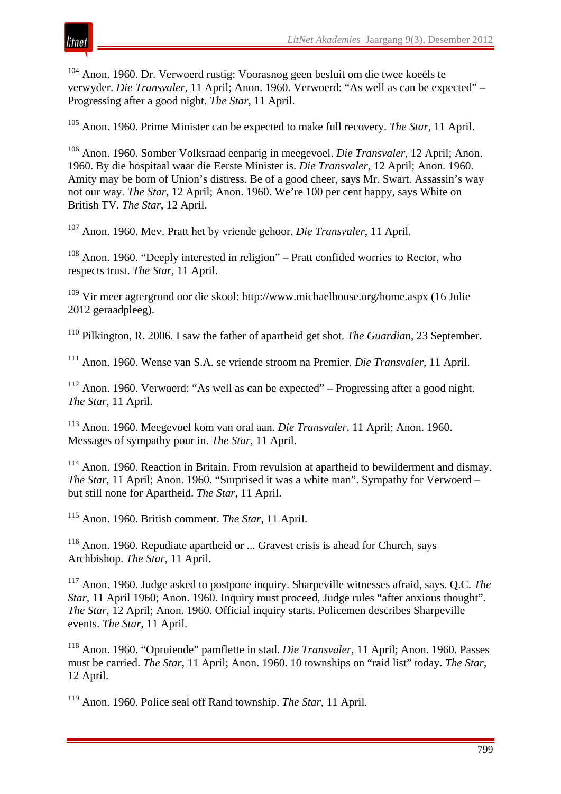

<sup>104</sup> Anon. 1960. Dr. Verwoerd rustig: Voorasnog geen besluit om die twee koeëls te verwyder. *Die Transvaler*, 11 April; Anon. 1960. Verwoerd: "As well as can be expected" – Progressing after a good night. *The Star*, 11 April.

<sup>105</sup> Anon. 1960. Prime Minister can be expected to make full recovery. *The Star*, 11 April.

<sup>106</sup> Anon. 1960. Somber Volksraad eenparig in meegevoel. *Die Transvaler*, 12 April; Anon. 1960. By die hospitaal waar die Eerste Minister is. *Die Transvaler*, 12 April; Anon. 1960. Amity may be born of Union's distress. Be of a good cheer, says Mr. Swart. Assassin's way not our way. *The Star*, 12 April; Anon. 1960. We're 100 per cent happy, says White on British TV. *The Star*, 12 April.

<sup>107</sup> Anon. 1960. Mev. Pratt het by vriende gehoor. *Die Transvaler*, 11 April.

<sup>108</sup> Anon. 1960. "Deeply interested in religion" – Pratt confided worries to Rector, who respects trust. *The Star*, 11 April.

<sup>109</sup> Vir meer agtergrond oor die skool: http://www.michaelhouse.org/home.aspx (16 Julie 2012 geraadpleeg).

<sup>110</sup> Pilkington, R. 2006. I saw the father of apartheid get shot. *The Guardian*, 23 September.

<sup>111</sup> Anon. 1960. Wense van S.A. se vriende stroom na Premier. *Die Transvaler*, 11 April.

<sup>112</sup> Anon. 1960. Verwoerd: "As well as can be expected" – Progressing after a good night. *The Star*, 11 April.

<sup>113</sup> Anon. 1960. Meegevoel kom van oral aan. *Die Transvaler*, 11 April; Anon. 1960. Messages of sympathy pour in. *The Star*, 11 April.

<sup>114</sup> Anon. 1960. Reaction in Britain. From revulsion at apartheid to bewilderment and dismay. *The Star*, 11 April; Anon. 1960. "Surprised it was a white man". Sympathy for Verwoerd – but still none for Apartheid. *The Star*, 11 April.

<sup>115</sup> Anon. 1960. British comment. *The Star*, 11 April.

<sup>116</sup> Anon. 1960. Repudiate apartheid or ... Gravest crisis is ahead for Church, says Archbishop. *The Star*, 11 April.

<sup>117</sup> Anon. 1960. Judge asked to postpone inquiry. Sharpeville witnesses afraid, says. Q.C. *The Star*, 11 April 1960; Anon. 1960. Inquiry must proceed, Judge rules "after anxious thought". *The Star*, 12 April; Anon. 1960. Official inquiry starts. Policemen describes Sharpeville events. *The Star*, 11 April.

<sup>118</sup> Anon. 1960. "Opruiende" pamflette in stad. *Die Transvaler*, 11 April; Anon. 1960. Passes must be carried. *The Star*, 11 April; Anon. 1960. 10 townships on "raid list" today. *The Star*, 12 April.

<sup>119</sup> Anon. 1960. Police seal off Rand township. *The Star*, 11 April.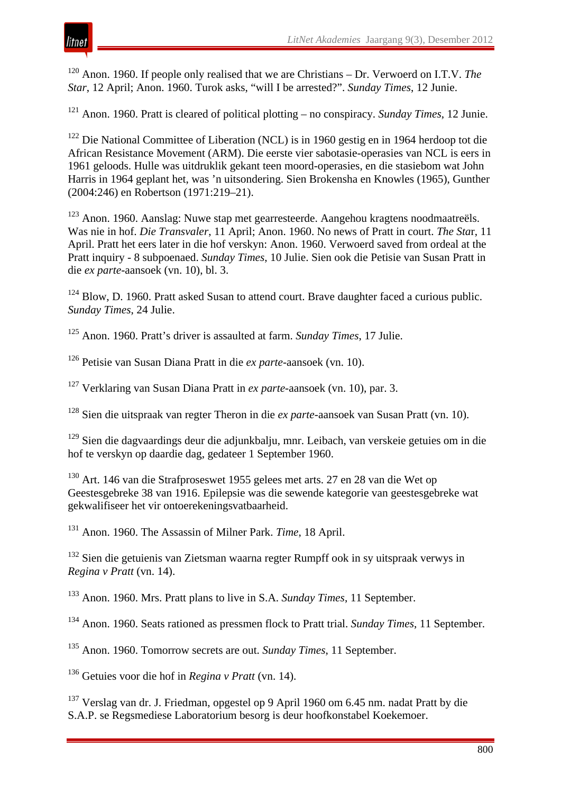<sup>120</sup> Anon. 1960. If people only realised that we are Christians – Dr. Verwoerd on I.T.V. *The Star*, 12 April; Anon. 1960. Turok asks, "will I be arrested?". *Sunday Times*, 12 Junie.

<sup>121</sup> Anon. 1960. Pratt is cleared of political plotting – no conspiracy. *Sunday Times*, 12 Junie.

<sup>122</sup> Die National Committee of Liberation (NCL) is in 1960 gestig en in 1964 herdoop tot die African Resistance Movement (ARM). Die eerste vier sabotasie-operasies van NCL is eers in 1961 geloods. Hulle was uitdruklik gekant teen moord-operasies, en die stasiebom wat John Harris in 1964 geplant het, was 'n uitsondering. Sien Brokensha en Knowles (1965), Gunther (2004:246) en Robertson (1971:219–21).

<sup>123</sup> Anon. 1960. Aanslag: Nuwe stap met gearresteerde. Aangehou kragtens noodmaatreëls. Was nie in hof. *Die Transvaler*, 11 April; Anon. 1960. No news of Pratt in court. *The Sta*r, 11 April. Pratt het eers later in die hof verskyn: Anon. 1960. Verwoerd saved from ordeal at the Pratt inquiry - 8 subpoenaed. *Sunday Times*, 10 Julie. Sien ook die Petisie van Susan Pratt in die *ex parte*-aansoek (vn. 10), bl. 3.

<sup>124</sup> Blow, D. 1960. Pratt asked Susan to attend court. Brave daughter faced a curious public. *Sunday Times*, 24 Julie.

<sup>125</sup> Anon. 1960. Pratt's driver is assaulted at farm. *Sunday Times*, 17 Julie.

<sup>126</sup> Petisie van Susan Diana Pratt in die *ex parte-*aansoek (vn. 10).

<sup>127</sup> Verklaring van Susan Diana Pratt in *ex parte-*aansoek (vn. 10), par. 3.

<sup>128</sup> Sien die uitspraak van regter Theron in die *ex parte*-aansoek van Susan Pratt (vn. 10).

<sup>129</sup> Sien die dagvaardings deur die adjunkbalju, mnr. Leibach, van verskeie getuies om in die hof te verskyn op daardie dag, gedateer 1 September 1960.

<sup>130</sup> Art. 146 van die Strafproseswet 1955 gelees met arts. 27 en 28 van die Wet op Geestesgebreke 38 van 1916. Epilepsie was die sewende kategorie van geestesgebreke wat gekwalifiseer het vir ontoerekeningsvatbaarheid.

<sup>131</sup> Anon. 1960. The Assassin of Milner Park. *Time*, 18 April.

<sup>132</sup> Sien die getuienis van Zietsman waarna regter Rumpff ook in sy uitspraak verwys in *Regina v Pratt* (vn. 14).

<sup>133</sup> Anon. 1960. Mrs. Pratt plans to live in S.A. *Sunday Times*, 11 September.

<sup>134</sup> Anon. 1960. Seats rationed as pressmen flock to Pratt trial. *Sunday Times*, 11 September.

<sup>135</sup> Anon. 1960. Tomorrow secrets are out. *Sunday Times*, 11 September.

<sup>136</sup> Getuies voor die hof in *Regina v Pratt* (vn. 14).

<sup>137</sup> Verslag van dr. J. Friedman, opgestel op 9 April 1960 om 6.45 nm. nadat Pratt by die S.A.P. se Regsmediese Laboratorium besorg is deur hoofkonstabel Koekemoer.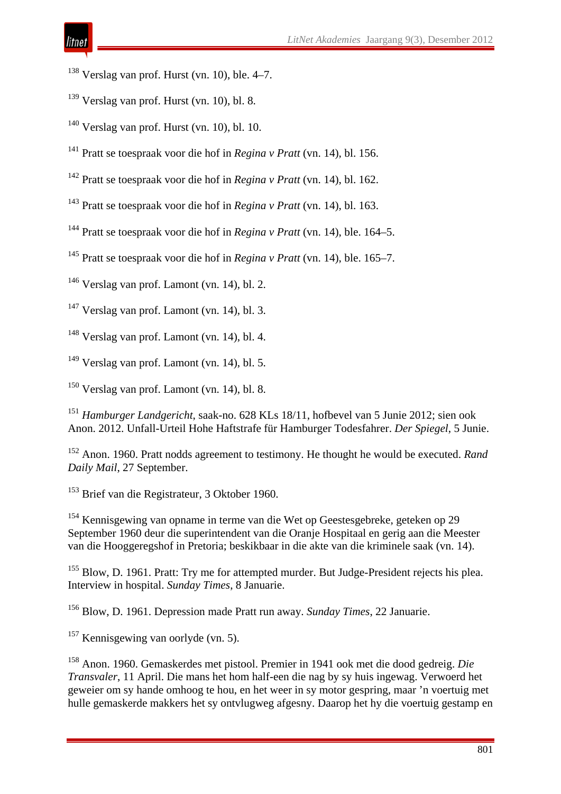- Verslag van prof. Hurst (vn. 10), ble. 4–7.
- Verslag van prof. Hurst (vn. 10), bl. 8.
- Verslag van prof. Hurst (vn. 10), bl. 10.
- Pratt se toespraak voor die hof in *Regina v Pratt* (vn. 14), bl. 156.
- Pratt se toespraak voor die hof in *Regina v Pratt* (vn. 14), bl. 162.
- Pratt se toespraak voor die hof in *Regina v Pratt* (vn. 14), bl. 163.
- Pratt se toespraak voor die hof in *Regina v Pratt* (vn. 14), ble. 164–5.
- Pratt se toespraak voor die hof in *Regina v Pratt* (vn. 14), ble. 165–7.
- Verslag van prof. Lamont (vn. 14), bl. 2.
- Verslag van prof. Lamont (vn. 14), bl. 3.
- Verslag van prof. Lamont (vn. 14), bl. 4.
- Verslag van prof. Lamont (vn. 14), bl. 5.
- Verslag van prof. Lamont (vn. 14), bl. 8.
- *Hamburger Landgericht*, saak-no. 628 KLs 18/11, hofbevel van 5 Junie 2012; sien ook Anon. 2012. Unfall-Urteil Hohe Haftstrafe für Hamburger Todesfahrer. *Der Spiegel*, 5 Junie.
- Anon. 1960. Pratt nodds agreement to testimony. He thought he would be executed. *Rand Daily Mail*, 27 September.
- <sup>153</sup> Brief van die Registrateur, 3 Oktober 1960.
- Kennisgewing van opname in terme van die Wet op Geestesgebreke, geteken op 29 September 1960 deur die superintendent van die Oranje Hospitaal en gerig aan die Meester van die Hooggeregshof in Pretoria; beskikbaar in die akte van die kriminele saak (vn. 14).
- <sup>155</sup> Blow, D. 1961. Pratt: Try me for attempted murder. But Judge-President rejects his plea. Interview in hospital. *Sunday Times*, 8 Januarie.
- Blow, D. 1961. Depression made Pratt run away. *Sunday Times*, 22 Januarie.
- Kennisgewing van oorlyde (vn. 5).
- Anon. 1960. Gemaskerdes met pistool. Premier in 1941 ook met die dood gedreig. *Die Transvaler*, 11 April. Die mans het hom half-een die nag by sy huis ingewag. Verwoerd het geweier om sy hande omhoog te hou, en het weer in sy motor gespring, maar 'n voertuig met hulle gemaskerde makkers het sy ontvlugweg afgesny. Daarop het hy die voertuig gestamp en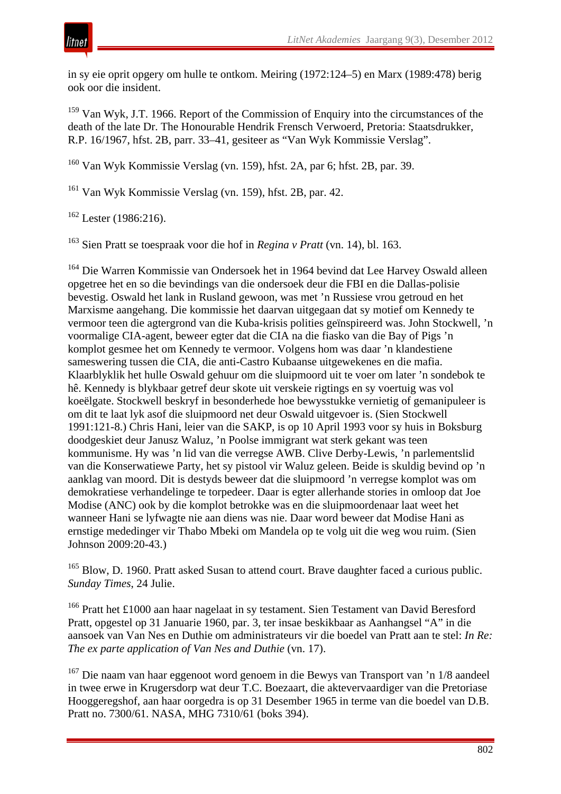

in sy eie oprit opgery om hulle te ontkom. Meiring (1972:124–5) en Marx (1989:478) berig ook oor die insident.

<sup>159</sup> Van Wyk, J.T. 1966. Report of the Commission of Enquiry into the circumstances of the death of the late Dr. The Honourable Hendrik Frensch Verwoerd, Pretoria: Staatsdrukker, R.P. 16/1967, hfst. 2B, parr. 33–41, gesiteer as "Van Wyk Kommissie Verslag".

<sup>160</sup> Van Wyk Kommissie Verslag (vn. 159), hfst. 2A, par 6; hfst. 2B, par. 39.

<sup>161</sup> Van Wyk Kommissie Verslag (vn. 159), hfst. 2B, par. 42.

 $162$  Lester (1986:216).

<sup>163</sup> Sien Pratt se toespraak voor die hof in *Regina v Pratt* (vn. 14), bl. 163.

<sup>164</sup> Die Warren Kommissie van Ondersoek het in 1964 bevind dat Lee Harvey Oswald alleen opgetree het en so die bevindings van die ondersoek deur die FBI en die Dallas-polisie bevestig. Oswald het lank in Rusland gewoon, was met 'n Russiese vrou getroud en het Marxisme aangehang. Die kommissie het daarvan uitgegaan dat sy motief om Kennedy te vermoor teen die agtergrond van die Kuba-krisis polities geïnspireerd was. John Stockwell, 'n voormalige CIA-agent, beweer egter dat die CIA na die fiasko van die Bay of Pigs 'n komplot gesmee het om Kennedy te vermoor. Volgens hom was daar 'n klandestiene sameswering tussen die CIA, die anti-Castro Kubaanse uitgewekenes en die mafia. Klaarblyklik het hulle Oswald gehuur om die sluipmoord uit te voer om later 'n sondebok te hê. Kennedy is blykbaar getref deur skote uit verskeie rigtings en sy voertuig was vol koeëlgate. Stockwell beskryf in besonderhede hoe bewysstukke vernietig of gemanipuleer is om dit te laat lyk asof die sluipmoord net deur Oswald uitgevoer is. (Sien Stockwell 1991:121-8.) Chris Hani, leier van die SAKP, is op 10 April 1993 voor sy huis in Boksburg doodgeskiet deur Janusz Waluz, 'n Poolse immigrant wat sterk gekant was teen kommunisme. Hy was 'n lid van die verregse AWB. Clive Derby-Lewis, 'n parlementslid van die Konserwatiewe Party, het sy pistool vir Waluz geleen. Beide is skuldig bevind op 'n aanklag van moord. Dit is destyds beweer dat die sluipmoord 'n verregse komplot was om demokratiese verhandelinge te torpedeer. Daar is egter allerhande stories in omloop dat Joe Modise (ANC) ook by die komplot betrokke was en die sluipmoordenaar laat weet het wanneer Hani se lyfwagte nie aan diens was nie. Daar word beweer dat Modise Hani as ernstige mededinger vir Thabo Mbeki om Mandela op te volg uit die weg wou ruim. (Sien Johnson 2009:20-43.)

<sup>165</sup> Blow, D. 1960. Pratt asked Susan to attend court. Brave daughter faced a curious public. *Sunday Times*, 24 Julie.

<sup>166</sup> Pratt het £1000 aan haar nagelaat in sy testament. Sien Testament van David Beresford Pratt, opgestel op 31 Januarie 1960, par. 3, ter insae beskikbaar as Aanhangsel "A" in die aansoek van Van Nes en Duthie om administrateurs vir die boedel van Pratt aan te stel: *In Re: The ex parte application of Van Nes and Duthie* (vn. 17).

<sup>167</sup> Die naam van haar eggenoot word genoem in die Bewys van Transport van 'n 1/8 aandeel in twee erwe in Krugersdorp wat deur T.C. Boezaart, die aktevervaardiger van die Pretoriase Hooggeregshof, aan haar oorgedra is op 31 Desember 1965 in terme van die boedel van D.B. Pratt no. 7300/61. NASA, MHG 7310/61 (boks 394).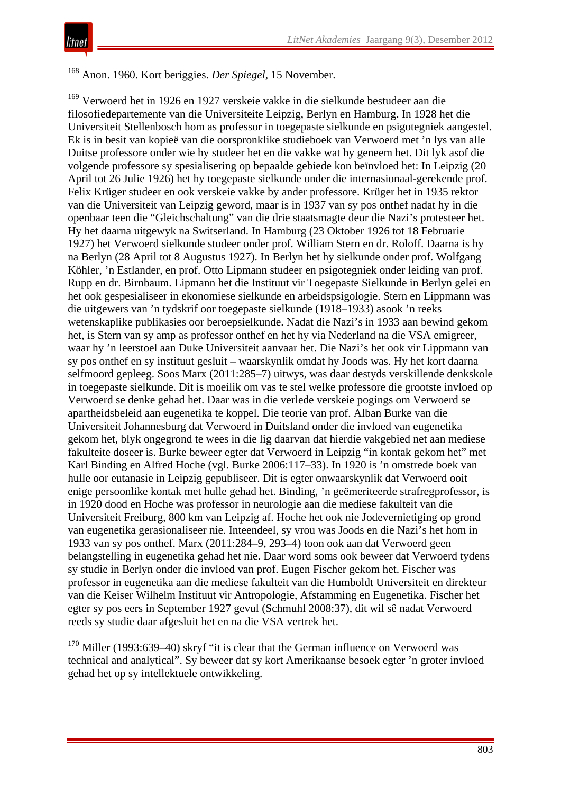<sup>168</sup> Anon. 1960. Kort beriggies. *Der Spiegel*, 15 November.

<sup>169</sup> Verwoerd het in 1926 en 1927 verskeie vakke in die sielkunde bestudeer aan die filosofiedepartemente van die Universiteite Leipzig, Berlyn en Hamburg. In 1928 het die Universiteit Stellenbosch hom as professor in toegepaste sielkunde en psigotegniek aangestel. Ek is in besit van kopieë van die oorspronklike studieboek van Verwoerd met 'n lys van alle Duitse professore onder wie hy studeer het en die vakke wat hy geneem het. Dit lyk asof die volgende professore sy spesialisering op bepaalde gebiede kon beïnvloed het: In Leipzig (20 April tot 26 Julie 1926) het hy toegepaste sielkunde onder die internasionaal-gerekende prof. Felix Krüger studeer en ook verskeie vakke by ander professore. Krüger het in 1935 rektor van die Universiteit van Leipzig geword, maar is in 1937 van sy pos onthef nadat hy in die openbaar teen die "Gleichschaltung" van die drie staatsmagte deur die Nazi's protesteer het. Hy het daarna uitgewyk na Switserland. In Hamburg (23 Oktober 1926 tot 18 Februarie 1927) het Verwoerd sielkunde studeer onder prof. William Stern en dr. Roloff. Daarna is hy na Berlyn (28 April tot 8 Augustus 1927). In Berlyn het hy sielkunde onder prof. Wolfgang Köhler, 'n Estlander, en prof. Otto Lipmann studeer en psigotegniek onder leiding van prof. Rupp en dr. Birnbaum. Lipmann het die Instituut vir Toegepaste Sielkunde in Berlyn gelei en het ook gespesialiseer in ekonomiese sielkunde en arbeidspsigologie. Stern en Lippmann was die uitgewers van 'n tydskrif oor toegepaste sielkunde (1918–1933) asook 'n reeks wetenskaplike publikasies oor beroepsielkunde. Nadat die Nazi's in 1933 aan bewind gekom het, is Stern van sy amp as professor onthef en het hy via Nederland na die VSA emigreer, waar hy 'n leerstoel aan Duke Universiteit aanvaar het. Die Nazi's het ook vir Lippmann van sy pos onthef en sy instituut gesluit – waarskynlik omdat hy Joods was. Hy het kort daarna selfmoord gepleeg. Soos Marx (2011:285–7) uitwys, was daar destyds verskillende denkskole in toegepaste sielkunde. Dit is moeilik om vas te stel welke professore die grootste invloed op Verwoerd se denke gehad het. Daar was in die verlede verskeie pogings om Verwoerd se apartheidsbeleid aan eugenetika te koppel. Die teorie van prof. Alban Burke van die Universiteit Johannesburg dat Verwoerd in Duitsland onder die invloed van eugenetika gekom het, blyk ongegrond te wees in die lig daarvan dat hierdie vakgebied net aan mediese fakulteite doseer is. Burke beweer egter dat Verwoerd in Leipzig "in kontak gekom het" met Karl Binding en Alfred Hoche (vgl. Burke 2006:117–33). In 1920 is 'n omstrede boek van hulle oor eutanasie in Leipzig gepubliseer. Dit is egter onwaarskynlik dat Verwoerd ooit enige persoonlike kontak met hulle gehad het. Binding, 'n geëmeriteerde strafregprofessor, is in 1920 dood en Hoche was professor in neurologie aan die mediese fakulteit van die Universiteit Freiburg, 800 km van Leipzig af. Hoche het ook nie Jodevernietiging op grond van eugenetika gerasionaliseer nie. Inteendeel, sy vrou was Joods en die Nazi's het hom in 1933 van sy pos onthef. Marx (2011:284–9, 293–4) toon ook aan dat Verwoerd geen belangstelling in eugenetika gehad het nie. Daar word soms ook beweer dat Verwoerd tydens sy studie in Berlyn onder die invloed van prof. Eugen Fischer gekom het. Fischer was professor in eugenetika aan die mediese fakulteit van die Humboldt Universiteit en direkteur van die Keiser Wilhelm Instituut vir Antropologie, Afstamming en Eugenetika. Fischer het egter sy pos eers in September 1927 gevul (Schmuhl 2008:37), dit wil sê nadat Verwoerd reeds sy studie daar afgesluit het en na die VSA vertrek het.

 $170$  Miller (1993:639–40) skryf "it is clear that the German influence on Verwoerd was technical and analytical". Sy beweer dat sy kort Amerikaanse besoek egter 'n groter invloed gehad het op sy intellektuele ontwikkeling.